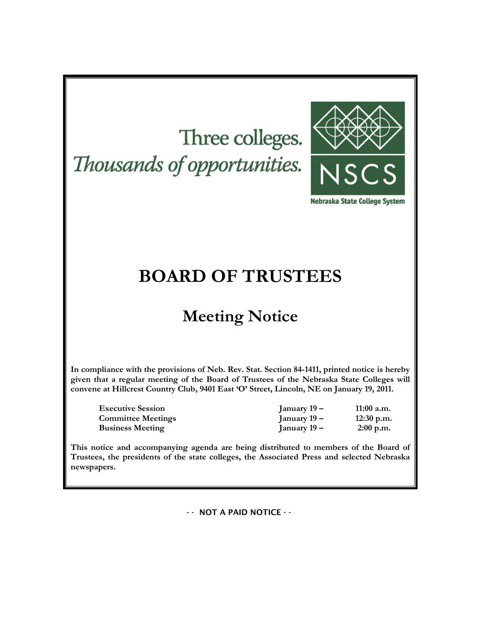# Three colleges. Thousands of opportunities.



Nebraska State College System

# **BOARD OF TRUSTEES**

# **Meeting Notice**

**In compliance with the provisions of Neb. Rev. Stat. Section 84-1411, printed notice is hereby given that a regular meeting of the Board of Trustees of the Nebraska State Colleges will convene at Hillcrest Country Club, 9401 East 'O' Street, Lincoln, NE on January 19, 2011.**

**Executive Session January 19 – 11:00 a.m. Committee Meetings January 19 – 12:30 p.m. Business Meeting January 19 – 2:00 p.m.**

**This notice and accompanying agenda are being distributed to members of the Board of Trustees, the presidents of the state colleges, the Associated Press and selected Nebraska newspapers.**

- - NOT A PAID NOTICE - -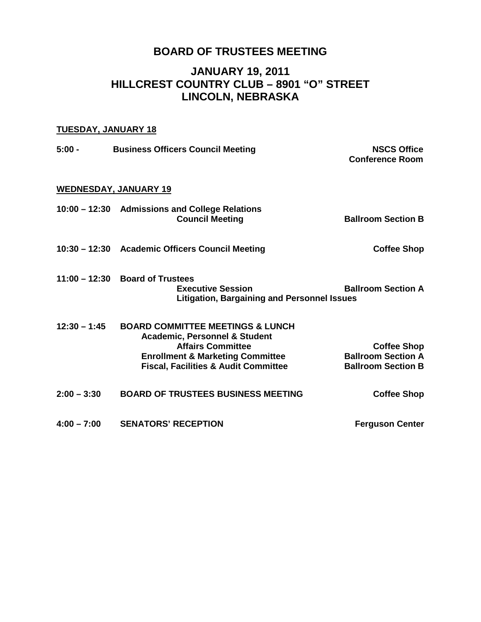# **BOARD OF TRUSTEES MEETING**

# **JANUARY 19, 2011 HILLCREST COUNTRY CLUB – 8901 "O" STREET LINCOLN, NEBRASKA**

# **TUESDAY, JANUARY 18**

| $5:00 -$       | <b>Business Officers Council Meeting</b>                                                                                                                                                                              | <b>NSCS Office</b><br><b>Conference Room</b>                                 |
|----------------|-----------------------------------------------------------------------------------------------------------------------------------------------------------------------------------------------------------------------|------------------------------------------------------------------------------|
|                | <u>WEDNESDAY, JANUARY 19</u>                                                                                                                                                                                          |                                                                              |
|                | 10:00 - 12:30 Admissions and College Relations<br><b>Council Meeting</b>                                                                                                                                              | <b>Ballroom Section B</b>                                                    |
|                | 10:30 - 12:30 Academic Officers Council Meeting                                                                                                                                                                       | <b>Coffee Shop</b>                                                           |
|                | $11:00 - 12:30$ Board of Trustees<br><b>Executive Session</b><br><b>Litigation, Bargaining and Personnel Issues</b>                                                                                                   | <b>Ballroom Section A</b>                                                    |
| $12:30 - 1:45$ | <b>BOARD COMMITTEE MEETINGS &amp; LUNCH</b><br><b>Academic, Personnel &amp; Student</b><br><b>Affairs Committee</b><br><b>Enrollment &amp; Marketing Committee</b><br><b>Fiscal, Facilities &amp; Audit Committee</b> | <b>Coffee Shop</b><br><b>Ballroom Section A</b><br><b>Ballroom Section B</b> |
| $2:00 - 3:30$  | <b>BOARD OF TRUSTEES BUSINESS MEETING</b>                                                                                                                                                                             | <b>Coffee Shop</b>                                                           |
| $4:00 - 7:00$  | <b>SENATORS' RECEPTION</b>                                                                                                                                                                                            | <b>Ferguson Center</b>                                                       |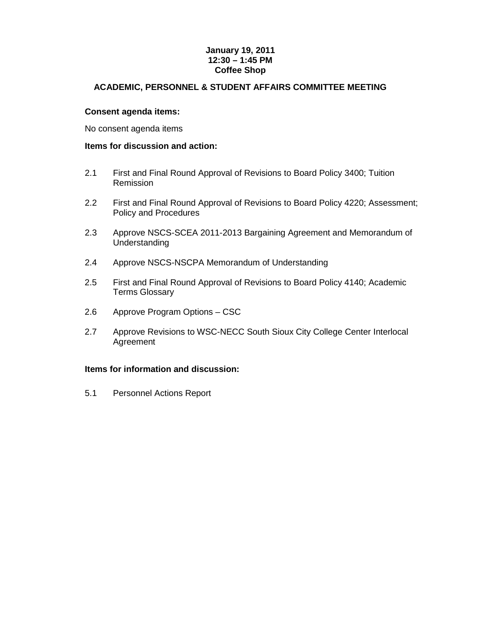# **January 19, 2011 12:30 – 1:45 PM Coffee Shop**

# **ACADEMIC, PERSONNEL & STUDENT AFFAIRS COMMITTEE MEETING**

# **Consent agenda items:**

No consent agenda items

# **Items for discussion and action:**

- 2.1 First and Final Round Approval of Revisions to Board Policy 3400; Tuition Remission
- 2.2 First and Final Round Approval of Revisions to Board Policy 4220; Assessment; Policy and Procedures
- 2.3 Approve NSCS-SCEA 2011-2013 Bargaining Agreement and Memorandum of Understanding
- 2.4 Approve NSCS-NSCPA Memorandum of Understanding
- 2.5 First and Final Round Approval of Revisions to Board Policy 4140; Academic Terms Glossary
- 2.6 Approve Program Options CSC
- 2.7 Approve Revisions to WSC-NECC South Sioux City College Center Interlocal Agreement

# **Items for information and discussion:**

5.1 Personnel Actions Report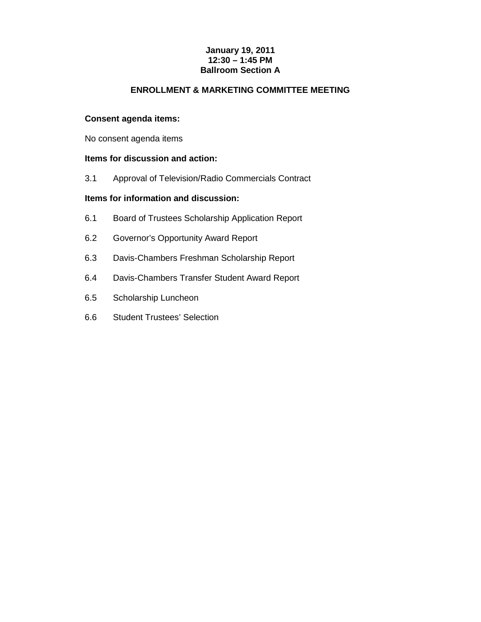# **January 19, 2011 12:30 – 1:45 PM Ballroom Section A**

# **ENROLLMENT & MARKETING COMMITTEE MEETING**

# **Consent agenda items:**

No consent agenda items

# **Items for discussion and action:**

3.1 Approval of Television/Radio Commercials Contract

# **Items for information and discussion:**

- 6.1 Board of Trustees Scholarship Application Report
- 6.2 Governor's Opportunity Award Report
- 6.3 Davis-Chambers Freshman Scholarship Report
- 6.4 Davis-Chambers Transfer Student Award Report
- 6.5 Scholarship Luncheon
- 6.6 Student Trustees' Selection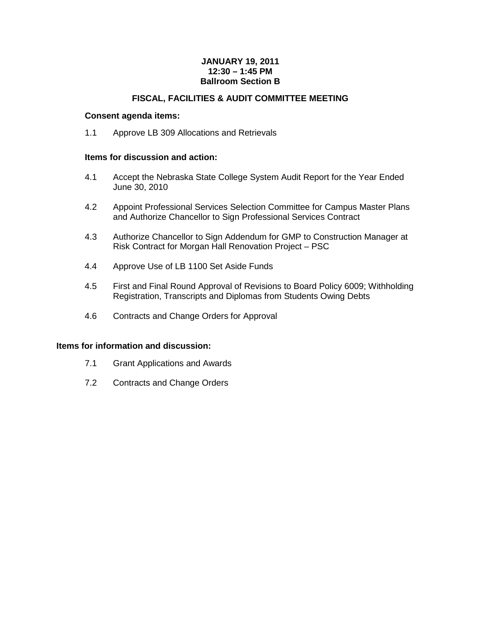# **JANUARY 19, 2011 12:30 – 1:45 PM Ballroom Section B**

# **FISCAL, FACILITIES & AUDIT COMMITTEE MEETING**

# **Consent agenda items:**

1.1 Approve LB 309 Allocations and Retrievals

# **Items for discussion and action:**

- 4.1 Accept the Nebraska State College System Audit Report for the Year Ended June 30, 2010
- 4.2 Appoint Professional Services Selection Committee for Campus Master Plans and Authorize Chancellor to Sign Professional Services Contract
- 4.3 Authorize Chancellor to Sign Addendum for GMP to Construction Manager at Risk Contract for Morgan Hall Renovation Project – PSC
- 4.4 Approve Use of LB 1100 Set Aside Funds
- 4.5 First and Final Round Approval of Revisions to Board Policy 6009; Withholding Registration, Transcripts and Diplomas from Students Owing Debts
- 4.6 Contracts and Change Orders for Approval

# **Items for information and discussion:**

- 7.1 Grant Applications and Awards
- 7.2 Contracts and Change Orders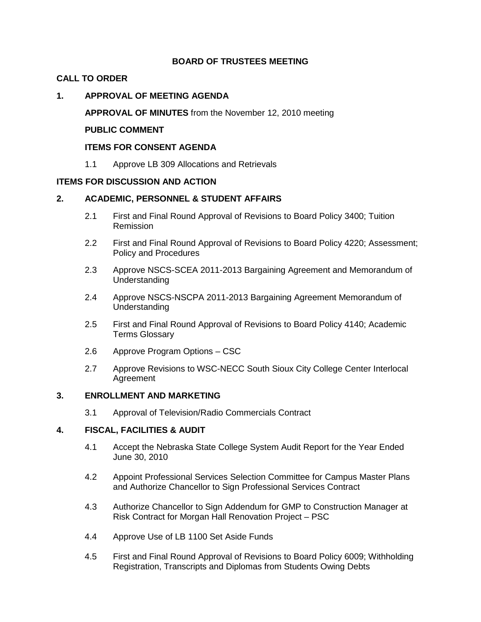# **BOARD OF TRUSTEES MEETING**

# **CALL TO ORDER**

# **1. APPROVAL OF MEETING AGENDA**

**APPROVAL OF MINUTES** from the November 12, 2010 meeting

# **PUBLIC COMMENT**

# **ITEMS FOR CONSENT AGENDA**

1.1 Approve LB 309 Allocations and Retrievals

# **ITEMS FOR DISCUSSION AND ACTION**

# **2. ACADEMIC, PERSONNEL & STUDENT AFFAIRS**

- 2.1 First and Final Round Approval of Revisions to Board Policy 3400; Tuition Remission
- 2.2 First and Final Round Approval of Revisions to Board Policy 4220; Assessment; Policy and Procedures
- 2.3 Approve NSCS-SCEA 2011-2013 Bargaining Agreement and Memorandum of Understanding
- 2.4 Approve NSCS-NSCPA 2011-2013 Bargaining Agreement Memorandum of Understanding
- 2.5 First and Final Round Approval of Revisions to Board Policy 4140; Academic Terms Glossary
- 2.6 Approve Program Options CSC
- 2.7 Approve Revisions to WSC-NECC South Sioux City College Center Interlocal Agreement

# **3. ENROLLMENT AND MARKETING**

3.1 Approval of Television/Radio Commercials Contract

# **4. FISCAL, FACILITIES & AUDIT**

- 4.1 Accept the Nebraska State College System Audit Report for the Year Ended June 30, 2010
- 4.2 Appoint Professional Services Selection Committee for Campus Master Plans and Authorize Chancellor to Sign Professional Services Contract
- 4.3 Authorize Chancellor to Sign Addendum for GMP to Construction Manager at Risk Contract for Morgan Hall Renovation Project – PSC
- 4.4 Approve Use of LB 1100 Set Aside Funds
- 4.5 First and Final Round Approval of Revisions to Board Policy 6009; Withholding Registration, Transcripts and Diplomas from Students Owing Debts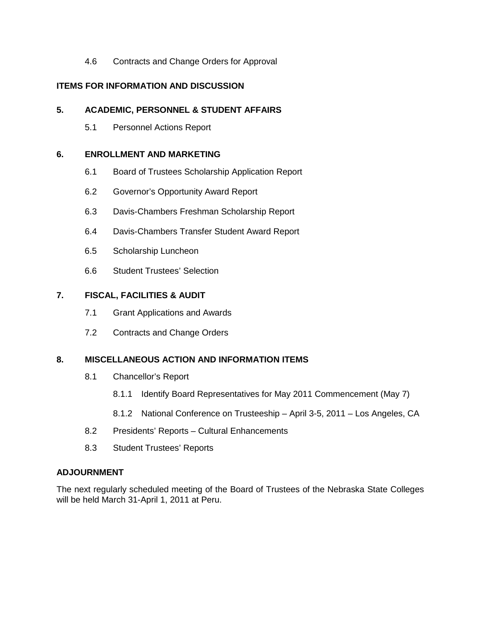4.6 Contracts and Change Orders for Approval

# **ITEMS FOR INFORMATION AND DISCUSSION**

# **5. ACADEMIC, PERSONNEL & STUDENT AFFAIRS**

5.1 Personnel Actions Report

# **6. ENROLLMENT AND MARKETING**

- 6.1 Board of Trustees Scholarship Application Report
- 6.2 Governor's Opportunity Award Report
- 6.3 Davis-Chambers Freshman Scholarship Report
- 6.4 Davis-Chambers Transfer Student Award Report
- 6.5 Scholarship Luncheon
- 6.6 Student Trustees' Selection

# **7. FISCAL, FACILITIES & AUDIT**

- 7.1 Grant Applications and Awards
- 7.2 Contracts and Change Orders

# **8. MISCELLANEOUS ACTION AND INFORMATION ITEMS**

- 8.1 Chancellor's Report
	- 8.1.1 Identify Board Representatives for May 2011 Commencement (May 7)
	- 8.1.2 National Conference on Trusteeship April 3-5, 2011 Los Angeles, CA
- 8.2 Presidents' Reports Cultural Enhancements
- 8.3 Student Trustees' Reports

# **ADJOURNMENT**

The next regularly scheduled meeting of the Board of Trustees of the Nebraska State Colleges will be held March 31-April 1, 2011 at Peru.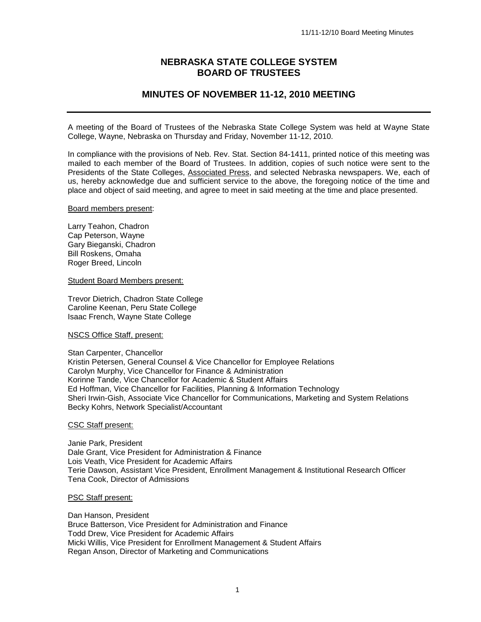# **NEBRASKA STATE COLLEGE SYSTEM BOARD OF TRUSTEES**

# **MINUTES OF NOVEMBER 11-12, 2010 MEETING**

A meeting of the Board of Trustees of the Nebraska State College System was held at Wayne State College, Wayne, Nebraska on Thursday and Friday, November 11-12, 2010.

In compliance with the provisions of Neb. Rev. Stat. Section 84-1411, printed notice of this meeting was mailed to each member of the Board of Trustees. In addition, copies of such notice were sent to the Presidents of the State Colleges, Associated Press, and selected Nebraska newspapers. We, each of us, hereby acknowledge due and sufficient service to the above, the foregoing notice of the time and place and object of said meeting, and agree to meet in said meeting at the time and place presented.

#### Board members present:

Larry Teahon, Chadron Cap Peterson, Wayne Gary Bieganski, Chadron Bill Roskens, Omaha Roger Breed, Lincoln

Student Board Members present:

Trevor Dietrich, Chadron State College Caroline Keenan, Peru State College Isaac French, Wayne State College

#### NSCS Office Staff, present:

Stan Carpenter, Chancellor Kristin Petersen, General Counsel & Vice Chancellor for Employee Relations Carolyn Murphy, Vice Chancellor for Finance & Administration Korinne Tande, Vice Chancellor for Academic & Student Affairs Ed Hoffman, Vice Chancellor for Facilities, Planning & Information Technology Sheri Irwin-Gish, Associate Vice Chancellor for Communications, Marketing and System Relations Becky Kohrs, Network Specialist/Accountant

#### CSC Staff present:

Janie Park, President Dale Grant, Vice President for Administration & Finance Lois Veath, Vice President for Academic Affairs Terie Dawson, Assistant Vice President, Enrollment Management & Institutional Research Officer Tena Cook, Director of Admissions

#### PSC Staff present:

Dan Hanson, President Bruce Batterson, Vice President for Administration and Finance Todd Drew, Vice President for Academic Affairs Micki Willis, Vice President for Enrollment Management & Student Affairs Regan Anson, Director of Marketing and Communications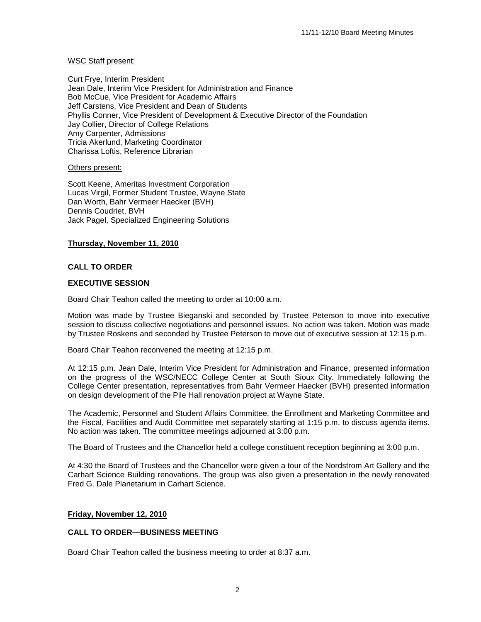# WSC Staff present:

Curt Frye, Interim President Jean Dale, Interim Vice President for Administration and Finance Bob McCue, Vice President for Academic Affairs Jeff Carstens, Vice President and Dean of Students Phyllis Conner, Vice President of Development & Executive Director of the Foundation Jay Collier, Director of College Relations Amy Carpenter, Admissions Tricia Akerlund, Marketing Coordinator Charissa Loftis, Reference Librarian

# Others present:

Scott Keene, Ameritas Investment Corporation Lucas Virgil, Former Student Trustee, Wayne State Dan Worth, Bahr Vermeer Haecker (BVH) Dennis Coudriet, BVH Jack Pagel, Specialized Engineering Solutions

# **Thursday, November 11, 2010**

# **CALL TO ORDER**

# **EXECUTIVE SESSION**

Board Chair Teahon called the meeting to order at 10:00 a.m.

Motion was made by Trustee Bieganski and seconded by Trustee Peterson to move into executive session to discuss collective negotiations and personnel issues. No action was taken. Motion was made by Trustee Roskens and seconded by Trustee Peterson to move out of executive session at 12:15 p.m.

Board Chair Teahon reconvened the meeting at 12:15 p.m.

At 12:15 p.m. Jean Dale, Interim Vice President for Administration and Finance, presented information on the progress of the WSC/NECC College Center at South Sioux City. Immediately following the College Center presentation, representatives from Bahr Vermeer Haecker (BVH) presented information on design development of the Pile Hall renovation project at Wayne State.

The Academic, Personnel and Student Affairs Committee, the Enrollment and Marketing Committee and the Fiscal, Facilities and Audit Committee met separately starting at 1:15 p.m. to discuss agenda items. No action was taken. The committee meetings adjourned at 3:00 p.m.

The Board of Trustees and the Chancellor held a college constituent reception beginning at 3:00 p.m.

At 4:30 the Board of Trustees and the Chancellor were given a tour of the Nordstrom Art Gallery and the Carhart Science Building renovations. The group was also given a presentation in the newly renovated Fred G. Dale Planetarium in Carhart Science.

# **Friday, November 12, 2010**

# **CALL TO ORDER—BUSINESS MEETING**

Board Chair Teahon called the business meeting to order at 8:37 a.m.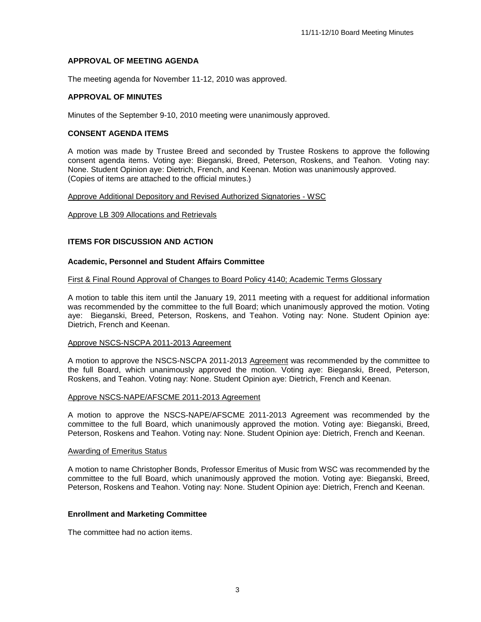# **APPROVAL OF MEETING AGENDA**

The meeting agenda for November 11-12, 2010 was approved.

# **APPROVAL OF MINUTES**

Minutes of the September 9-10, 2010 meeting were unanimously approved.

# **CONSENT AGENDA ITEMS**

A motion was made by Trustee Breed and seconded by Trustee Roskens to approve the following consent agenda items. Voting aye: Bieganski, Breed, Peterson, Roskens, and Teahon. Voting nay: None. Student Opinion aye: Dietrich, French, and Keenan. Motion was unanimously approved. (Copies of items are attached to the official minutes.)

Approve Additional Depository and Revised Authorized Signatories - WSC

#### Approve LB 309 Allocations and Retrievals

# **ITEMS FOR DISCUSSION AND ACTION**

# **Academic, Personnel and Student Affairs Committee**

#### First & Final Round Approval of Changes to Board Policy 4140; Academic Terms Glossary

A motion to table this item until the January 19, 2011 meeting with a request for additional information was recommended by the committee to the full Board; which unanimously approved the motion. Voting aye: Bieganski, Breed, Peterson, Roskens, and Teahon. Voting nay: None. Student Opinion aye: Dietrich, French and Keenan.

#### Approve NSCS-NSCPA 2011-2013 Agreement

A motion to approve the NSCS-NSCPA 2011-2013 Agreement was recommended by the committee to the full Board, which unanimously approved the motion. Voting aye: Bieganski, Breed, Peterson, Roskens, and Teahon. Voting nay: None. Student Opinion aye: Dietrich, French and Keenan.

# Approve NSCS-NAPE/AFSCME 2011-2013 Agreement

A motion to approve the NSCS-NAPE/AFSCME 2011-2013 Agreement was recommended by the committee to the full Board, which unanimously approved the motion. Voting aye: Bieganski, Breed, Peterson, Roskens and Teahon. Voting nay: None. Student Opinion aye: Dietrich, French and Keenan.

# Awarding of Emeritus Status

A motion to name Christopher Bonds, Professor Emeritus of Music from WSC was recommended by the committee to the full Board, which unanimously approved the motion. Voting aye: Bieganski, Breed, Peterson, Roskens and Teahon. Voting nay: None. Student Opinion aye: Dietrich, French and Keenan.

# **Enrollment and Marketing Committee**

The committee had no action items.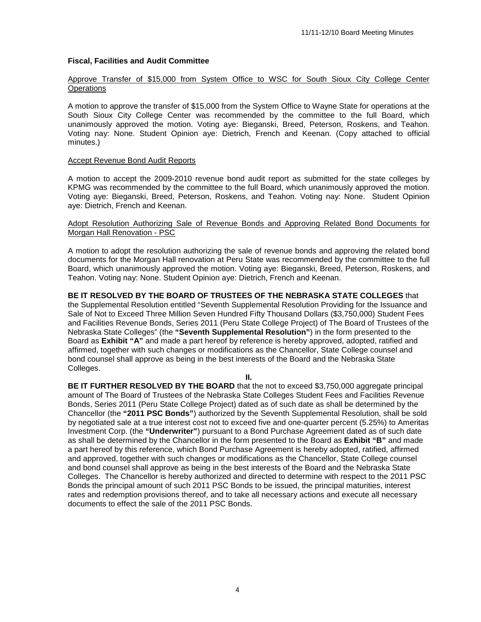# **Fiscal, Facilities and Audit Committee**

# Approve Transfer of \$15,000 from System Office to WSC for South Sioux City College Center **Operations**

A motion to approve the transfer of \$15,000 from the System Office to Wayne State for operations at the South Sioux City College Center was recommended by the committee to the full Board, which unanimously approved the motion. Voting aye: Bieganski, Breed, Peterson, Roskens, and Teahon. Voting nay: None. Student Opinion aye: Dietrich, French and Keenan. (Copy attached to official minutes.)

### Accept Revenue Bond Audit Reports

Colleges.

A motion to accept the 2009-2010 revenue bond audit report as submitted for the state colleges by KPMG was recommended by the committee to the full Board, which unanimously approved the motion. Voting aye: Bieganski, Breed, Peterson, Roskens, and Teahon. Voting nay: None. Student Opinion aye: Dietrich, French and Keenan.

# Adopt Resolution Authorizing Sale of Revenue Bonds and Approving Related Bond Documents for Morgan Hall Renovation - PSC

A motion to adopt the resolution authorizing the sale of revenue bonds and approving the related bond documents for the Morgan Hall renovation at Peru State was recommended by the committee to the full Board, which unanimously approved the motion. Voting aye: Bieganski, Breed, Peterson, Roskens, and Teahon. Voting nay: None. Student Opinion aye: Dietrich, French and Keenan.

**BE IT RESOLVED BY THE BOARD OF TRUSTEES OF THE NEBRASKA STATE COLLEGES** that the Supplemental Resolution entitled "Seventh Supplemental Resolution Providing for the Issuance and Sale of Not to Exceed Three Million Seven Hundred Fifty Thousand Dollars (\$3,750,000) Student Fees and Facilities Revenue Bonds, Series 2011 (Peru State College Project) of The Board of Trustees of the Nebraska State Colleges" (the **"Seventh Supplemental Resolution"**) in the form presented to the Board as **Exhibit "A"** and made a part hereof by reference is hereby approved, adopted, ratified and affirmed, together with such changes or modifications as the Chancellor, State College counsel and bond counsel shall approve as being in the best interests of the Board and the Nebraska State

**II.**

**BE IT FURTHER RESOLVED BY THE BOARD** that the not to exceed \$3,750,000 aggregate principal amount of The Board of Trustees of the Nebraska State Colleges Student Fees and Facilities Revenue Bonds, Series 2011 (Peru State College Project) dated as of such date as shall be determined by the Chancellor (the **"2011 PSC Bonds"**) authorized by the Seventh Supplemental Resolution, shall be sold by negotiated sale at a true interest cost not to exceed five and one-quarter percent (5.25%) to Ameritas Investment Corp. (the **"Underwriter"**) pursuant to a Bond Purchase Agreement dated as of such date as shall be determined by the Chancellor in the form presented to the Board as **Exhibit "B"** and made a part hereof by this reference, which Bond Purchase Agreement is hereby adopted, ratified, affirmed and approved, together with such changes or modifications as the Chancellor, State College counsel and bond counsel shall approve as being in the best interests of the Board and the Nebraska State Colleges. The Chancellor is hereby authorized and directed to determine with respect to the 2011 PSC Bonds the principal amount of such 2011 PSC Bonds to be issued, the principal maturities, interest rates and redemption provisions thereof, and to take all necessary actions and execute all necessary documents to effect the sale of the 2011 PSC Bonds.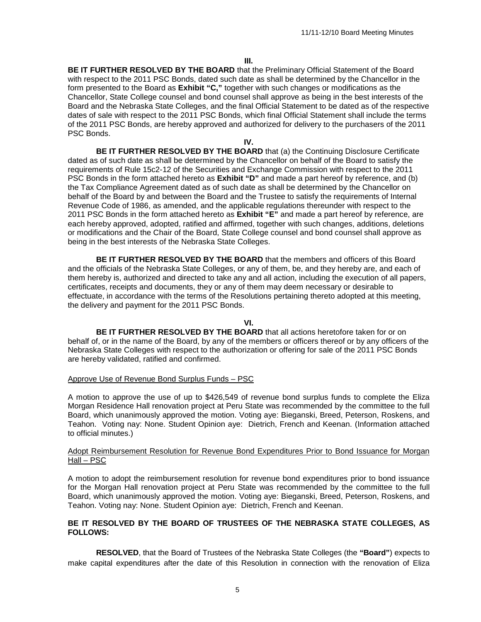**BE IT FURTHER RESOLVED BY THE BOARD** that the Preliminary Official Statement of the Board with respect to the 2011 PSC Bonds, dated such date as shall be determined by the Chancellor in the form presented to the Board as **Exhibit "C,"** together with such changes or modifications as the Chancellor, State College counsel and bond counsel shall approve as being in the best interests of the Board and the Nebraska State Colleges, and the final Official Statement to be dated as of the respective dates of sale with respect to the 2011 PSC Bonds, which final Official Statement shall include the terms of the 2011 PSC Bonds, are hereby approved and authorized for delivery to the purchasers of the 2011 PSC Bonds.

**IV.**

**BE IT FURTHER RESOLVED BY THE BOARD** that (a) the Continuing Disclosure Certificate dated as of such date as shall be determined by the Chancellor on behalf of the Board to satisfy the requirements of Rule 15c2-12 of the Securities and Exchange Commission with respect to the 2011 PSC Bonds in the form attached hereto as **Exhibit "D"** and made a part hereof by reference, and (b) the Tax Compliance Agreement dated as of such date as shall be determined by the Chancellor on behalf of the Board by and between the Board and the Trustee to satisfy the requirements of Internal Revenue Code of 1986, as amended, and the applicable regulations thereunder with respect to the 2011 PSC Bonds in the form attached hereto as **Exhibit "E"** and made a part hereof by reference, are each hereby approved, adopted, ratified and affirmed, together with such changes, additions, deletions or modifications and the Chair of the Board, State College counsel and bond counsel shall approve as being in the best interests of the Nebraska State Colleges.

**BE IT FURTHER RESOLVED BY THE BOARD** that the members and officers of this Board and the officials of the Nebraska State Colleges, or any of them, be, and they hereby are, and each of them hereby is, authorized and directed to take any and all action, including the execution of all papers, certificates, receipts and documents, they or any of them may deem necessary or desirable to effectuate, in accordance with the terms of the Resolutions pertaining thereto adopted at this meeting, the delivery and payment for the 2011 PSC Bonds.

**VI.**

**BE IT FURTHER RESOLVED BY THE BOARD** that all actions heretofore taken for or on behalf of, or in the name of the Board, by any of the members or officers thereof or by any officers of the Nebraska State Colleges with respect to the authorization or offering for sale of the 2011 PSC Bonds are hereby validated, ratified and confirmed.

#### Approve Use of Revenue Bond Surplus Funds – PSC

A motion to approve the use of up to \$426,549 of revenue bond surplus funds to complete the Eliza Morgan Residence Hall renovation project at Peru State was recommended by the committee to the full Board, which unanimously approved the motion. Voting aye: Bieganski, Breed, Peterson, Roskens, and Teahon. Voting nay: None. Student Opinion aye: Dietrich, French and Keenan. (Information attached to official minutes.)

#### Adopt Reimbursement Resolution for Revenue Bond Expenditures Prior to Bond Issuance for Morgan Hall – PSC

A motion to adopt the reimbursement resolution for revenue bond expenditures prior to bond issuance for the Morgan Hall renovation project at Peru State was recommended by the committee to the full Board, which unanimously approved the motion. Voting aye: Bieganski, Breed, Peterson, Roskens, and Teahon. Voting nay: None. Student Opinion aye: Dietrich, French and Keenan.

# **BE IT RESOLVED BY THE BOARD OF TRUSTEES OF THE NEBRASKA STATE COLLEGES, AS FOLLOWS:**

**RESOLVED**, that the Board of Trustees of the Nebraska State Colleges (the **"Board"**) expects to make capital expenditures after the date of this Resolution in connection with the renovation of Eliza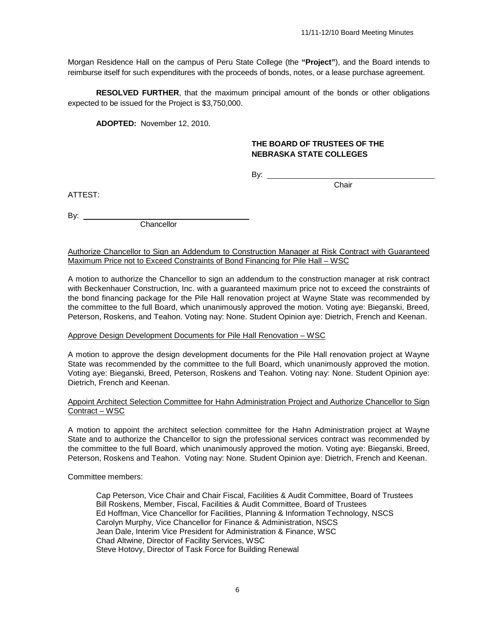Morgan Residence Hall on the campus of Peru State College (the **"Project"**), and the Board intends to reimburse itself for such expenditures with the proceeds of bonds, notes, or a lease purchase agreement.

**RESOLVED FURTHER**, that the maximum principal amount of the bonds or other obligations expected to be issued for the Project is \$3,750,000.

**ADOPTED:** November 12, 2010.

# **THE BOARD OF TRUSTEES OF THE NEBRASKA STATE COLLEGES**

By:

**Chair** 

ATTEST:

By:  $\overline{\phantom{0}}$ 

**Chancellor** 

Authorize Chancellor to Sign an Addendum to Construction Manager at Risk Contract with Guaranteed Maximum Price not to Exceed Constraints of Bond Financing for Pile Hall – WSC

A motion to authorize the Chancellor to sign an addendum to the construction manager at risk contract with Beckenhauer Construction, Inc. with a guaranteed maximum price not to exceed the constraints of the bond financing package for the Pile Hall renovation project at Wayne State was recommended by the committee to the full Board, which unanimously approved the motion. Voting aye: Bieganski, Breed, Peterson, Roskens, and Teahon. Voting nay: None. Student Opinion aye: Dietrich, French and Keenan.

# Approve Design Development Documents for Pile Hall Renovation – WSC

A motion to approve the design development documents for the Pile Hall renovation project at Wayne State was recommended by the committee to the full Board, which unanimously approved the motion. Voting aye: Bieganski, Breed, Peterson, Roskens and Teahon. Voting nay: None. Student Opinion aye: Dietrich, French and Keenan.

# Appoint Architect Selection Committee for Hahn Administration Project and Authorize Chancellor to Sign Contract – WSC

A motion to appoint the architect selection committee for the Hahn Administration project at Wayne State and to authorize the Chancellor to sign the professional services contract was recommended by the committee to the full Board, which unanimously approved the motion. Voting aye: Bieganski, Breed, Peterson, Roskens and Teahon. Voting nay: None. Student Opinion aye: Dietrich, French and Keenan.

Committee members:

Cap Peterson, Vice Chair and Chair Fiscal, Facilities & Audit Committee, Board of Trustees Bill Roskens, Member, Fiscal, Facilities & Audit Committee, Board of Trustees Ed Hoffman, Vice Chancellor for Facilities, Planning & Information Technology, NSCS Carolyn Murphy, Vice Chancellor for Finance & Administration, NSCS Jean Dale, Interim Vice President for Administration & Finance, WSC Chad Altwine, Director of Facility Services, WSC Steve Hotovy, Director of Task Force for Building Renewal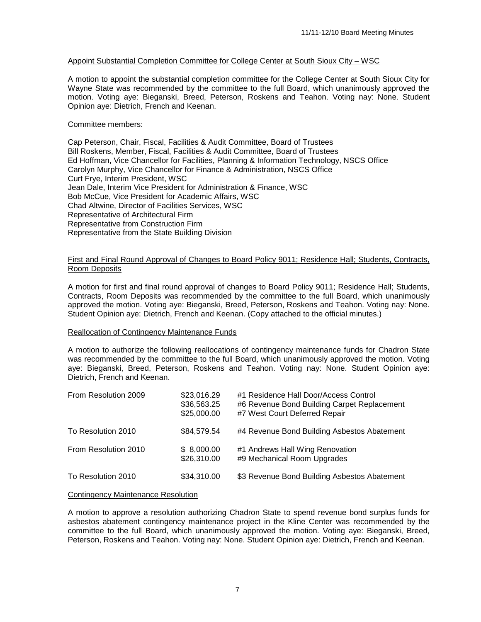# Appoint Substantial Completion Committee for College Center at South Sioux City – WSC

A motion to appoint the substantial completion committee for the College Center at South Sioux City for Wayne State was recommended by the committee to the full Board, which unanimously approved the motion. Voting aye: Bieganski, Breed, Peterson, Roskens and Teahon. Voting nay: None. Student Opinion aye: Dietrich, French and Keenan.

# Committee members:

Cap Peterson, Chair, Fiscal, Facilities & Audit Committee, Board of Trustees Bill Roskens, Member, Fiscal, Facilities & Audit Committee, Board of Trustees Ed Hoffman, Vice Chancellor for Facilities, Planning & Information Technology, NSCS Office Carolyn Murphy, Vice Chancellor for Finance & Administration, NSCS Office Curt Frye, Interim President, WSC Jean Dale, Interim Vice President for Administration & Finance, WSC Bob McCue, Vice President for Academic Affairs, WSC Chad Altwine, Director of Facilities Services, WSC Representative of Architectural Firm Representative from Construction Firm Representative from the State Building Division

### First and Final Round Approval of Changes to Board Policy 9011; Residence Hall; Students, Contracts, Room Deposits

A motion for first and final round approval of changes to Board Policy 9011; Residence Hall; Students, Contracts, Room Deposits was recommended by the committee to the full Board, which unanimously approved the motion. Voting aye: Bieganski, Breed, Peterson, Roskens and Teahon. Voting nay: None. Student Opinion aye: Dietrich, French and Keenan. (Copy attached to the official minutes.)

# Reallocation of Contingency Maintenance Funds

A motion to authorize the following reallocations of contingency maintenance funds for Chadron State was recommended by the committee to the full Board, which unanimously approved the motion. Voting aye: Bieganski, Breed, Peterson, Roskens and Teahon. Voting nay: None. Student Opinion aye: Dietrich, French and Keenan.

| From Resolution 2009 | \$23,016.29<br>\$36,563.25<br>\$25,000.00 | #1 Residence Hall Door/Access Control<br>#6 Revenue Bond Building Carpet Replacement<br>#7 West Court Deferred Repair |
|----------------------|-------------------------------------------|-----------------------------------------------------------------------------------------------------------------------|
| To Resolution 2010   | \$84,579.54                               | #4 Revenue Bond Building Asbestos Abatement                                                                           |
| From Resolution 2010 | \$8,000.00<br>\$26,310.00                 | #1 Andrews Hall Wing Renovation<br>#9 Mechanical Room Upgrades                                                        |
| To Resolution 2010   | \$34,310.00                               | \$3 Revenue Bond Building Asbestos Abatement                                                                          |

#### Contingency Maintenance Resolution

A motion to approve a resolution authorizing Chadron State to spend revenue bond surplus funds for asbestos abatement contingency maintenance project in the Kline Center was recommended by the committee to the full Board, which unanimously approved the motion. Voting aye: Bieganski, Breed, Peterson, Roskens and Teahon. Voting nay: None. Student Opinion aye: Dietrich, French and Keenan.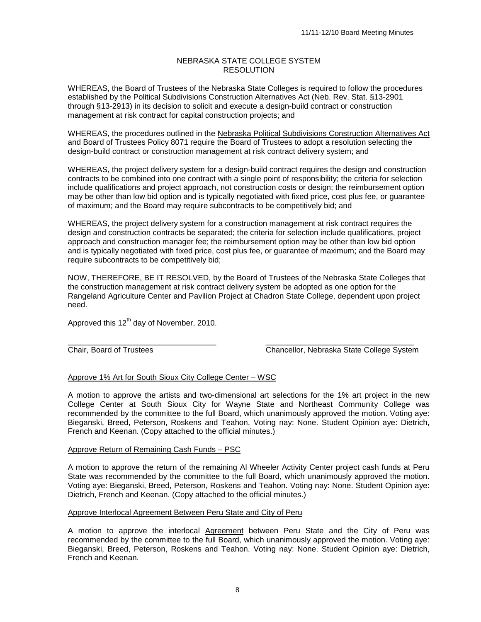# NEBRASKA STATE COLLEGE SYSTEM RESOLUTION

WHEREAS, the Board of Trustees of the Nebraska State Colleges is required to follow the procedures established by the Political Subdivisions Construction Alternatives Act (Neb. Rev. Stat. §13-2901 through §13-2913) in its decision to solicit and execute a design-build contract or construction management at risk contract for capital construction projects; and

WHEREAS, the procedures outlined in the Nebraska Political Subdivisions Construction Alternatives Act and Board of Trustees Policy 8071 require the Board of Trustees to adopt a resolution selecting the design-build contract or construction management at risk contract delivery system; and

WHEREAS, the project delivery system for a design-build contract requires the design and construction contracts to be combined into one contract with a single point of responsibility; the criteria for selection include qualifications and project approach, not construction costs or design; the reimbursement option may be other than low bid option and is typically negotiated with fixed price, cost plus fee, or guarantee of maximum; and the Board may require subcontracts to be competitively bid; and

WHEREAS, the project delivery system for a construction management at risk contract requires the design and construction contracts be separated; the criteria for selection include qualifications, project approach and construction manager fee; the reimbursement option may be other than low bid option and is typically negotiated with fixed price, cost plus fee, or guarantee of maximum; and the Board may require subcontracts to be competitively bid;

NOW, THEREFORE, BE IT RESOLVED, by the Board of Trustees of the Nebraska State Colleges that the construction management at risk contract delivery system be adopted as one option for the Rangeland Agriculture Center and Pavilion Project at Chadron State College, dependent upon project need.

Approved this  $12<sup>th</sup>$  day of November, 2010.

\_\_\_\_\_\_\_\_\_\_\_\_\_\_\_\_\_\_\_\_\_\_\_\_\_\_\_\_\_\_\_\_\_\_ \_\_\_\_\_\_\_\_\_\_\_\_\_\_\_\_\_\_\_\_\_\_\_\_\_\_\_\_\_\_\_\_\_\_ Chair, Board of Trustees Chancellor, Nebraska State College System

# Approve 1% Art for South Sioux City College Center – WSC

A motion to approve the artists and two-dimensional art selections for the 1% art project in the new College Center at South Sioux City for Wayne State and Northeast Community College was recommended by the committee to the full Board, which unanimously approved the motion. Voting aye: Bieganski, Breed, Peterson, Roskens and Teahon. Voting nay: None. Student Opinion aye: Dietrich, French and Keenan. (Copy attached to the official minutes.)

# Approve Return of Remaining Cash Funds – PSC

A motion to approve the return of the remaining Al Wheeler Activity Center project cash funds at Peru State was recommended by the committee to the full Board, which unanimously approved the motion. Voting aye: Bieganski, Breed, Peterson, Roskens and Teahon. Voting nay: None. Student Opinion aye: Dietrich, French and Keenan. (Copy attached to the official minutes.)

# Approve Interlocal Agreement Between Peru State and City of Peru

A motion to approve the interlocal Agreement between Peru State and the City of Peru was recommended by the committee to the full Board, which unanimously approved the motion. Voting aye: Bieganski, Breed, Peterson, Roskens and Teahon. Voting nay: None. Student Opinion aye: Dietrich, French and Keenan.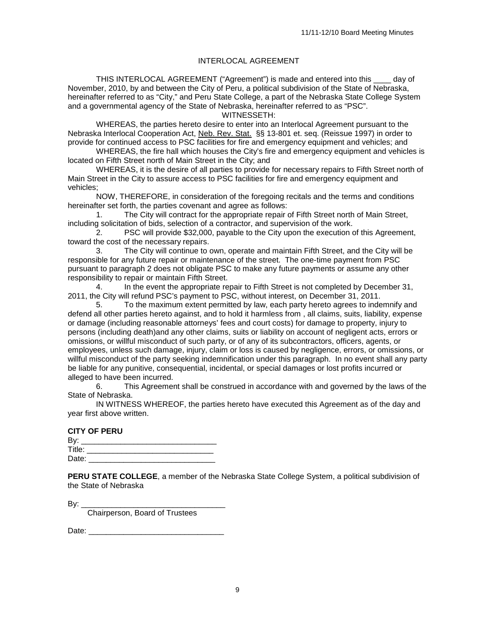# INTERLOCAL AGREEMENT

THIS INTERLOCAL AGREEMENT ("Agreement") is made and entered into this \_\_\_\_ day of November, 2010, by and between the City of Peru, a political subdivision of the State of Nebraska, hereinafter referred to as "City," and Peru State College, a part of the Nebraska State College System and a governmental agency of the State of Nebraska, hereinafter referred to as "PSC".

WITNESSETH:

WHEREAS, the parties hereto desire to enter into an Interlocal Agreement pursuant to the Nebraska Interlocal Cooperation Act, <u>Neb. Rev. Stat.</u> §§ 13-801 et. seq. (Reissue 1997) in order to provide for continued access to PSC facilities for fire and emergency equipment and vehicles; and

WHEREAS, the fire hall which houses the City's fire and emergency equipment and vehicles is located on Fifth Street north of Main Street in the City; and

WHEREAS, it is the desire of all parties to provide for necessary repairs to Fifth Street north of Main Street in the City to assure access to PSC facilities for fire and emergency equipment and vehicles;

NOW, THEREFORE, in consideration of the foregoing recitals and the terms and conditions hereinafter set forth, the parties covenant and agree as follows:

1. The City will contract for the appropriate repair of Fifth Street north of Main Street, including solicitation of bids, selection of a contractor, and supervision of the work.

2. PSC will provide \$32,000, payable to the City upon the execution of this Agreement, toward the cost of the necessary repairs.

3. The City will continue to own, operate and maintain Fifth Street, and the City will be responsible for any future repair or maintenance of the street. The one-time payment from PSC pursuant to paragraph 2 does not obligate PSC to make any future payments or assume any other responsibility to repair or maintain Fifth Street.

4. In the event the appropriate repair to Fifth Street is not completed by December 31, 2011, the City will refund PSC's payment to PSC, without interest, on December 31, 2011.

5. To the maximum extent permitted by law, each party hereto agrees to indemnify and defend all other parties hereto against, and to hold it harmless from , all claims, suits, liability, expense or damage (including reasonable attorneys' fees and court costs) for damage to property, injury to persons (including death)and any other claims, suits or liability on account of negligent acts, errors or omissions, or willful misconduct of such party, or of any of its subcontractors, officers, agents, or employees, unless such damage, injury, claim or loss is caused by negligence, errors, or omissions, or willful misconduct of the party seeking indemnification under this paragraph. In no event shall any party be liable for any punitive, consequential, incidental, or special damages or lost profits incurred or alleged to have been incurred.<br>6. This Agreemer

This Agreement shall be construed in accordance with and governed by the laws of the State of Nebraska.

IN WITNESS WHEREOF, the parties hereto have executed this Agreement as of the day and year first above written.

|        | <b>CITY OF PERU</b> |  |
|--------|---------------------|--|
| By:    |                     |  |
| Title: |                     |  |
| Date:  |                     |  |

**PERU STATE COLLEGE**, a member of the Nebraska State College System, a political subdivision of the State of Nebraska

By: \_\_\_\_\_\_\_\_\_\_\_\_\_\_\_\_\_\_\_\_\_\_\_\_\_\_\_\_\_\_\_\_\_

Chairperson, Board of Trustees

Date: \_\_\_\_\_\_\_\_\_\_\_\_\_\_\_\_\_\_\_\_\_\_\_\_\_\_\_\_\_\_\_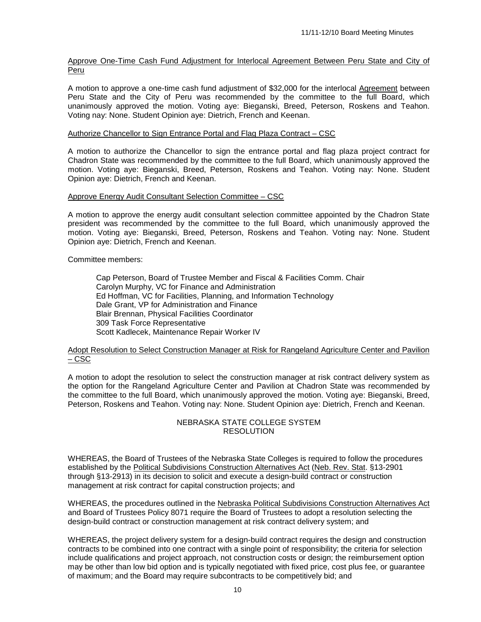# Approve One-Time Cash Fund Adjustment for Interlocal Agreement Between Peru State and City of Peru

A motion to approve a one-time cash fund adjustment of \$32,000 for the interlocal Agreement between Peru State and the City of Peru was recommended by the committee to the full Board, which unanimously approved the motion. Voting aye: Bieganski, Breed, Peterson, Roskens and Teahon. Voting nay: None. Student Opinion aye: Dietrich, French and Keenan.

# Authorize Chancellor to Sign Entrance Portal and Flag Plaza Contract – CSC

A motion to authorize the Chancellor to sign the entrance portal and flag plaza project contract for Chadron State was recommended by the committee to the full Board, which unanimously approved the motion. Voting aye: Bieganski, Breed, Peterson, Roskens and Teahon. Voting nay: None. Student Opinion aye: Dietrich, French and Keenan.

#### Approve Energy Audit Consultant Selection Committee – CSC

A motion to approve the energy audit consultant selection committee appointed by the Chadron State president was recommended by the committee to the full Board, which unanimously approved the motion. Voting aye: Bieganski, Breed, Peterson, Roskens and Teahon. Voting nay: None. Student Opinion aye: Dietrich, French and Keenan.

Committee members:

Cap Peterson, Board of Trustee Member and Fiscal & Facilities Comm. Chair Carolyn Murphy, VC for Finance and Administration Ed Hoffman, VC for Facilities, Planning, and Information Technology Dale Grant, VP for Administration and Finance Blair Brennan, Physical Facilities Coordinator 309 Task Force Representative Scott Kadlecek, Maintenance Repair Worker IV

# Adopt Resolution to Select Construction Manager at Risk for Rangeland Agriculture Center and Pavilion – CSC

A motion to adopt the resolution to select the construction manager at risk contract delivery system as the option for the Rangeland Agriculture Center and Pavilion at Chadron State was recommended by the committee to the full Board, which unanimously approved the motion. Voting aye: Bieganski, Breed, Peterson, Roskens and Teahon. Voting nay: None. Student Opinion aye: Dietrich, French and Keenan.

# NEBRASKA STATE COLLEGE SYSTEM **RESOLUTION**

WHEREAS, the Board of Trustees of the Nebraska State Colleges is required to follow the procedures established by the Political Subdivisions Construction Alternatives Act (Neb. Rev. Stat. §13-2901 through §13-2913) in its decision to solicit and execute a design-build contract or construction management at risk contract for capital construction projects; and

WHEREAS, the procedures outlined in the Nebraska Political Subdivisions Construction Alternatives Act and Board of Trustees Policy 8071 require the Board of Trustees to adopt a resolution selecting the design-build contract or construction management at risk contract delivery system; and

WHEREAS, the project delivery system for a design-build contract requires the design and construction contracts to be combined into one contract with a single point of responsibility; the criteria for selection include qualifications and project approach, not construction costs or design; the reimbursement option may be other than low bid option and is typically negotiated with fixed price, cost plus fee, or guarantee of maximum; and the Board may require subcontracts to be competitively bid; and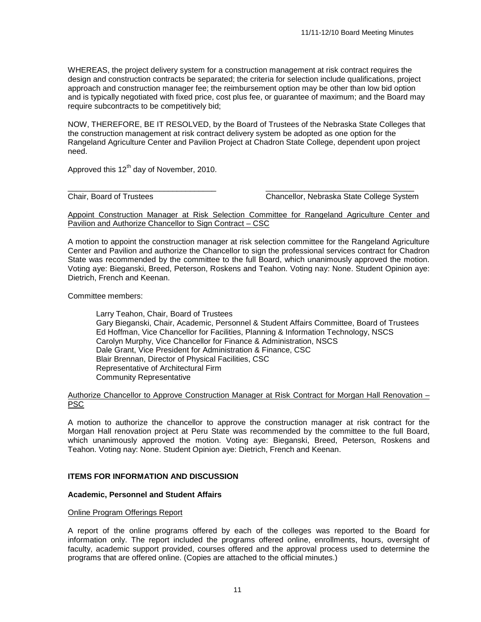WHEREAS, the project delivery system for a construction management at risk contract requires the design and construction contracts be separated; the criteria for selection include qualifications, project approach and construction manager fee; the reimbursement option may be other than low bid option and is typically negotiated with fixed price, cost plus fee, or guarantee of maximum; and the Board may require subcontracts to be competitively bid;

NOW, THEREFORE, BE IT RESOLVED, by the Board of Trustees of the Nebraska State Colleges that the construction management at risk contract delivery system be adopted as one option for the Rangeland Agriculture Center and Pavilion Project at Chadron State College, dependent upon project need.

Approved this  $12<sup>th</sup>$  day of November, 2010.

\_\_\_\_\_\_\_\_\_\_\_\_\_\_\_\_\_\_\_\_\_\_\_\_\_\_\_\_\_\_\_\_\_\_ \_\_\_\_\_\_\_\_\_\_\_\_\_\_\_\_\_\_\_\_\_\_\_\_\_\_\_\_\_\_\_\_\_\_ Chair, Board of Trustees Chancellor, Nebraska State College System

Appoint Construction Manager at Risk Selection Committee for Rangeland Agriculture Center and Pavilion and Authorize Chancellor to Sign Contract – CSC

A motion to appoint the construction manager at risk selection committee for the Rangeland Agriculture Center and Pavilion and authorize the Chancellor to sign the professional services contract for Chadron State was recommended by the committee to the full Board, which unanimously approved the motion. Voting aye: Bieganski, Breed, Peterson, Roskens and Teahon. Voting nay: None. Student Opinion aye: Dietrich, French and Keenan.

Committee members:

Larry Teahon, Chair, Board of Trustees Gary Bieganski, Chair, Academic, Personnel & Student Affairs Committee, Board of Trustees Ed Hoffman, Vice Chancellor for Facilities, Planning & Information Technology, NSCS Carolyn Murphy, Vice Chancellor for Finance & Administration, NSCS Dale Grant, Vice President for Administration & Finance, CSC Blair Brennan, Director of Physical Facilities, CSC Representative of Architectural Firm Community Representative

#### Authorize Chancellor to Approve Construction Manager at Risk Contract for Morgan Hall Renovation – PSC

A motion to authorize the chancellor to approve the construction manager at risk contract for the Morgan Hall renovation project at Peru State was recommended by the committee to the full Board, which unanimously approved the motion. Voting aye: Bieganski, Breed, Peterson, Roskens and Teahon. Voting nay: None. Student Opinion aye: Dietrich, French and Keenan.

# **ITEMS FOR INFORMATION AND DISCUSSION**

# **Academic, Personnel and Student Affairs**

# Online Program Offerings Report

A report of the online programs offered by each of the colleges was reported to the Board for information only. The report included the programs offered online, enrollments, hours, oversight of faculty, academic support provided, courses offered and the approval process used to determine the programs that are offered online. (Copies are attached to the official minutes.)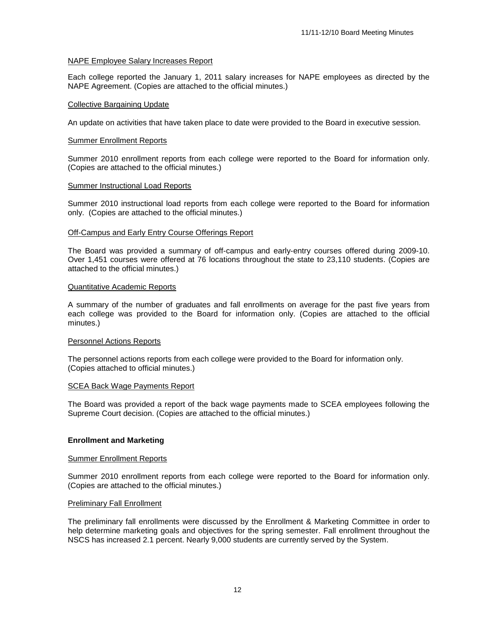# NAPE Employee Salary Increases Report

Each college reported the January 1, 2011 salary increases for NAPE employees as directed by the NAPE Agreement. (Copies are attached to the official minutes.)

### Collective Bargaining Update

An update on activities that have taken place to date were provided to the Board in executive session.

#### Summer Enrollment Reports

Summer 2010 enrollment reports from each college were reported to the Board for information only. (Copies are attached to the official minutes.)

#### Summer Instructional Load Reports

Summer 2010 instructional load reports from each college were reported to the Board for information only. (Copies are attached to the official minutes.)

### Off-Campus and Early Entry Course Offerings Report

The Board was provided a summary of off-campus and early-entry courses offered during 2009-10. Over 1,451 courses were offered at 76 locations throughout the state to 23,110 students. (Copies are attached to the official minutes.)

#### Quantitative Academic Reports

A summary of the number of graduates and fall enrollments on average for the past five years from each college was provided to the Board for information only. (Copies are attached to the official minutes.)

#### Personnel Actions Reports

The personnel actions reports from each college were provided to the Board for information only. (Copies attached to official minutes.)

#### SCEA Back Wage Payments Report

The Board was provided a report of the back wage payments made to SCEA employees following the Supreme Court decision. (Copies are attached to the official minutes.)

# **Enrollment and Marketing**

#### Summer Enrollment Reports

Summer 2010 enrollment reports from each college were reported to the Board for information only. (Copies are attached to the official minutes.)

# Preliminary Fall Enrollment

The preliminary fall enrollments were discussed by the Enrollment & Marketing Committee in order to help determine marketing goals and objectives for the spring semester. Fall enrollment throughout the NSCS has increased 2.1 percent. Nearly 9,000 students are currently served by the System.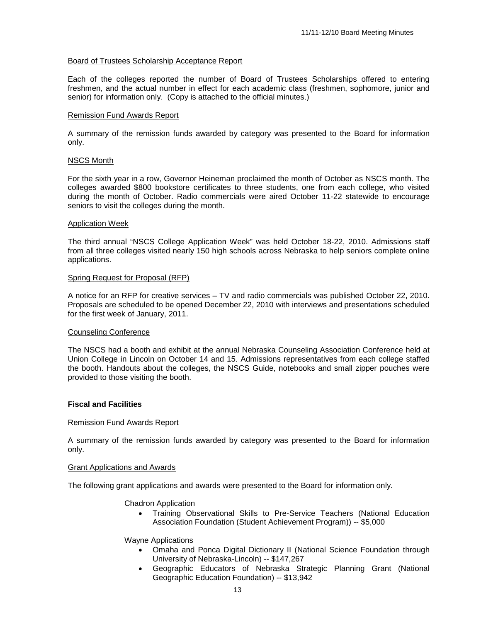### Board of Trustees Scholarship Acceptance Report

Each of the colleges reported the number of Board of Trustees Scholarships offered to entering freshmen, and the actual number in effect for each academic class (freshmen, sophomore, junior and senior) for information only. (Copy is attached to the official minutes.)

# Remission Fund Awards Report

A summary of the remission funds awarded by category was presented to the Board for information only.

#### NSCS Month

For the sixth year in a row, Governor Heineman proclaimed the month of October as NSCS month. The colleges awarded \$800 bookstore certificates to three students, one from each college, who visited during the month of October. Radio commercials were aired October 11-22 statewide to encourage seniors to visit the colleges during the month.

#### Application Week

The third annual "NSCS College Application Week" was held October 18-22, 2010. Admissions staff from all three colleges visited nearly 150 high schools across Nebraska to help seniors complete online applications.

#### Spring Request for Proposal (RFP)

A notice for an RFP for creative services – TV and radio commercials was published October 22, 2010. Proposals are scheduled to be opened December 22, 2010 with interviews and presentations scheduled for the first week of January, 2011.

#### Counseling Conference

The NSCS had a booth and exhibit at the annual Nebraska Counseling Association Conference held at Union College in Lincoln on October 14 and 15. Admissions representatives from each college staffed the booth. Handouts about the colleges, the NSCS Guide, notebooks and small zipper pouches were provided to those visiting the booth.

#### **Fiscal and Facilities**

#### Remission Fund Awards Report

A summary of the remission funds awarded by category was presented to the Board for information only.

#### Grant Applications and Awards

The following grant applications and awards were presented to the Board for information only.

#### Chadron Application

• Training Observational Skills to Pre-Service Teachers (National Education Association Foundation (Student Achievement Program)) -- \$5,000

#### Wayne Applications

- Omaha and Ponca Digital Dictionary II (National Science Foundation through University of Nebraska-Lincoln) -- \$147,267
- Geographic Educators of Nebraska Strategic Planning Grant (National Geographic Education Foundation) -- \$13,942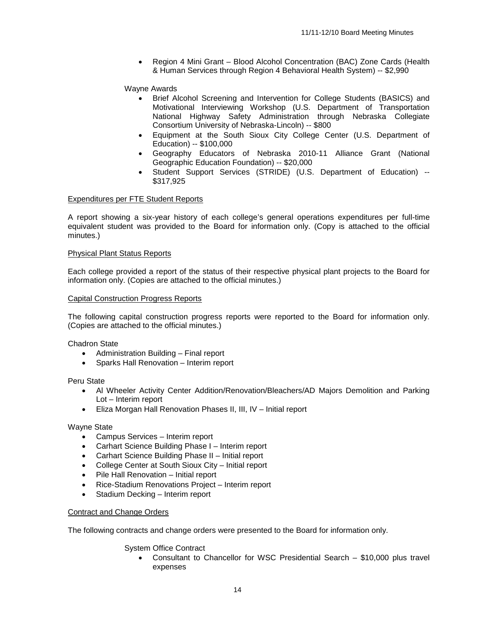• Region 4 Mini Grant – Blood Alcohol Concentration (BAC) Zone Cards (Health & Human Services through Region 4 Behavioral Health System) -- \$2,990

# Wayne Awards

- Brief Alcohol Screening and Intervention for College Students (BASICS) and Motivational Interviewing Workshop (U.S. Department of Transportation National Highway Safety Administration through Nebraska Collegiate Consortium University of Nebraska-Lincoln) -- \$800
- Equipment at the South Sioux City College Center (U.S. Department of Education) -- \$100,000
- Geography Educators of Nebraska 2010-11 Alliance Grant (National Geographic Education Foundation) -- \$20,000
- Student Support Services (STRIDE) (U.S. Department of Education) --\$317,925

# Expenditures per FTE Student Reports

A report showing a six-year history of each college's general operations expenditures per full-time equivalent student was provided to the Board for information only. (Copy is attached to the official minutes.)

#### Physical Plant Status Reports

Each college provided a report of the status of their respective physical plant projects to the Board for information only. (Copies are attached to the official minutes.)

#### Capital Construction Progress Reports

The following capital construction progress reports were reported to the Board for information only. (Copies are attached to the official minutes.)

Chadron State

- Administration Building Final report
- Sparks Hall Renovation Interim report

Peru State

- Al Wheeler Activity Center Addition/Renovation/Bleachers/AD Majors Demolition and Parking Lot – Interim report
- Eliza Morgan Hall Renovation Phases II, III, IV Initial report

Wayne State

- Campus Services Interim report
- Carhart Science Building Phase I Interim report
- Carhart Science Building Phase II Initial report
- College Center at South Sioux City Initial report
- Pile Hall Renovation Initial report
- Rice-Stadium Renovations Project Interim report
- Stadium Decking Interim report

# Contract and Change Orders

The following contracts and change orders were presented to the Board for information only.

System Office Contract

• Consultant to Chancellor for WSC Presidential Search – \$10,000 plus travel expenses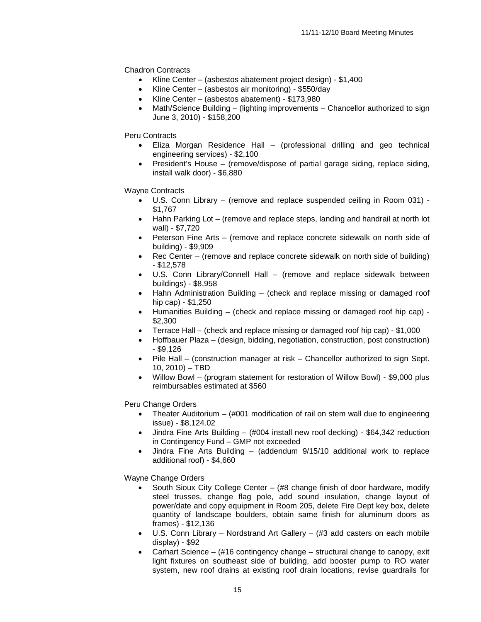Chadron Contracts

- Kline Center (asbestos abatement project design) \$1,400
- Kline Center (asbestos air monitoring) \$550/day
- Kline Center (asbestos abatement) \$173,980
- Math/Science Building (lighting improvements Chancellor authorized to sign June 3, 2010) - \$158,200

Peru Contracts

- Eliza Morgan Residence Hall (professional drilling and geo technical engineering services) - \$2,100
- President's House (remove/dispose of partial garage siding, replace siding, install walk door) - \$6,880

Wayne Contracts

- U.S. Conn Library (remove and replace suspended ceiling in Room 031) \$1,767
- Hahn Parking Lot (remove and replace steps, landing and handrail at north lot wall) - \$7,720
- Peterson Fine Arts (remove and replace concrete sidewalk on north side of building) - \$9,909
- Rec Center (remove and replace concrete sidewalk on north side of building) - \$12,578
- U.S. Conn Library/Connell Hall (remove and replace sidewalk between buildings) - \$8,958
- Hahn Administration Building (check and replace missing or damaged roof hip cap) - \$1,250
- Humanities Building (check and replace missing or damaged roof hip cap) \$2,300
- Terrace Hall (check and replace missing or damaged roof hip cap) \$1,000
- Hoffbauer Plaza (design, bidding, negotiation, construction, post construction) - \$9,126
- Pile Hall (construction manager at risk Chancellor authorized to sign Sept. 10, 2010) – TBD
- Willow Bowl (program statement for restoration of Willow Bowl) \$9,000 plus reimbursables estimated at \$560

Peru Change Orders

- Theater Auditorium (#001 modification of rail on stem wall due to engineering issue) - \$8,124.02
- Jindra Fine Arts Building (#004 install new roof decking) \$64,342 reduction in Contingency Fund – GMP not exceeded
- Jindra Fine Arts Building (addendum 9/15/10 additional work to replace additional roof) - \$4,660

Wayne Change Orders

- South Sioux City College Center (#8 change finish of door hardware, modify steel trusses, change flag pole, add sound insulation, change layout of power/date and copy equipment in Room 205, delete Fire Dept key box, delete quantity of landscape boulders, obtain same finish for aluminum doors as frames) - \$12,136
- U.S. Conn Library Nordstrand Art Gallery (#3 add casters on each mobile display) - \$92
- Carhart Science  $#16$  contingency change structural change to canopy, exit light fixtures on southeast side of building, add booster pump to RO water system, new roof drains at existing roof drain locations, revise guardrails for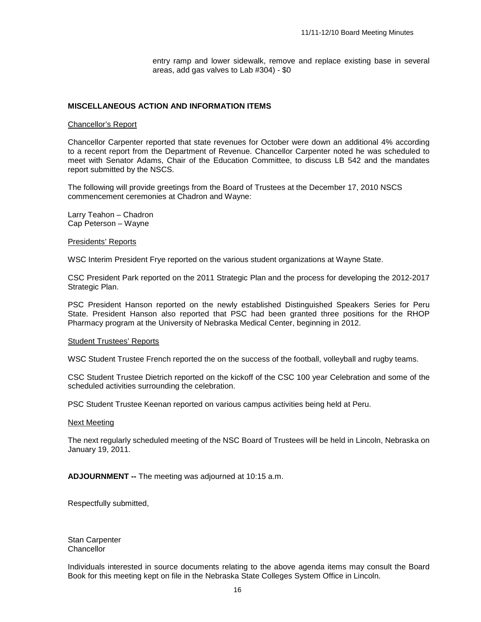entry ramp and lower sidewalk, remove and replace existing base in several areas, add gas valves to Lab #304) - \$0

### **MISCELLANEOUS ACTION AND INFORMATION ITEMS**

#### Chancellor's Report

Chancellor Carpenter reported that state revenues for October were down an additional 4% according to a recent report from the Department of Revenue. Chancellor Carpenter noted he was scheduled to meet with Senator Adams, Chair of the Education Committee, to discuss LB 542 and the mandates report submitted by the NSCS.

The following will provide greetings from the Board of Trustees at the December 17, 2010 NSCS commencement ceremonies at Chadron and Wayne:

Larry Teahon – Chadron Cap Peterson – Wayne

Presidents' Reports

WSC Interim President Frye reported on the various student organizations at Wayne State.

CSC President Park reported on the 2011 Strategic Plan and the process for developing the 2012-2017 Strategic Plan.

PSC President Hanson reported on the newly established Distinguished Speakers Series for Peru State. President Hanson also reported that PSC had been granted three positions for the RHOP Pharmacy program at the University of Nebraska Medical Center, beginning in 2012.

#### Student Trustees' Reports

WSC Student Trustee French reported the on the success of the football, volleyball and rugby teams.

CSC Student Trustee Dietrich reported on the kickoff of the CSC 100 year Celebration and some of the scheduled activities surrounding the celebration.

PSC Student Trustee Keenan reported on various campus activities being held at Peru.

#### Next Meeting

The next regularly scheduled meeting of the NSC Board of Trustees will be held in Lincoln, Nebraska on January 19, 2011.

**ADJOURNMENT --** The meeting was adjourned at 10:15 a.m.

Respectfully submitted,

Stan Carpenter Chancellor

Individuals interested in source documents relating to the above agenda items may consult the Board Book for this meeting kept on file in the Nebraska State Colleges System Office in Lincoln.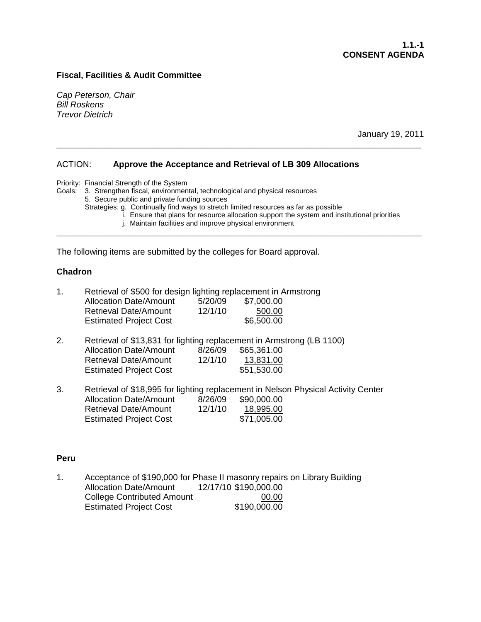# **Fiscal, Facilities & Audit Committee**

*Cap Peterson, Chair Bill Roskens Trevor Dietrich*

January 19, 2011

# ACTION: **Approve the Acceptance and Retrieval of LB 309 Allocations**

Priority: Financial Strength of the System

Goals: 3. Strengthen fiscal, environmental, technological and physical resources

5. Secure public and private funding sources

Strategies: g. Continually find ways to stretch limited resources as far as possible

**\_\_\_\_\_\_\_\_\_\_\_\_\_\_\_\_\_\_\_\_\_\_\_\_\_\_\_\_\_\_\_\_\_\_\_\_\_\_\_\_\_\_\_\_\_\_\_\_\_\_\_\_\_\_\_\_\_\_\_\_\_\_\_\_\_\_\_\_\_\_\_\_\_\_\_\_**

**\_\_\_\_\_\_\_\_\_\_\_\_\_\_\_\_\_\_\_\_\_\_\_\_\_\_\_\_\_\_\_\_\_\_\_\_\_\_\_\_\_\_\_\_\_\_\_\_\_\_\_\_\_\_\_\_\_\_\_\_\_\_\_\_\_\_\_\_\_\_\_\_\_\_\_\_**

i. Ensure that plans for resource allocation support the system and institutional priorities

j. Maintain facilities and improve physical environment

The following items are submitted by the colleges for Board approval.

# **Chadron**

| $\mathbf{1}$ . | Retrieval of \$500 for design lighting replacement in Armstrong |         |            |  |
|----------------|-----------------------------------------------------------------|---------|------------|--|
|                | <b>Allocation Date/Amount</b>                                   | 5/20/09 | \$7,000.00 |  |
|                | <b>Retrieval Date/Amount</b>                                    | 12/1/10 | 500.00     |  |
|                | <b>Estimated Project Cost</b>                                   |         | \$6,500.00 |  |

- 2. Retrieval of \$13,831 for lighting replacement in Armstrong (LB 1100) Allocation Date/Amount 8/26/09 \$65,361.00<br>Retrieval Date/Amount 12/1/10 13.831.00 Retrieval Date/Amount Estimated Project Cost \$51,530.00 13,831.00
- 3. Retrieval of \$18,995 for lighting replacement in Nelson Physical Activity Center Allocation Date/Amount 8/26/09 \$90,000.00 Retrieval Date/Amount 12/1/10 Estimated Project Cost \$71,005.00 18,995.00

# **Peru**

1. Acceptance of \$190,000 for Phase II masonry repairs on Library Building Allocation Date/Amount 12/17/10 \$190,000.00 College Contributed Amount Estimated Project Cost \$190,000.00 00.00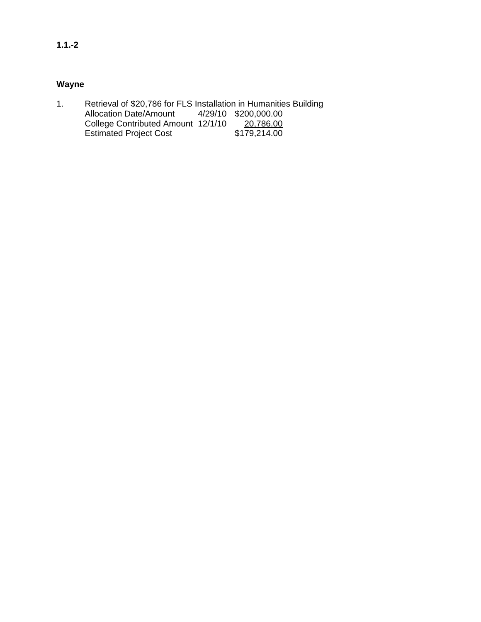# **Wayne**

1. Retrieval of \$20,786 for FLS Installation in Humanities Building<br>Allocation Date/Amount 4/29/10 \$200,000.00 Allocation Date/Amount College Contributed Amount 12/1/10 Estimated Project Cost \$179,214.00 20,786.00<br>\$179,214.00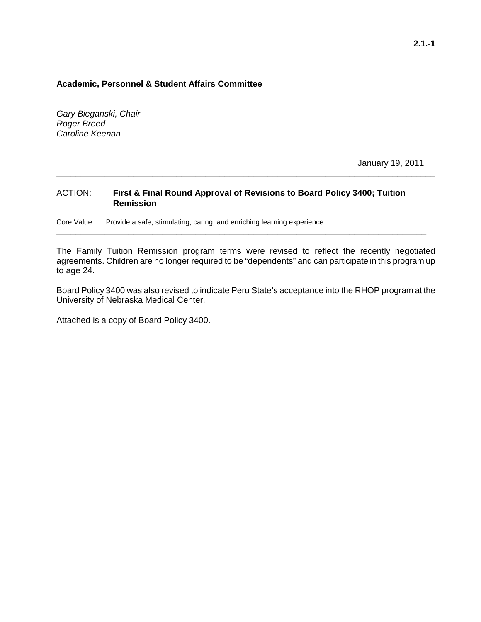# **Academic, Personnel & Student Affairs Committee**

*Gary Bieganski, Chair Roger Breed Caroline Keenan*

January 19, 2011

# ACTION: **First & Final Round Approval of Revisions to Board Policy 3400; Tuition Remission**

Core Value: Provide a safe, stimulating, caring, and enriching learning experience

The Family Tuition Remission program terms were revised to reflect the recently negotiated agreements. Children are no longer required to be "dependents" and can participate in this program up to age 24.

**\_\_\_\_\_\_\_\_\_\_\_\_\_\_\_\_\_\_\_\_\_\_\_\_\_\_\_\_\_\_\_\_\_\_\_\_\_\_\_\_\_\_\_\_\_\_\_\_\_\_\_\_\_\_\_\_\_\_\_\_\_\_\_\_\_\_\_\_\_\_\_\_\_\_\_\_\_**

**\_\_\_\_\_\_\_\_\_\_\_\_\_\_\_\_\_\_\_\_\_\_\_\_\_\_\_\_\_\_\_\_\_\_\_\_\_\_\_\_\_\_\_\_\_\_\_\_\_\_\_\_\_\_\_\_\_\_\_\_\_\_\_\_\_\_\_\_\_\_\_\_\_\_\_\_\_\_\_**

Board Policy 3400 was also revised to indicate Peru State's acceptance into the RHOP program at the University of Nebraska Medical Center.

Attached is a copy of Board Policy 3400.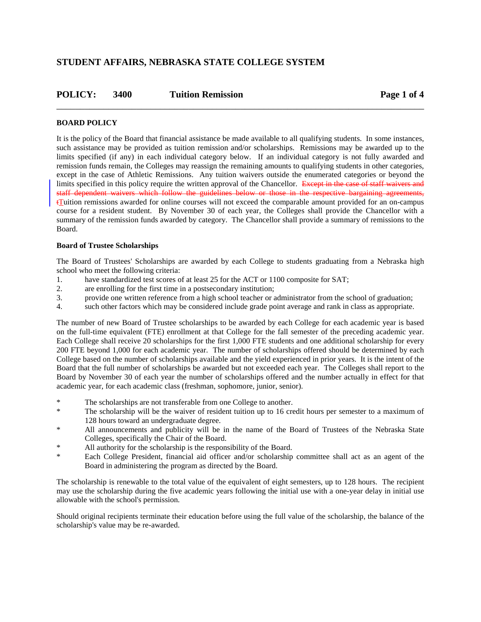# **STUDENT AFFAIRS, NEBRASKA STATE COLLEGE SYSTEM**

| POLICY: | 3400 | <b>Tuition Remission</b> | Page 1 of 4 |
|---------|------|--------------------------|-------------|
|         |      |                          |             |

# **BOARD POLICY**

It is the policy of the Board that financial assistance be made available to all qualifying students. In some instances, such assistance may be provided as tuition remission and/or scholarships. Remissions may be awarded up to the limits specified (if any) in each individual category below. If an individual category is not fully awarded and remission funds remain, the Colleges may reassign the remaining amounts to qualifying students in other categories, except in the case of Athletic Remissions. Any tuition waivers outside the enumerated categories or beyond the limits specified in this policy require the written approval of the Chancellor. Except in the case of staff waivers and staff dependent waivers which follow the guidelines below or those in the respective bargaining agreements,  $t$ Tuition remissions awarded for online courses will not exceed the comparable amount provided for an on-campus course for a resident student. By November 30 of each year, the Colleges shall provide the Chancellor with a summary of the remission funds awarded by category. The Chancellor shall provide a summary of remissions to the Board.

### **Board of Trustee Scholarships**

The Board of Trustees' Scholarships are awarded by each College to students graduating from a Nebraska high school who meet the following criteria:

- 1. have standardized test scores of at least 25 for the ACT or 1100 composite for SAT;
- 2. are enrolling for the first time in a postsecondary institution;
- 3. provide one written reference from a high school teacher or administrator from the school of graduation;
- 4. such other factors which may be considered include grade point average and rank in class as appropriate.

The number of new Board of Trustee scholarships to be awarded by each College for each academic year is based on the full-time equivalent (FTE) enrollment at that College for the fall semester of the preceding academic year. Each College shall receive 20 scholarships for the first 1,000 FTE students and one additional scholarship for every 200 FTE beyond 1,000 for each academic year. The number of scholarships offered should be determined by each College based on the number of scholarships available and the yield experienced in prior years. It is the intent of the Board that the full number of scholarships be awarded but not exceeded each year. The Colleges shall report to the Board by November 30 of each year the number of scholarships offered and the number actually in effect for that academic year, for each academic class (freshman, sophomore, junior, senior).

- \* The scholarships are not transferable from one College to another.
- The scholarship will be the waiver of resident tuition up to 16 credit hours per semester to a maximum of 128 hours toward an undergraduate degree.
- \* All announcements and publicity will be in the name of the Board of Trustees of the Nebraska State Colleges, specifically the Chair of the Board.
- All authority for the scholarship is the responsibility of the Board.
- Each College President, financial aid officer and/or scholarship committee shall act as an agent of the Board in administering the program as directed by the Board.

The scholarship is renewable to the total value of the equivalent of eight semesters, up to 128 hours. The recipient may use the scholarship during the five academic years following the initial use with a one-year delay in initial use allowable with the school's permission.

Should original recipients terminate their education before using the full value of the scholarship, the balance of the scholarship's value may be re-awarded.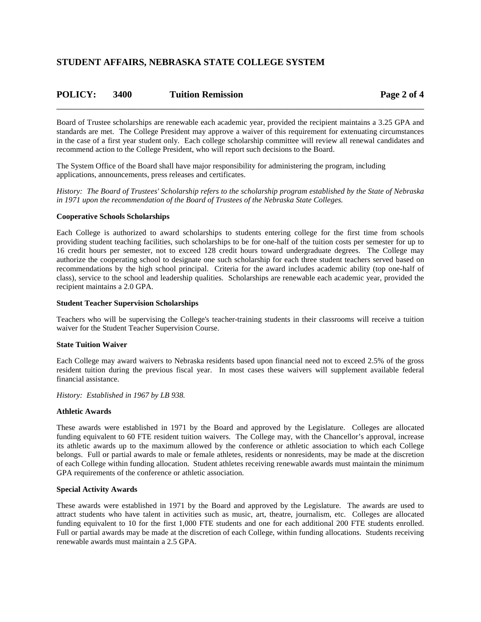| POLICY: | 3400 | <b>Tuition Remission</b> | Page 2 of 4 |
|---------|------|--------------------------|-------------|
|         |      |                          |             |

Board of Trustee scholarships are renewable each academic year, provided the recipient maintains a 3.25 GPA and standards are met. The College President may approve a waiver of this requirement for extenuating circumstances in the case of a first year student only. Each college scholarship committee will review all renewal candidates and recommend action to the College President, who will report such decisions to the Board.

The System Office of the Board shall have major responsibility for administering the program, including applications, announcements, press releases and certificates.

*History: The Board of Trustees' Scholarship refers to the scholarship program established by the State of Nebraska in 1971 upon the recommendation of the Board of Trustees of the Nebraska State Colleges.*

#### **Cooperative Schools Scholarships**

Each College is authorized to award scholarships to students entering college for the first time from schools providing student teaching facilities, such scholarships to be for one-half of the tuition costs per semester for up to 16 credit hours per semester, not to exceed 128 credit hours toward undergraduate degrees. The College may authorize the cooperating school to designate one such scholarship for each three student teachers served based on recommendations by the high school principal. Criteria for the award includes academic ability (top one-half of class), service to the school and leadership qualities. Scholarships are renewable each academic year, provided the recipient maintains a 2.0 GPA.

#### **Student Teacher Supervision Scholarships**

Teachers who will be supervising the College's teacher-training students in their classrooms will receive a tuition waiver for the Student Teacher Supervision Course.

#### **State Tuition Waiver**

Each College may award waivers to Nebraska residents based upon financial need not to exceed 2.5% of the gross resident tuition during the previous fiscal year. In most cases these waivers will supplement available federal financial assistance.

*History: Established in 1967 by LB 938.*

#### **Athletic Awards**

These awards were established in 1971 by the Board and approved by the Legislature. Colleges are allocated funding equivalent to 60 FTE resident tuition waivers. The College may, with the Chancellor's approval, increase its athletic awards up to the maximum allowed by the conference or athletic association to which each College belongs. Full or partial awards to male or female athletes, residents or nonresidents, may be made at the discretion of each College within funding allocation. Student athletes receiving renewable awards must maintain the minimum GPA requirements of the conference or athletic association.

#### **Special Activity Awards**

These awards were established in 1971 by the Board and approved by the Legislature. The awards are used to attract students who have talent in activities such as music, art, theatre, journalism, etc. Colleges are allocated funding equivalent to 10 for the first 1,000 FTE students and one for each additional 200 FTE students enrolled. Full or partial awards may be made at the discretion of each College, within funding allocations. Students receiving renewable awards must maintain a 2.5 GPA.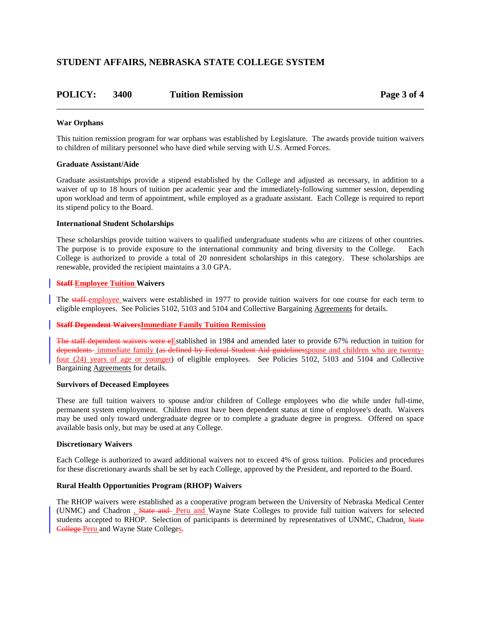# **STUDENT AFFAIRS, NEBRASKA STATE COLLEGE SYSTEM**

# **POLICY: 3400 Tuition Remission Page 3 of 4** \_\_\_\_\_\_\_\_\_\_\_\_\_\_\_\_\_\_\_\_\_\_\_\_\_\_\_\_\_\_\_\_\_\_\_\_\_\_\_\_\_\_\_\_\_\_\_\_\_\_\_\_\_\_\_\_\_\_\_\_\_\_\_\_\_\_\_\_\_\_\_\_\_\_\_\_\_\_

### **War Orphans**

This tuition remission program for war orphans was established by Legislature. The awards provide tuition waivers to children of military personnel who have died while serving with U.S. Armed Forces.

#### **Graduate Assistant/Aide**

Graduate assistantships provide a stipend established by the College and adjusted as necessary, in addition to a waiver of up to 18 hours of tuition per academic year and the immediately-following summer session, depending upon workload and term of appointment, while employed as a graduate assistant. Each College is required to report its stipend policy to the Board.

#### **International Student Scholarships**

These scholarships provide tuition waivers to qualified undergraduate students who are citizens of other countries. The purpose is to provide exposure to the international community and bring diversity to the College. Each College is authorized to provide a total of 20 nonresident scholarships in this category. These scholarships are renewable, provided the recipient maintains a 3.0 GPA.

#### **Staff Employee Tuition Waivers**

The staff-employee waivers were established in 1977 to provide tuition waivers for one course for each term to eligible employees. See Policies 5102, 5103 and 5104 and Collective Bargaining Agreements for details.

#### **Staff Dependent WaiversImmediate Family Tuition Remission**

The staff dependent waivers were eEstablished in 1984 and amended later to provide 67% reduction in tuition for dependents immediate family (as defined by Federal Student Aid guidelinesspouse and children who are twentyfour (24) years of age or younger) of eligible employees. See Policies 5102, 5103 and 5104 and Collective Bargaining Agreements for details.

#### **Survivors of Deceased Employees**

These are full tuition waivers to spouse and/or children of College employees who die while under full-time, permanent system employment. Children must have been dependent status at time of employee's death. Waivers may be used only toward undergraduate degree or to complete a graduate degree in progress. Offered on space available basis only, but may be used at any College.

#### **Discretionary Waivers**

Each College is authorized to award additional waivers not to exceed 4% of gross tuition. Policies and procedures for these discretionary awards shall be set by each College, approved by the President, and reported to the Board.

#### **Rural Health Opportunities Program (RHOP) Waivers**

The RHOP waivers were established as a cooperative program between the University of Nebraska Medical Center (UNMC) and Chadron , State and Peru and Wayne State Colleges to provide full tuition waivers for selected students accepted to RHOP. Selection of participants is determined by representatives of UNMC, Chadron, State College Peru and Wayne State Colleges.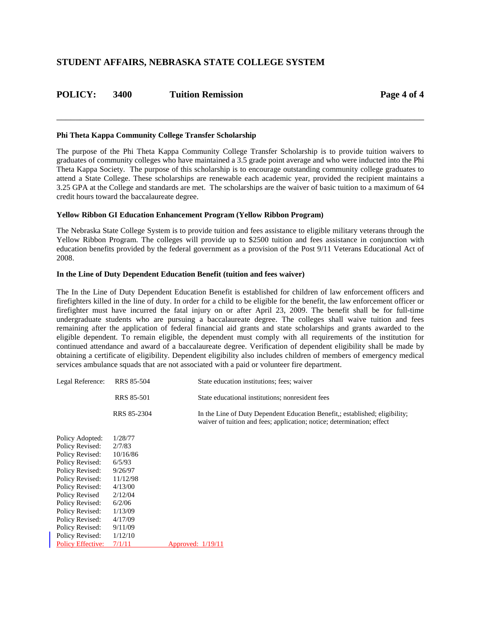# **STUDENT AFFAIRS, NEBRASKA STATE COLLEGE SYSTEM**

# **POLICY: 3400 Tuition Remission Page 4 of 4**

#### **Phi Theta Kappa Community College Transfer Scholarship**

The purpose of the Phi Theta Kappa Community College Transfer Scholarship is to provide tuition waivers to graduates of community colleges who have maintained a 3.5 grade point average and who were inducted into the Phi Theta Kappa Society. The purpose of this scholarship is to encourage outstanding community college graduates to attend a State College. These scholarships are renewable each academic year, provided the recipient maintains a 3.25 GPA at the College and standards are met. The scholarships are the waiver of basic tuition to a maximum of 64 credit hours toward the baccalaureate degree.

\_\_\_\_\_\_\_\_\_\_\_\_\_\_\_\_\_\_\_\_\_\_\_\_\_\_\_\_\_\_\_\_\_\_\_\_\_\_\_\_\_\_\_\_\_\_\_\_\_\_\_\_\_\_\_\_\_\_\_\_\_\_\_\_\_\_\_\_\_\_\_\_\_\_\_\_\_\_

#### **Yellow Ribbon GI Education Enhancement Program (Yellow Ribbon Program)**

The Nebraska State College System is to provide tuition and fees assistance to eligible military veterans through the Yellow Ribbon Program. The colleges will provide up to \$2500 tuition and fees assistance in conjunction with education benefits provided by the federal government as a provision of the Post 9/11 Veterans Educational Act of 2008.

#### **In the Line of Duty Dependent Education Benefit (tuition and fees waiver)**

The In the Line of Duty Dependent Education Benefit is established for children of law enforcement officers and firefighters killed in the line of duty. In order for a child to be eligible for the benefit, the law enforcement officer or firefighter must have incurred the fatal injury on or after April 23, 2009. The benefit shall be for full-time undergraduate students who are pursuing a baccalaureate degree. The colleges shall waive tuition and fees remaining after the application of federal financial aid grants and state scholarships and grants awarded to the eligible dependent. To remain eligible, the dependent must comply with all requirements of the institution for continued attendance and award of a baccalaureate degree. Verification of dependent eligibility shall be made by obtaining a certificate of eligibility. Dependent eligibility also includes children of members of emergency medical services ambulance squads that are not associated with a paid or volunteer fire department.

| Legal Reference:         | RRS 85-504        | State education institutions; fees; waiver                                                                                                           |
|--------------------------|-------------------|------------------------------------------------------------------------------------------------------------------------------------------------------|
|                          | <b>RRS 85-501</b> | State educational institutions; nonresident fees                                                                                                     |
|                          | RRS 85-2304       | In the Line of Duty Dependent Education Benefit, established; eligibility;<br>waiver of tuition and fees; application; notice; determination; effect |
| Policy Adopted:          | 1/28/77           |                                                                                                                                                      |
| Policy Revised:          | 2/7/83            |                                                                                                                                                      |
| Policy Revised:          | 10/16/86          |                                                                                                                                                      |
| Policy Revised:          | 6/5/93            |                                                                                                                                                      |
| Policy Revised:          | 9/26/97           |                                                                                                                                                      |
| Policy Revised:          | 11/12/98          |                                                                                                                                                      |
| Policy Revised:          | 4/13/00           |                                                                                                                                                      |
| Policy Revised           | 2/12/04           |                                                                                                                                                      |
| Policy Revised:          | 6/2/06            |                                                                                                                                                      |
| Policy Revised:          | 1/13/09           |                                                                                                                                                      |
| Policy Revised:          | 4/17/09           |                                                                                                                                                      |
| Policy Revised:          | 9/11/09           |                                                                                                                                                      |
| Policy Revised:          | 1/12/10           |                                                                                                                                                      |
| <b>Policy Effective:</b> | 7/1/11            | Approved: $1/19/11$                                                                                                                                  |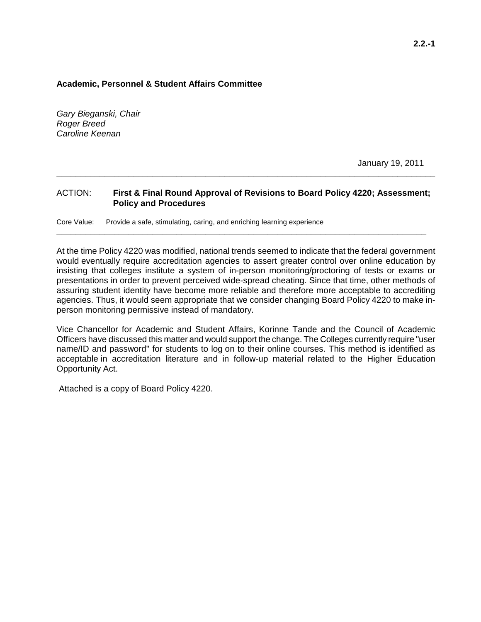# **Academic, Personnel & Student Affairs Committee**

*Gary Bieganski, Chair Roger Breed Caroline Keenan*

January 19, 2011

# ACTION: **First & Final Round Approval of Revisions to Board Policy 4220; Assessment; Policy and Procedures**

**\_\_\_\_\_\_\_\_\_\_\_\_\_\_\_\_\_\_\_\_\_\_\_\_\_\_\_\_\_\_\_\_\_\_\_\_\_\_\_\_\_\_\_\_\_\_\_\_\_\_\_\_\_\_\_\_\_\_\_\_\_\_\_\_\_\_\_\_\_\_\_\_\_\_\_\_\_**

**\_\_\_\_\_\_\_\_\_\_\_\_\_\_\_\_\_\_\_\_\_\_\_\_\_\_\_\_\_\_\_\_\_\_\_\_\_\_\_\_\_\_\_\_\_\_\_\_\_\_\_\_\_\_\_\_\_\_\_\_\_\_\_\_\_\_\_\_\_\_\_\_\_\_\_\_\_\_\_**

Core Value: Provide a safe, stimulating, caring, and enriching learning experience

At the time Policy 4220 was modified, national trends seemed to indicate that the federal government would eventually require accreditation agencies to assert greater control over online education by insisting that colleges institute a system of in-person monitoring/proctoring of tests or exams or presentations in order to prevent perceived wide-spread cheating. Since that time, other methods of assuring student identity have become more reliable and therefore more acceptable to accrediting agencies. Thus, it would seem appropriate that we consider changing Board Policy 4220 to make inperson monitoring permissive instead of mandatory.

Vice Chancellor for Academic and Student Affairs, Korinne Tande and the Council of Academic Officers have discussed this matter and would support the change. The Colleges currently require "user name/ID and password" for students to log on to their online courses. This method is identified as acceptable in accreditation literature and in follow-up material related to the Higher Education Opportunity Act.

Attached is a copy of Board Policy 4220.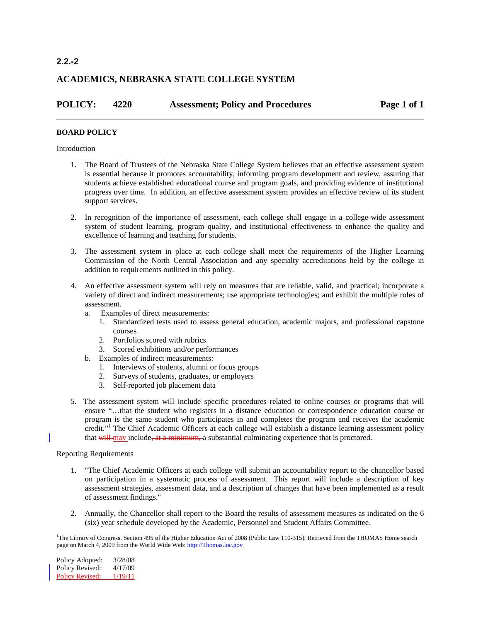# **ACADEMICS, NEBRASKA STATE COLLEGE SYSTEM**

| <b>POLICY:</b> | 4220 | <b>Assessment; Policy and Procedures</b> | Page 1 of 1 |
|----------------|------|------------------------------------------|-------------|
|                |      |                                          |             |

# **BOARD POLICY**

#### Introduction

- 1. The Board of Trustees of the Nebraska State College System believes that an effective assessment system is essential because it promotes accountability, informing program development and review, assuring that students achieve established educational course and program goals, and providing evidence of institutional progress over time. In addition, an effective assessment system provides an effective review of its student support services.
- 2. In recognition of the importance of assessment, each college shall engage in a college-wide assessment system of student learning, program quality, and institutional effectiveness to enhance the quality and excellence of learning and teaching for students.
- 3. The assessment system in place at each college shall meet the requirements of the Higher Learning Commission of the North Central Association and any specialty accreditations held by the college in addition to requirements outlined in this policy.
- 4. An effective assessment system will rely on measures that are reliable, valid, and practical; incorporate a variety of direct and indirect measurements; use appropriate technologies; and exhibit the multiple roles of assessment.
	- a. Examples of direct measurements:
		- 1. Standardized tests used to assess general education, academic majors, and professional capstone courses
		- 2. Portfolios scored with rubrics
		- 3. Scored exhibitions and/or performances
	- b. Examples of indirect measurements:
		- 1. Interviews of students, alumni or focus groups
		- 2. Surveys of students, graduates, or employers
		- 3. Self-reported job placement data
- 5. The assessment system will include specific procedures related to online courses or programs that will ensure "…that the student who registers in a distance education or correspondence education course or program is the same student who participates in and completes the program and receives the academic credit."<sup>1</sup> The Chief Academic Officers at each college will establish a distance learning assessment policy that will may include, at a minimum, a substantial culminating experience that is proctored.

### Reporting Requirements

- 1. "The Chief Academic Officers at each college will submit an accountability report to the chancellor based on participation in a systematic process of assessment. This report will include a description of key assessment strategies, assessment data, and a description of changes that have been implemented as a result of assessment findings."
- 2. Annually, the Chancellor shall report to the Board the results of assessment measures as indicated on the 6 (six) year schedule developed by the Academic, Personnel and Student Affairs Committee.

<sup>1</sup>The Library of Congress. Section 495 of the Higher Education Act of 2008 (Public Law 110-315). Retrieved from the THOMAS Home search page on March 4, 2009 from the World Wide Web[: http://Thomas.loc.gov](http://thomas.loc.gov/)

Policy Adopted: 3/28/08 Policy Revised:  $4/17/09$ Policy Revised: 1/19/11

# **2.2.-2**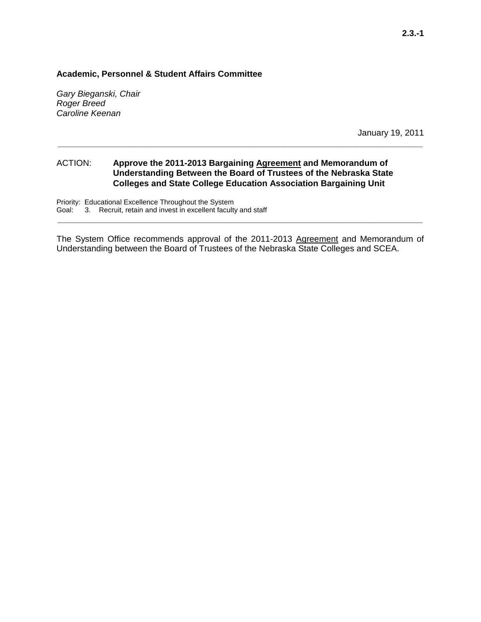# **Academic, Personnel & Student Affairs Committee**

*Gary Bieganski, Chair Roger Breed Caroline Keenan*

January 19, 2011

# ACTION: **Approve the 2011-2013 Bargaining Agreement and Memorandum of Understanding Between the Board of Trustees of the Nebraska State Colleges and State College Education Association Bargaining Unit**

**\_\_\_\_\_\_\_\_\_\_\_\_\_\_\_\_\_\_\_\_\_\_\_\_\_\_\_\_\_\_\_\_\_\_\_\_\_\_\_\_\_\_\_\_\_\_\_\_\_\_\_\_\_\_\_\_\_\_\_\_\_\_\_\_\_\_\_\_\_\_\_\_\_\_\_\_**

Priority: Educational Excellence Throughout the System Goal: 3. Recruit, retain and invest in excellent faculty and staff

The System Office recommends approval of the 2011-2013 Agreement and Memorandum of Understanding between the Board of Trustees of the Nebraska State Colleges and SCEA.

**\_\_\_\_\_\_\_\_\_\_\_\_\_\_\_\_\_\_\_\_\_\_\_\_\_\_\_\_\_\_\_\_\_\_\_\_\_\_\_\_\_\_\_\_\_\_\_\_\_\_\_\_\_\_\_\_\_\_\_\_\_\_\_\_\_\_\_\_\_\_\_\_\_\_\_\_**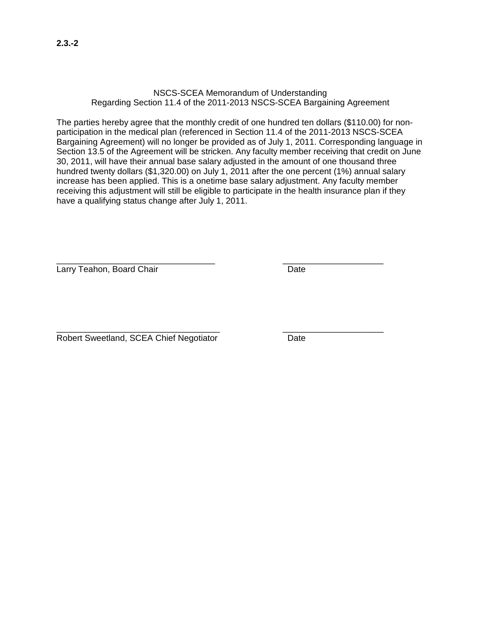# NSCS-SCEA Memorandum of Understanding Regarding Section 11.4 of the 2011-2013 NSCS-SCEA Bargaining Agreement

The parties hereby agree that the monthly credit of one hundred ten dollars (\$110.00) for nonparticipation in the medical plan (referenced in Section 11.4 of the 2011-2013 NSCS-SCEA Bargaining Agreement) will no longer be provided as of July 1, 2011. Corresponding language in Section 13.5 of the Agreement will be stricken. Any faculty member receiving that credit on June 30, 2011, will have their annual base salary adjusted in the amount of one thousand three hundred twenty dollars (\$1,320.00) on July 1, 2011 after the one percent (1%) annual salary increase has been applied. This is a onetime base salary adjustment. Any faculty member receiving this adjustment will still be eligible to participate in the health insurance plan if they have a qualifying status change after July 1, 2011.

\_\_\_\_\_\_\_\_\_\_\_\_\_\_\_\_\_\_\_\_\_\_\_\_\_\_\_\_\_\_\_\_\_ \_\_\_\_\_\_\_\_\_\_\_\_\_\_\_\_\_\_\_\_\_ Larry Teahon, Board Chair **Date** Date

\_\_\_\_\_\_\_\_\_\_\_\_\_\_\_\_\_\_\_\_\_\_\_\_\_\_\_\_\_\_\_\_\_\_ \_\_\_\_\_\_\_\_\_\_\_\_\_\_\_\_\_\_\_\_\_ Robert Sweetland, SCEA Chief Negotiator Date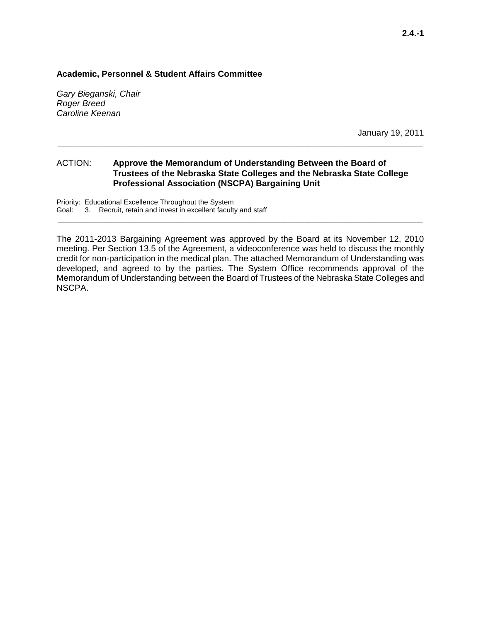# **Academic, Personnel & Student Affairs Committee**

*Gary Bieganski, Chair Roger Breed Caroline Keenan*

January 19, 2011

# ACTION: **Approve the Memorandum of Understanding Between the Board of Trustees of the Nebraska State Colleges and the Nebraska State College Professional Association (NSCPA) Bargaining Unit**

**\_\_\_\_\_\_\_\_\_\_\_\_\_\_\_\_\_\_\_\_\_\_\_\_\_\_\_\_\_\_\_\_\_\_\_\_\_\_\_\_\_\_\_\_\_\_\_\_\_\_\_\_\_\_\_\_\_\_\_\_\_\_\_\_\_\_\_\_\_\_\_\_\_\_\_\_**

Priority: Educational Excellence Throughout the System Goal: 3. Recruit, retain and invest in excellent faculty and staff

The 2011-2013 Bargaining Agreement was approved by the Board at its November 12, 2010 meeting. Per Section 13.5 of the Agreement, a videoconference was held to discuss the monthly credit for non-participation in the medical plan. The attached Memorandum of Understanding was developed, and agreed to by the parties. The System Office recommends approval of the Memorandum of Understanding between the Board of Trustees of the Nebraska State Colleges and NSCPA.

**\_\_\_\_\_\_\_\_\_\_\_\_\_\_\_\_\_\_\_\_\_\_\_\_\_\_\_\_\_\_\_\_\_\_\_\_\_\_\_\_\_\_\_\_\_\_\_\_\_\_\_\_\_\_\_\_\_\_\_\_\_\_\_\_\_\_\_\_\_\_\_\_\_\_\_\_**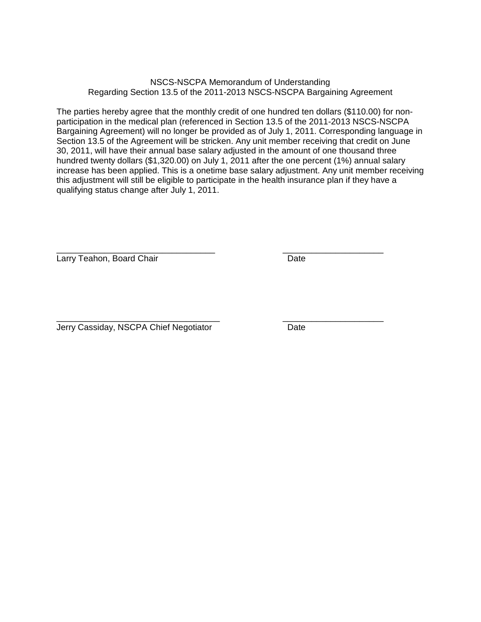# NSCS-NSCPA Memorandum of Understanding Regarding Section 13.5 of the 2011-2013 NSCS-NSCPA Bargaining Agreement

The parties hereby agree that the monthly credit of one hundred ten dollars (\$110.00) for nonparticipation in the medical plan (referenced in Section 13.5 of the 2011-2013 NSCS-NSCPA Bargaining Agreement) will no longer be provided as of July 1, 2011. Corresponding language in Section 13.5 of the Agreement will be stricken. Any unit member receiving that credit on June 30, 2011, will have their annual base salary adjusted in the amount of one thousand three hundred twenty dollars (\$1,320.00) on July 1, 2011 after the one percent (1%) annual salary increase has been applied. This is a onetime base salary adjustment. Any unit member receiving this adjustment will still be eligible to participate in the health insurance plan if they have a qualifying status change after July 1, 2011.

\_\_\_\_\_\_\_\_\_\_\_\_\_\_\_\_\_\_\_\_\_\_\_\_\_\_\_\_\_\_\_\_\_ \_\_\_\_\_\_\_\_\_\_\_\_\_\_\_\_\_\_\_\_\_ Larry Teahon, Board Chair **Date** Date

\_\_\_\_\_\_\_\_\_\_\_\_\_\_\_\_\_\_\_\_\_\_\_\_\_\_\_\_\_\_\_\_\_\_ \_\_\_\_\_\_\_\_\_\_\_\_\_\_\_\_\_\_\_\_\_ Jerry Cassiday, NSCPA Chief Negotiator **Date**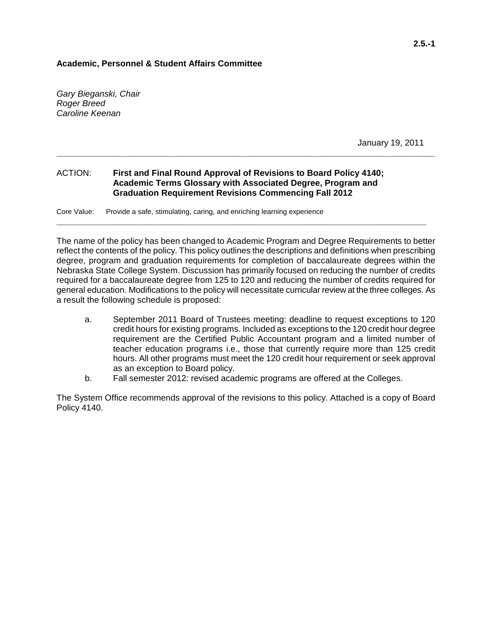## **Academic, Personnel & Student Affairs Committee**

*Gary Bieganski, Chair Roger Breed Caroline Keenan*

January 19, 2011

## ACTION: **First and Final Round Approval of Revisions to Board Policy 4140; Academic Terms Glossary with Associated Degree, Program and Graduation Requirement Revisions Commencing Fall 2012**

Core Value: Provide a safe, stimulating, caring, and enriching learning experience

The name of the policy has been changed to Academic Program and Degree Requirements to better reflect the contents of the policy. This policy outlines the descriptions and definitions when prescribing degree, program and graduation requirements for completion of baccalaureate degrees within the Nebraska State College System. Discussion has primarily focused on reducing the number of credits required for a baccalaureate degree from 125 to 120 and reducing the number of credits required for general education. Modifications to the policy will necessitate curricular review at the three colleges. As a result the following schedule is proposed:

**\_\_\_\_\_\_\_\_\_\_\_\_\_\_\_\_\_\_\_\_\_\_\_\_\_\_\_\_\_\_\_\_\_\_\_\_\_\_\_\_\_\_\_\_\_\_\_\_\_\_\_\_\_\_\_\_\_\_\_\_\_\_\_\_\_\_\_\_\_\_\_\_\_\_\_\_\_**

**\_\_\_\_\_\_\_\_\_\_\_\_\_\_\_\_\_\_\_\_\_\_\_\_\_\_\_\_\_\_\_\_\_\_\_\_\_\_\_\_\_\_\_\_\_\_\_\_\_\_\_\_\_\_\_\_\_\_\_\_\_\_\_\_\_\_\_\_\_\_\_\_\_\_\_\_\_\_\_**

- a. September 2011 Board of Trustees meeting: deadline to request exceptions to 120 credit hours for existing programs. Included as exceptions to the 120 credit hour degree requirement are the Certified Public Accountant program and a limited number of teacher education programs i.e., those that currently require more than 125 credit hours. All other programs must meet the 120 credit hour requirement or seek approval as an exception to Board policy.
- b. Fall semester 2012: revised academic programs are offered at the Colleges.

The System Office recommends approval of the revisions to this policy. Attached is a copy of Board Policy 4140.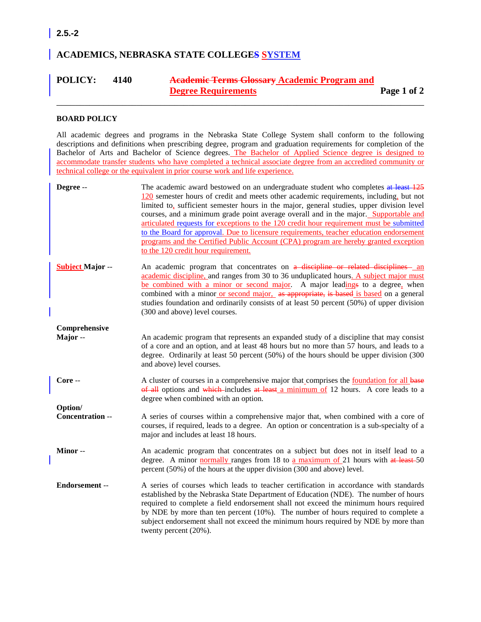# **ACADEMICS, NEBRASKA STATE COLLEGES SYSTEM**

# **POLICY: 4140 Academic Terms Glossary Academic Program and Degree Requirements Page 1 of 2**

\_\_\_\_\_\_\_\_\_\_\_\_\_\_\_\_\_\_\_\_\_\_\_\_\_\_\_\_\_\_\_\_\_\_\_\_\_\_\_\_\_\_\_\_\_\_\_\_\_\_\_\_\_\_\_\_\_\_\_\_\_\_\_\_\_\_\_\_\_\_\_\_\_\_\_\_\_\_

#### **BOARD POLICY**

All academic degrees and programs in the Nebraska State College System shall conform to the following descriptions and definitions when prescribing degree, program and graduation requirements for completion of the Bachelor of Arts and Bachelor of Science degrees. The Bachelor of Applied Science degree is designed to accommodate transfer students who have completed a technical associate degree from an accredited community or technical college or the equivalent in prior course work and life experience.

| Degree --                   | The academic award bestowed on an undergraduate student who completes at least 125<br>$\frac{120}{2}$ semester hours of credit and meets other academic requirements, including, but not<br>limited to, sufficient semester hours in the major, general studies, upper division level<br>courses, and a minimum grade point average overall and in the major. Supportable and<br>articulated requests for exceptions to the 120 credit hour requirement must be submitted<br>to the Board for approval. Due to licensure requirements, teacher education endorsement<br>programs and the Certified Public Account (CPA) program are hereby granted exception<br>to the 120 credit hour requirement. |
|-----------------------------|-----------------------------------------------------------------------------------------------------------------------------------------------------------------------------------------------------------------------------------------------------------------------------------------------------------------------------------------------------------------------------------------------------------------------------------------------------------------------------------------------------------------------------------------------------------------------------------------------------------------------------------------------------------------------------------------------------|
| <b>Subject Major --</b>     | An academic program that concentrates on a discipline or related disciplines - an<br>academic discipline, and ranges from 30 to 36 unduplicated hours. A subject major must<br>be combined with a minor or second major. A major leadings to a degree, when<br>combined with a minor or second major, as appropriate, is based is based on a general<br>studies foundation and ordinarily consists of at least 50 percent (50%) of upper division<br>(300 and above) level courses.                                                                                                                                                                                                                 |
| Comprehensive<br>Major-     | An academic program that represents an expanded study of a discipline that may consist<br>of a core and an option, and at least 48 hours but no more than 57 hours, and leads to a<br>degree. Ordinarily at least 50 percent (50%) of the hours should be upper division (300<br>and above) level courses.                                                                                                                                                                                                                                                                                                                                                                                          |
| Core --                     | A cluster of courses in a comprehensive major that comprises the foundation for all base<br>$\theta$ all options and which includes at least a minimum of 12 hours. A core leads to a<br>degree when combined with an option.                                                                                                                                                                                                                                                                                                                                                                                                                                                                       |
| Option/<br>Concentration -- | A series of courses within a comprehensive major that, when combined with a core of<br>courses, if required, leads to a degree. An option or concentration is a sub-specialty of a<br>major and includes at least 18 hours.                                                                                                                                                                                                                                                                                                                                                                                                                                                                         |
| Minor-                      | An academic program that concentrates on a subject but does not in itself lead to a<br>degree. A minor normally ranges from 18 to a maximum of 21 hours with $at$ least 50<br>percent (50%) of the hours at the upper division (300 and above) level.                                                                                                                                                                                                                                                                                                                                                                                                                                               |
| Endorsement-                | A series of courses which leads to teacher certification in accordance with standards<br>established by the Nebraska State Department of Education (NDE). The number of hours<br>required to complete a field endorsement shall not exceed the minimum hours required<br>by NDE by more than ten percent $(10%)$ . The number of hours required to complete a<br>subject endorsement shall not exceed the minimum hours required by NDE by more than<br>twenty percent (20%).                                                                                                                                                                                                                       |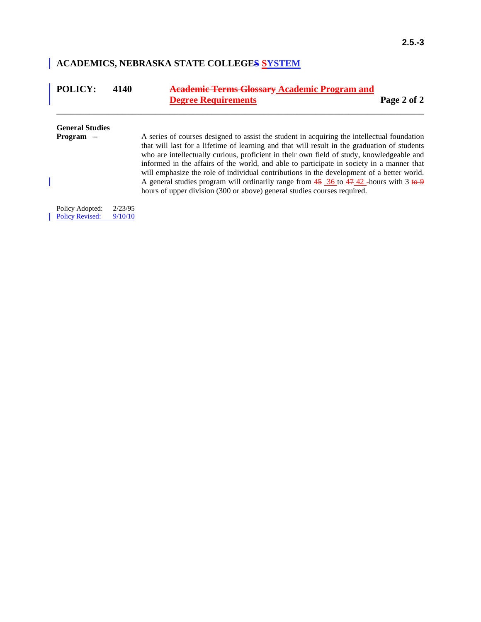# **ACADEMICS, NEBRASKA STATE COLLEGES SYSTEM**

| <b>POLICY:</b>                            | 4140               | <b>Academic Terms Glossary Academic Program and</b><br><b>Degree Requirements</b>                                                                                                                                                                                                         | Page 2 of 2 |
|-------------------------------------------|--------------------|-------------------------------------------------------------------------------------------------------------------------------------------------------------------------------------------------------------------------------------------------------------------------------------------|-------------|
| <b>General Studies</b><br>Program --      |                    | A series of courses designed to assist the student in acquiring the intellectual foundation                                                                                                                                                                                               |             |
|                                           |                    | that will last for a lifetime of learning and that will result in the graduation of students<br>who are intellectually curious, proficient in their own field of study, knowledgeable and<br>informed in the affairs of the world, and able to participate in society in a manner that    |             |
|                                           |                    | will emphasize the role of individual contributions in the development of a better world.<br>A general studies program will ordinarily range from $45 \frac{36}{10}$ to $47 \frac{42}{10}$ -hours with 3 to 9<br>hours of upper division (300 or above) general studies courses required. |             |
| Policy Adopted:<br><b>Policy Revised:</b> | 2/23/95<br>9/10/10 |                                                                                                                                                                                                                                                                                           |             |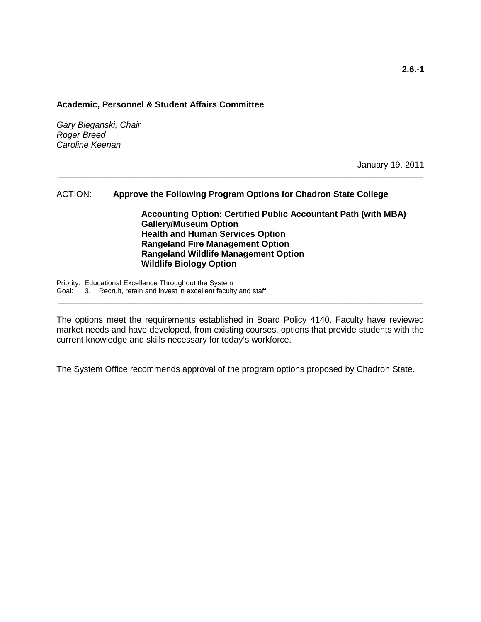#### **Academic, Personnel & Student Affairs Committee**

*Gary Bieganski, Chair Roger Breed Caroline Keenan*

January 19, 2011

# ACTION: **Approve the Following Program Options for Chadron State College**

**\_\_\_\_\_\_\_\_\_\_\_\_\_\_\_\_\_\_\_\_\_\_\_\_\_\_\_\_\_\_\_\_\_\_\_\_\_\_\_\_\_\_\_\_\_\_\_\_\_\_\_\_\_\_\_\_\_\_\_\_\_\_\_\_\_\_\_\_\_\_\_\_\_\_\_\_**

**Accounting Option: Certified Public Accountant Path (with MBA) Gallery/Museum Option Health and Human Services Option Rangeland Fire Management Option Rangeland Wildlife Management Option Wildlife Biology Option**

Priority: Educational Excellence Throughout the System Goal: 3. Recruit, retain and invest in excellent faculty and staff

The options meet the requirements established in Board Policy 4140. Faculty have reviewed market needs and have developed, from existing courses, options that provide students with the current knowledge and skills necessary for today's workforce.

**\_\_\_\_\_\_\_\_\_\_\_\_\_\_\_\_\_\_\_\_\_\_\_\_\_\_\_\_\_\_\_\_\_\_\_\_\_\_\_\_\_\_\_\_\_\_\_\_\_\_\_\_\_\_\_\_\_\_\_\_\_\_\_\_\_\_\_\_\_\_\_\_\_\_\_\_**

The System Office recommends approval of the program options proposed by Chadron State.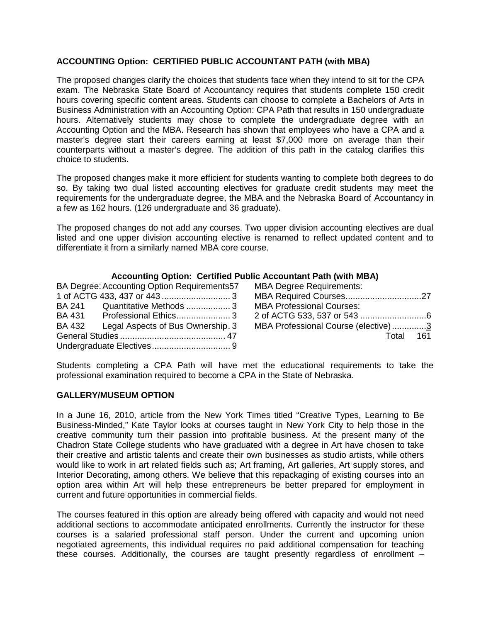# **ACCOUNTING Option: CERTIFIED PUBLIC ACCOUNTANT PATH (with MBA)**

The proposed changes clarify the choices that students face when they intend to sit for the CPA exam. The Nebraska State Board of Accountancy requires that students complete 150 credit hours covering specific content areas. Students can choose to complete a Bachelors of Arts in Business Administration with an Accounting Option: CPA Path that results in 150 undergraduate hours. Alternatively students may chose to complete the undergraduate degree with an Accounting Option and the MBA. Research has shown that employees who have a CPA and a master's degree start their careers earning at least \$7,000 more on average than their counterparts without a master's degree. The addition of this path in the catalog clarifies this choice to students.

The proposed changes make it more efficient for students wanting to complete both degrees to do so. By taking two dual listed accounting electives for graduate credit students may meet the requirements for the undergraduate degree, the MBA and the Nebraska Board of Accountancy in a few as 162 hours. (126 undergraduate and 36 graduate).

The proposed changes do not add any courses. Two upper division accounting electives are dual listed and one upper division accounting elective is renamed to reflect updated content and to differentiate it from a similarly named MBA core course.

# **Accounting Option: Certified Public Accountant Path (with MBA)**

|        | BA Degree: Accounting Option Requirements57 | <b>MBA Degree Requirements:</b>     |  |
|--------|---------------------------------------------|-------------------------------------|--|
|        |                                             |                                     |  |
|        | BA 241 Quantitative Methods 3               | <b>MBA Professional Courses:</b>    |  |
| BA 431 |                                             |                                     |  |
| BA 432 | Legal Aspects of Bus Ownership. 3           | MBA Professional Course (elective)3 |  |
|        |                                             | Total 161                           |  |
|        |                                             |                                     |  |

Students completing a CPA Path will have met the educational requirements to take the professional examination required to become a CPA in the State of Nebraska.

# **GALLERY/MUSEUM OPTION**

In a June 16, 2010, article from the New York Times titled "Creative Types, Learning to Be Business-Minded," Kate Taylor looks at courses taught in New York City to help those in the creative community turn their passion into profitable business. At the present many of the Chadron State College students who have graduated with a degree in Art have chosen to take their creative and artistic talents and create their own businesses as studio artists, while others would like to work in art related fields such as; Art framing, Art galleries, Art supply stores, and Interior Decorating, among others. We believe that this repackaging of existing courses into an option area within Art will help these entrepreneurs be better prepared for employment in current and future opportunities in commercial fields.

The courses featured in this option are already being offered with capacity and would not need additional sections to accommodate anticipated enrollments. Currently the instructor for these courses is a salaried professional staff person. Under the current and upcoming union negotiated agreements, this individual requires no paid additional compensation for teaching these courses. Additionally, the courses are taught presently regardless of enrollment –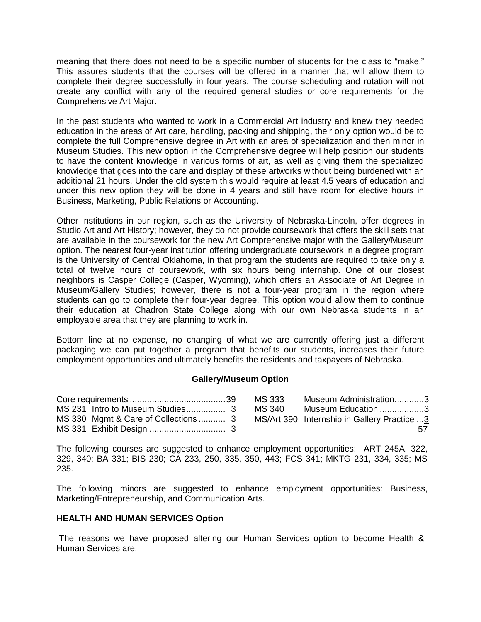meaning that there does not need to be a specific number of students for the class to "make." This assures students that the courses will be offered in a manner that will allow them to complete their degree successfully in four years. The course scheduling and rotation will not create any conflict with any of the required general studies or core requirements for the Comprehensive Art Major.

In the past students who wanted to work in a Commercial Art industry and knew they needed education in the areas of Art care, handling, packing and shipping, their only option would be to complete the full Comprehensive degree in Art with an area of specialization and then minor in Museum Studies. This new option in the Comprehensive degree will help position our students to have the content knowledge in various forms of art, as well as giving them the specialized knowledge that goes into the care and display of these artworks without being burdened with an additional 21 hours. Under the old system this would require at least 4.5 years of education and under this new option they will be done in 4 years and still have room for elective hours in Business, Marketing, Public Relations or Accounting.

Other institutions in our region, such as the University of Nebraska-Lincoln, offer degrees in Studio Art and Art History; however, they do not provide coursework that offers the skill sets that are available in the coursework for the new Art Comprehensive major with the Gallery/Museum option. The nearest four-year institution offering undergraduate coursework in a degree program is the University of Central Oklahoma, in that program the students are required to take only a total of twelve hours of coursework, with six hours being internship. One of our closest neighbors is Casper College (Casper, Wyoming), which offers an Associate of Art Degree in Museum/Gallery Studies; however, there is not a four-year program in the region where students can go to complete their four-year degree. This option would allow them to continue their education at Chadron State College along with our own Nebraska students in an employable area that they are planning to work in.

Bottom line at no expense, no changing of what we are currently offering just a different packaging we can put together a program that benefits our students, increases their future employment opportunities and ultimately benefits the residents and taxpayers of Nebraska.

## **Gallery/Museum Option**

|                                     | MS 333 | Museum Administration3                      |    |
|-------------------------------------|--------|---------------------------------------------|----|
|                                     | MS 340 | Museum Education 3                          |    |
| MS 330 Mgmt & Care of Collections 3 |        | MS/Art 390 Internship in Gallery Practice 3 |    |
|                                     |        |                                             | 57 |

The following courses are suggested to enhance employment opportunities: ART 245A, 322, 329, 340; BA 331; BIS 230; CA 233, 250, 335, 350, 443; FCS 341; MKTG 231, 334, 335; MS 235.

The following minors are suggested to enhance employment opportunities: Business, Marketing/Entrepreneurship, and Communication Arts.

## **HEALTH AND HUMAN SERVICES Option**

The reasons we have proposed altering our Human Services option to become Health & Human Services are: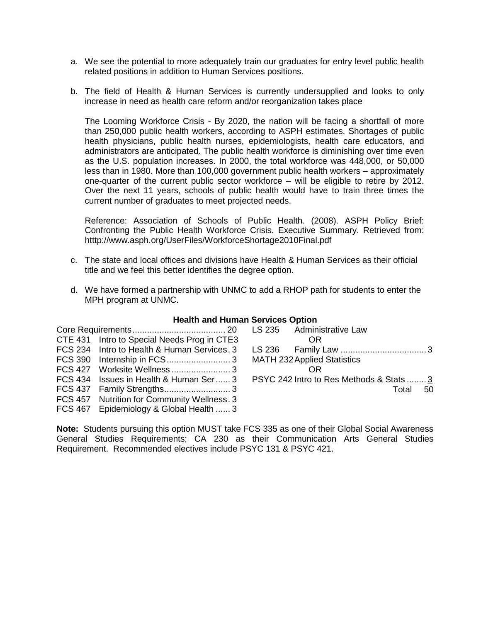- a. We see the potential to more adequately train our graduates for entry level public health related positions in addition to Human Services positions.
- b. The field of Health & Human Services is currently undersupplied and looks to only increase in need as health care reform and/or reorganization takes place

The Looming Workforce Crisis - By 2020, the nation will be facing a shortfall of more than 250,000 public health workers, according to ASPH estimates. Shortages of public health physicians, public health nurses, epidemiologists, health care educators, and administrators are anticipated. The public health workforce is diminishing over time even as the U.S. population increases. In 2000, the total workforce was 448,000, or 50,000 less than in 1980. More than 100,000 government public health workers – approximately one-quarter of the current public sector workforce – will be eligible to retire by 2012. Over the next 11 years, schools of public health would have to train three times the current number of graduates to meet projected needs.

Reference: Association of Schools of Public Health. (2008). ASPH Policy Brief: Confronting the Public Health Workforce Crisis. Executive Summary. Retrieved from: htttp://www.asph.org/UserFiles/WorkforceShortage2010Final.pdf

- c. The state and local offices and divisions have Health & Human Services as their official title and we feel this better identifies the degree option.
- d. We have formed a partnership with UNMC to add a RHOP path for students to enter the MPH program at UNMC.

| <b>Health and Human Services Option</b> |  |  |  |
|-----------------------------------------|--|--|--|
|-----------------------------------------|--|--|--|

| CTE 431 Intro to Special Needs Prog in CTE3                                     | 0R                                 |       |      |
|---------------------------------------------------------------------------------|------------------------------------|-------|------|
| FCS 234 Intro to Health & Human Services. 3                                     |                                    |       |      |
|                                                                                 | <b>MATH 232 Applied Statistics</b> |       |      |
|                                                                                 | OR                                 |       |      |
| FCS 434 Issues in Health & Human Ser 3 PSYC 242 Intro to Res Methods & Stats  3 |                                    |       |      |
|                                                                                 |                                    | Total | - 50 |
| FCS 457 Nutrition for Community Wellness. 3                                     |                                    |       |      |
| FCS 467 Epidemiology & Global Health  3                                         |                                    |       |      |

**Note:** Students pursuing this option MUST take FCS 335 as one of their Global Social Awareness General Studies Requirements; CA 230 as their Communication Arts General Studies Requirement. Recommended electives include PSYC 131 & PSYC 421.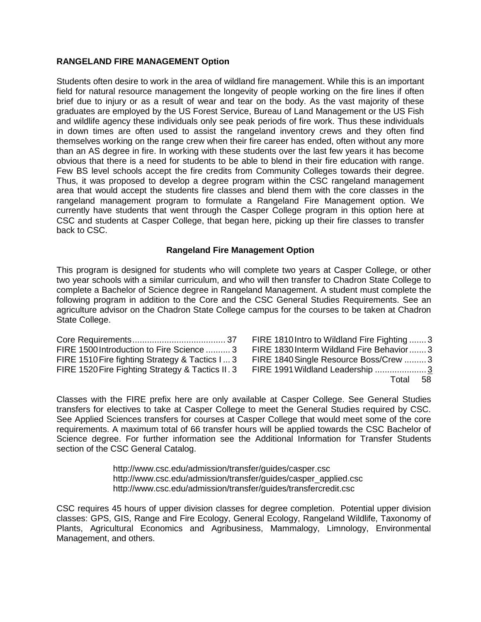# **RANGELAND FIRE MANAGEMENT Option**

Students often desire to work in the area of wildland fire management. While this is an important field for natural resource management the longevity of people working on the fire lines if often brief due to injury or as a result of wear and tear on the body. As the vast majority of these graduates are employed by the US Forest Service, Bureau of Land Management or the US Fish and wildlife agency these individuals only see peak periods of fire work. Thus these individuals in down times are often used to assist the rangeland inventory crews and they often find themselves working on the range crew when their fire career has ended, often without any more than an AS degree in fire. In working with these students over the last few years it has become obvious that there is a need for students to be able to blend in their fire education with range. Few BS level schools accept the fire credits from Community Colleges towards their degree. Thus, it was proposed to develop a degree program within the CSC rangeland management area that would accept the students fire classes and blend them with the core classes in the rangeland management program to formulate a Rangeland Fire Management option. We currently have students that went through the Casper College program in this option here at CSC and students at Casper College, that began here, picking up their fire classes to transfer back to CSC.

## **Rangeland Fire Management Option**

This program is designed for students who will complete two years at Casper College, or other two year schools with a similar curriculum, and who will then transfer to Chadron State College to complete a Bachelor of Science degree in Rangeland Management. A student must complete the following program in addition to the Core and the CSC General Studies Requirements. See an agriculture advisor on the Chadron State College campus for the courses to be taken at Chadron State College.

| FIRE 1500 Introduction to Fire Science  3        |  |
|--------------------------------------------------|--|
| FIRE 1510 Fire fighting Strategy & Tactics I 3   |  |
| FIRE 1520 Fire Fighting Strategy & Tactics II. 3 |  |

FIRE 1810Intro to Wildland Fire Fighting ....... 3 FIRE 1830Interm Wildland Fire Behavior....... 3 FIRE 1840Single Resource Boss/Crew ......... 3 FIRE 1991Wildland Leadership ..................... 3 Total 58

Classes with the FIRE prefix here are only available at Casper College. See General Studies transfers for electives to take at Casper College to meet the General Studies required by CSC. See Applied Sciences transfers for courses at Casper College that would meet some of the core requirements. A maximum total of 66 transfer hours will be applied towards the CSC Bachelor of Science degree. For further information see the Additional Information for Transfer Students section of the CSC General Catalog.

> http://www.csc.edu/admission/transfer/guides/casper.csc http://www.csc.edu/admission/transfer/guides/casper\_applied.csc http://www.csc.edu/admission/transfer/guides/transfercredit.csc

CSC requires 45 hours of upper division classes for degree completion. Potential upper division classes: GPS, GIS, Range and Fire Ecology, General Ecology, Rangeland Wildlife, Taxonomy of Plants, Agricultural Economics and Agribusiness, Mammalogy, Limnology, Environmental Management, and others.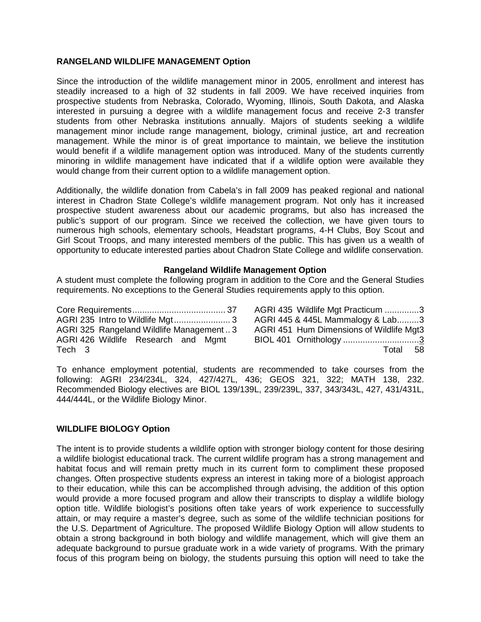# **RANGELAND WILDLIFE MANAGEMENT Option**

Since the introduction of the wildlife management minor in 2005, enrollment and interest has steadily increased to a high of 32 students in fall 2009. We have received inquiries from prospective students from Nebraska, Colorado, Wyoming, Illinois, South Dakota, and Alaska interested in pursuing a degree with a wildlife management focus and receive 2-3 transfer students from other Nebraska institutions annually. Majors of students seeking a wildlife management minor include range management, biology, criminal justice, art and recreation management. While the minor is of great importance to maintain, we believe the institution would benefit if a wildlife management option was introduced. Many of the students currently minoring in wildlife management have indicated that if a wildlife option were available they would change from their current option to a wildlife management option.

Additionally, the wildlife donation from Cabela's in fall 2009 has peaked regional and national interest in Chadron State College's wildlife management program. Not only has it increased prospective student awareness about our academic programs, but also has increased the public's support of our program. Since we received the collection, we have given tours to numerous high schools, elementary schools, Headstart programs, 4-H Clubs, Boy Scout and Girl Scout Troops, and many interested members of the public. This has given us a wealth of opportunity to educate interested parties about Chadron State College and wildlife conservation.

## **Rangeland Wildlife Management Option**

A student must complete the following program in addition to the Core and the General Studies requirements. No exceptions to the General Studies requirements apply to this option.

|                                         | AGRI 435 Wildlife Mgt Practicum 3        |
|-----------------------------------------|------------------------------------------|
|                                         | AGRI 445 & 445L Mammalogy & Lab3         |
| AGRI 325 Rangeland Wildlife Management3 | AGRI 451 Hum Dimensions of Wildlife Mgt3 |
| AGRI 426 Wildlife Research and Mgmt     | BIOL 401 Ornithology 3                   |
| Tech 3                                  | Total 58                                 |

To enhance employment potential, students are recommended to take courses from the following: AGRI 234/234L, 324, 427/427L, 436; GEOS 321, 322; MATH 138, 232. Recommended Biology electives are BIOL 139/139L, 239/239L, 337, 343/343L, 427, 431/431L, 444/444L, or the Wildlife Biology Minor.

## **WILDLIFE BIOLOGY Option**

The intent is to provide students a wildlife option with stronger biology content for those desiring a wildlife biologist educational track. The current wildlife program has a strong management and habitat focus and will remain pretty much in its current form to compliment these proposed changes. Often prospective students express an interest in taking more of a biologist approach to their education, while this can be accomplished through advising, the addition of this option would provide a more focused program and allow their transcripts to display a wildlife biology option title. Wildlife biologist's positions often take years of work experience to successfully attain, or may require a master's degree, such as some of the wildlife technician positions for the U.S. Department of Agriculture. The proposed Wildlife Biology Option will allow students to obtain a strong background in both biology and wildlife management, which will give them an adequate background to pursue graduate work in a wide variety of programs. With the primary focus of this program being on biology, the students pursuing this option will need to take the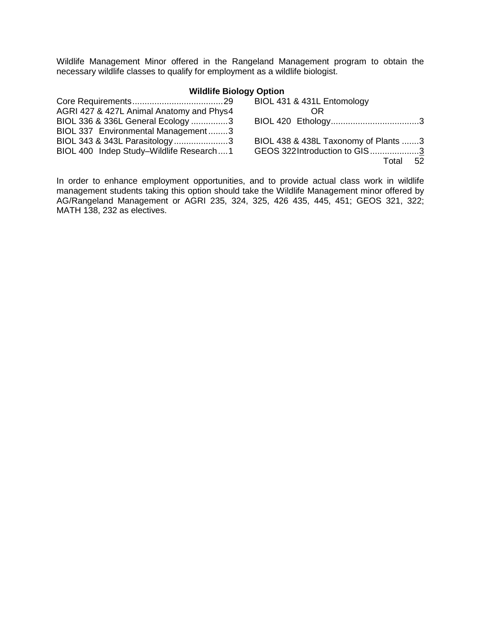Wildlife Management Minor offered in the Rangeland Management program to obtain the necessary wildlife classes to qualify for employment as a wildlife biologist.

# **Wildlife Biology Option**

|                                          | BIOL 431 & 431L Entomology           |
|------------------------------------------|--------------------------------------|
| AGRI 427 & 427L Animal Anatomy and Phys4 | 0R                                   |
| BIOL 336 & 336L General Ecology 3        |                                      |
| BIOL 337 Environmental Management3       |                                      |
| BIOL 343 & 343L Parasitology3            | BIOL 438 & 438L Taxonomy of Plants 3 |
| BIOL 400 Indep Study-Wildlife Research1  | GEOS 322Introduction to GIS3         |
|                                          | Total 52                             |

In order to enhance employment opportunities, and to provide actual class work in wildlife management students taking this option should take the Wildlife Management minor offered by AG/Rangeland Management or AGRI 235, 324, 325, 426 435, 445, 451; GEOS 321, 322; MATH 138, 232 as electives.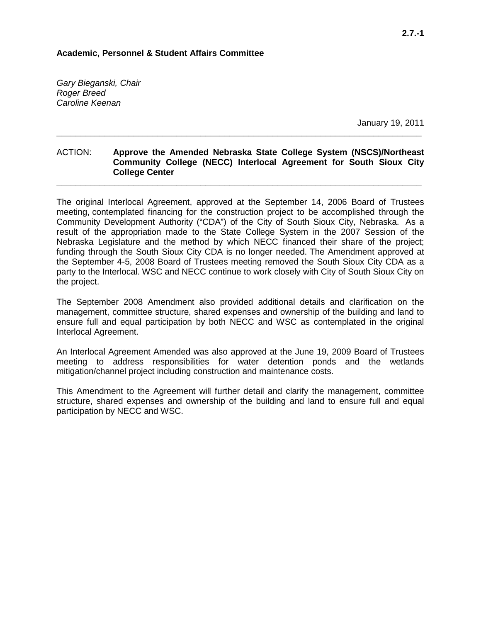#### **Academic, Personnel & Student Affairs Committee**

*Gary Bieganski, Chair Roger Breed Caroline Keenan*

January 19, 2011

## ACTION: **Approve the Amended Nebraska State College System (NSCS)/Northeast Community College (NECC) Interlocal Agreement for South Sioux City College Center**

**\_\_\_\_\_\_\_\_\_\_\_\_\_\_\_\_\_\_\_\_\_\_\_\_\_\_\_\_\_\_\_\_\_\_\_\_\_\_\_\_\_\_\_\_\_\_\_\_\_\_\_\_\_\_\_\_\_\_\_\_\_\_\_\_\_\_\_\_\_\_\_\_\_\_\_\_**

**\_\_\_\_\_\_\_\_\_\_\_\_\_\_\_\_\_\_\_\_\_\_\_\_\_\_\_\_\_\_\_\_\_\_\_\_\_\_\_\_\_\_\_\_\_\_\_\_\_\_\_\_\_\_\_\_\_\_\_\_\_\_\_\_\_\_\_\_\_\_\_\_\_\_\_\_**

The original Interlocal Agreement, approved at the September 14, 2006 Board of Trustees meeting, contemplated financing for the construction project to be accomplished through the Community Development Authority ("CDA") of the City of South Sioux City, Nebraska. As a result of the appropriation made to the State College System in the 2007 Session of the Nebraska Legislature and the method by which NECC financed their share of the project; funding through the South Sioux City CDA is no longer needed. The Amendment approved at the September 4-5, 2008 Board of Trustees meeting removed the South Sioux City CDA as a party to the Interlocal. WSC and NECC continue to work closely with City of South Sioux City on the project.

The September 2008 Amendment also provided additional details and clarification on the management, committee structure, shared expenses and ownership of the building and land to ensure full and equal participation by both NECC and WSC as contemplated in the original Interlocal Agreement.

An Interlocal Agreement Amended was also approved at the June 19, 2009 Board of Trustees meeting to address responsibilities for water detention ponds and the wetlands mitigation/channel project including construction and maintenance costs.

This Amendment to the Agreement will further detail and clarify the management, committee structure, shared expenses and ownership of the building and land to ensure full and equal participation by NECC and WSC.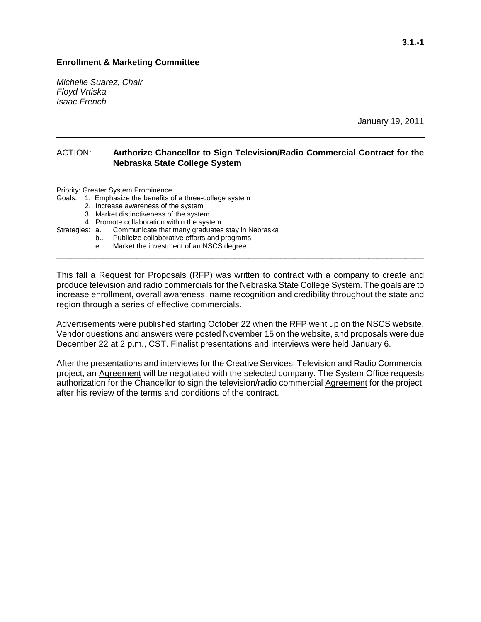## **Enrollment & Marketing Committee**

*Michelle Suarez, Chair Floyd Vrtiska Isaac French*

January 19, 2011

#### ACTION: **Authorize Chancellor to Sign Television/Radio Commercial Contract for the Nebraska State College System**

Priority: Greater System Prominence

Goals: 1. Emphasize the benefits of a three-college system

- 2. Increase awareness of the system
- 3. Market distinctiveness of the system
- 
- 4. Promote collaboration within the system<br>Strategies: a. Communicate that many graduates Communicate that many graduates stay in Nebraska
	- b.. Publicize collaborative efforts and programs
	- e. Market the investment of an NSCS degree

This fall a Request for Proposals (RFP) was written to contract with a company to create and produce television and radio commercials for the Nebraska State College System. The goals are to increase enrollment, overall awareness, name recognition and credibility throughout the state and region through a series of effective commercials.

**\_\_\_\_\_\_\_\_\_\_\_\_\_\_\_\_\_\_\_\_\_\_\_\_\_\_\_\_\_\_\_\_\_\_\_\_\_\_\_\_\_\_\_\_\_\_\_\_\_\_\_\_\_\_\_\_\_\_\_\_\_\_\_\_\_\_\_\_\_\_\_\_\_\_\_\_\_\_\_**

Advertisements were published starting October 22 when the RFP went up on the NSCS website. Vendor questions and answers were posted November 15 on the website, and proposals were due December 22 at 2 p.m., CST. Finalist presentations and interviews were held January 6.

After the presentations and interviews for the Creative Services: Television and Radio Commercial project, an Agreement will be negotiated with the selected company. The System Office requests authorization for the Chancellor to sign the television/radio commercial Agreement for the project, after his review of the terms and conditions of the contract.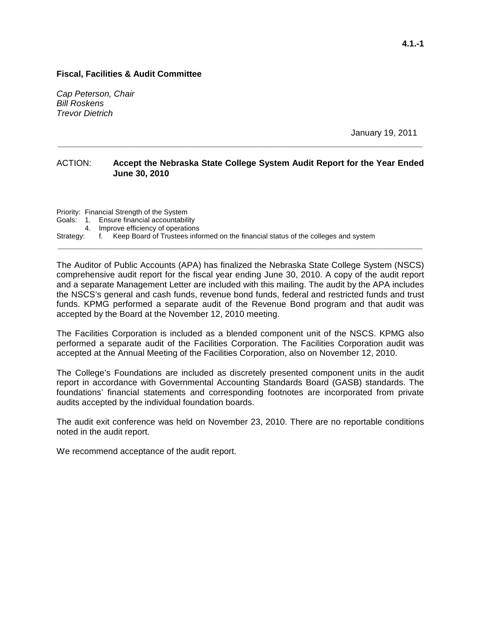*Cap Peterson, Chair Bill Roskens Trevor Dietrich*

January 19, 2011

## ACTION: **Accept the Nebraska State College System Audit Report for the Year Ended June 30, 2010**

**\_\_\_\_\_\_\_\_\_\_\_\_\_\_\_\_\_\_\_\_\_\_\_\_\_\_\_\_\_\_\_\_\_\_\_\_\_\_\_\_\_\_\_\_\_\_\_\_\_\_\_\_\_\_\_\_\_\_\_\_\_\_\_\_\_\_\_\_\_\_\_\_\_\_\_\_**

Priority: Financial Strength of the System Goals: 1. Ensure financial accountability 4. Improve efficiency of operations Strategy: f. Keep Board of Trustees informed on the financial status of the colleges and system **\_\_\_\_\_\_\_\_\_\_\_\_\_\_\_\_\_\_\_\_\_\_\_\_\_\_\_\_\_\_\_\_\_\_\_\_\_\_\_\_\_\_\_\_\_\_\_\_\_\_\_\_\_\_\_\_\_\_\_\_\_\_\_\_\_\_\_\_\_\_\_\_\_\_\_\_**

The Auditor of Public Accounts (APA) has finalized the Nebraska State College System (NSCS) comprehensive audit report for the fiscal year ending June 30, 2010. A copy of the audit report and a separate Management Letter are included with this mailing. The audit by the APA includes the NSCS's general and cash funds, revenue bond funds, federal and restricted funds and trust funds. KPMG performed a separate audit of the Revenue Bond program and that audit was accepted by the Board at the November 12, 2010 meeting.

The Facilities Corporation is included as a blended component unit of the NSCS. KPMG also performed a separate audit of the Facilities Corporation. The Facilities Corporation audit was accepted at the Annual Meeting of the Facilities Corporation, also on November 12, 2010.

The College's Foundations are included as discretely presented component units in the audit report in accordance with Governmental Accounting Standards Board (GASB) standards. The foundations' financial statements and corresponding footnotes are incorporated from private audits accepted by the individual foundation boards.

The audit exit conference was held on November 23, 2010. There are no reportable conditions noted in the audit report.

We recommend acceptance of the audit report.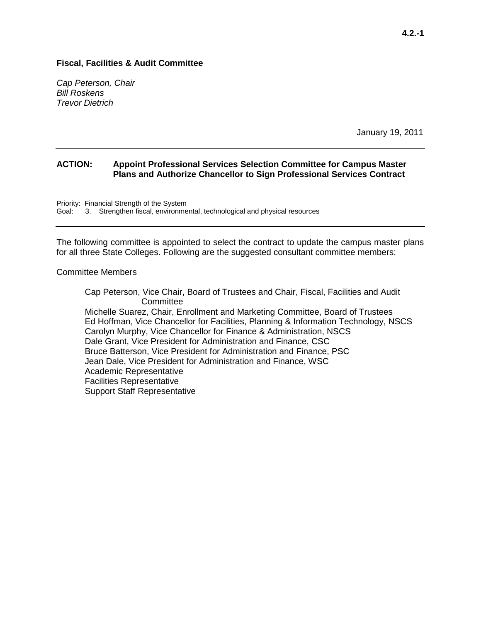*Cap Peterson, Chair Bill Roskens Trevor Dietrich*

January 19, 2011

## **ACTION: Appoint Professional Services Selection Committee for Campus Master Plans and Authorize Chancellor to Sign Professional Services Contract**

Priority: Financial Strength of the System<br>Goal: 3. Strengthen fiscal. environme 3. Strengthen fiscal, environmental, technological and physical resources

The following committee is appointed to select the contract to update the campus master plans for all three State Colleges. Following are the suggested consultant committee members:

#### Committee Members

Cap Peterson, Vice Chair, Board of Trustees and Chair, Fiscal, Facilities and Audit Committee Michelle Suarez, Chair, Enrollment and Marketing Committee, Board of Trustees Ed Hoffman, Vice Chancellor for Facilities, Planning & Information Technology, NSCS Carolyn Murphy, Vice Chancellor for Finance & Administration, NSCS Dale Grant, Vice President for Administration and Finance, CSC Bruce Batterson, Vice President for Administration and Finance, PSC Jean Dale, Vice President for Administration and Finance, WSC Academic Representative Facilities Representative Support Staff Representative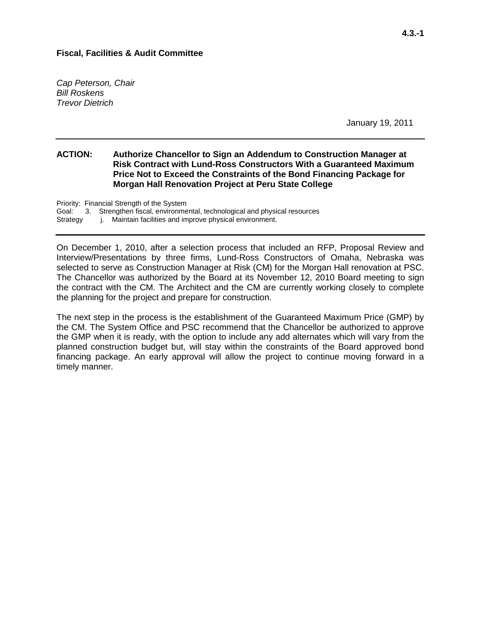*Cap Peterson, Chair Bill Roskens Trevor Dietrich*

January 19, 2011

## **ACTION: Authorize Chancellor to Sign an Addendum to Construction Manager at Risk Contract with Lund-Ross Constructors With a Guaranteed Maximum Price Not to Exceed the Constraints of the Bond Financing Package for Morgan Hall Renovation Project at Peru State College**

Priority: Financial Strength of the System Goal: 3. Strengthen fiscal, environmental, technological and physical resources Strategy i. Maintain facilities and improve physical environment.

On December 1, 2010, after a selection process that included an RFP, Proposal Review and Interview/Presentations by three firms, Lund-Ross Constructors of Omaha, Nebraska was selected to serve as Construction Manager at Risk (CM) for the Morgan Hall renovation at PSC. The Chancellor was authorized by the Board at its November 12, 2010 Board meeting to sign the contract with the CM. The Architect and the CM are currently working closely to complete the planning for the project and prepare for construction.

The next step in the process is the establishment of the Guaranteed Maximum Price (GMP) by the CM. The System Office and PSC recommend that the Chancellor be authorized to approve the GMP when it is ready, with the option to include any add alternates which will vary from the planned construction budget but, will stay within the constraints of the Board approved bond financing package. An early approval will allow the project to continue moving forward in a timely manner.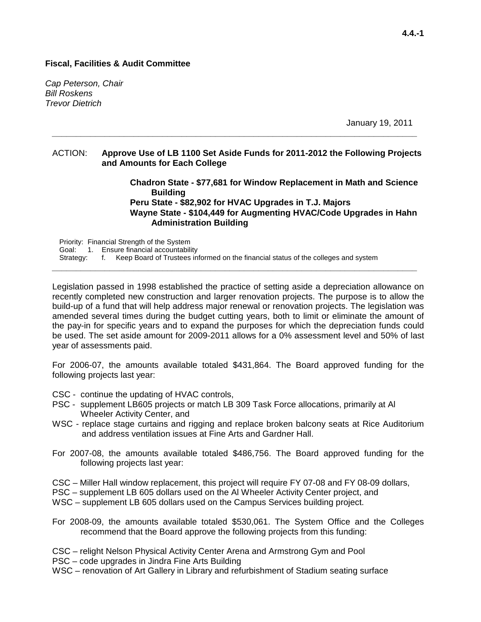*Cap Peterson, Chair Bill Roskens Trevor Dietrich*

January 19, 2011

#### ACTION: **Approve Use of LB 1100 Set Aside Funds for 2011-2012 the Following Projects and Amounts for Each College**

**\_\_\_\_\_\_\_\_\_\_\_\_\_\_\_\_\_\_\_\_\_\_\_\_\_\_\_\_\_\_\_\_\_\_\_\_\_\_\_\_\_\_\_\_\_\_\_\_\_\_\_\_\_\_\_\_\_\_\_\_\_\_\_\_\_\_\_\_\_\_\_\_\_\_\_\_**

**Chadron State - \$77,681 for Window Replacement in Math and Science Building Peru State - \$82,902 for HVAC Upgrades in T.J. Majors Wayne State - \$104,449 for Augmenting HVAC/Code Upgrades in Hahn Administration Building**

Priority: Financial Strength of the System Goal: 1. Ensure financial accountability Strategy: f. Keep Board of Trustees informed on the financial status of the colleges and system

Legislation passed in 1998 established the practice of setting aside a depreciation allowance on recently completed new construction and larger renovation projects. The purpose is to allow the build-up of a fund that will help address major renewal or renovation projects. The legislation was amended several times during the budget cutting years, both to limit or eliminate the amount of the pay-in for specific years and to expand the purposes for which the depreciation funds could be used. The set aside amount for 2009-2011 allows for a 0% assessment level and 50% of last year of assessments paid.

**\_\_\_\_\_\_\_\_\_\_\_\_\_\_\_\_\_\_\_\_\_\_\_\_\_\_\_\_\_\_\_\_\_\_\_\_\_\_\_\_\_\_\_\_\_\_\_\_\_\_\_\_\_\_\_\_\_\_\_\_\_\_\_\_\_\_\_\_\_\_\_\_\_\_\_\_**

For 2006-07, the amounts available totaled \$431,864. The Board approved funding for the following projects last year:

- CSC continue the updating of HVAC controls,
- PSC supplement LB605 projects or match LB 309 Task Force allocations, primarily at Al Wheeler Activity Center, and
- WSC replace stage curtains and rigging and replace broken balcony seats at Rice Auditorium and address ventilation issues at Fine Arts and Gardner Hall.
- For 2007-08, the amounts available totaled \$486,756. The Board approved funding for the following projects last year:

CSC – Miller Hall window replacement, this project will require FY 07-08 and FY 08-09 dollars,

- PSC supplement LB 605 dollars used on the Al Wheeler Activity Center project, and
- WSC supplement LB 605 dollars used on the Campus Services building project.
- For 2008-09, the amounts available totaled \$530,061. The System Office and the Colleges recommend that the Board approve the following projects from this funding:

CSC – relight Nelson Physical Activity Center Arena and Armstrong Gym and Pool

PSC – code upgrades in Jindra Fine Arts Building

WSC – renovation of Art Gallery in Library and refurbishment of Stadium seating surface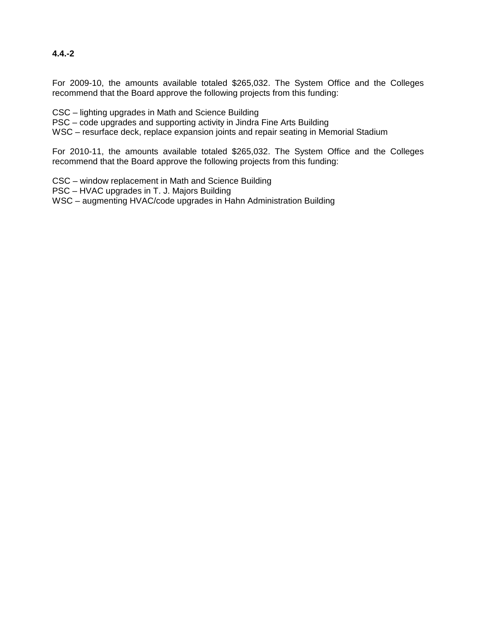# **4.4.-2**

For 2009-10, the amounts available totaled \$265,032. The System Office and the Colleges recommend that the Board approve the following projects from this funding:

CSC – lighting upgrades in Math and Science Building

PSC – code upgrades and supporting activity in Jindra Fine Arts Building

WSC – resurface deck, replace expansion joints and repair seating in Memorial Stadium

For 2010-11, the amounts available totaled \$265,032. The System Office and the Colleges recommend that the Board approve the following projects from this funding:

CSC – window replacement in Math and Science Building PSC – HVAC upgrades in T. J. Majors Building WSC – augmenting HVAC/code upgrades in Hahn Administration Building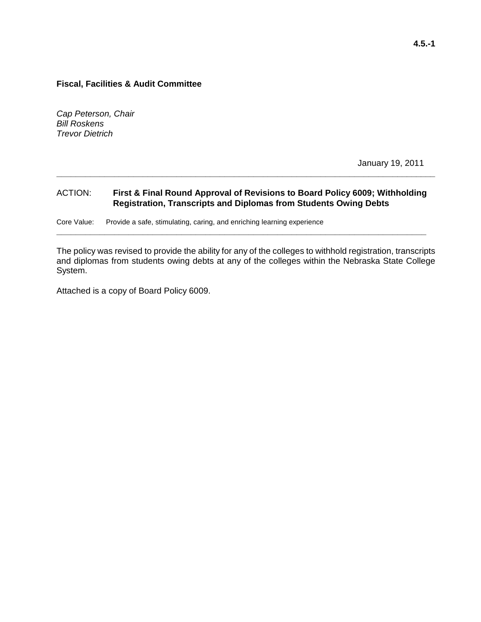*Cap Peterson, Chair Bill Roskens Trevor Dietrich*

January 19, 2011

## ACTION: **First & Final Round Approval of Revisions to Board Policy 6009; Withholding Registration, Transcripts and Diplomas from Students Owing Debts**

**\_\_\_\_\_\_\_\_\_\_\_\_\_\_\_\_\_\_\_\_\_\_\_\_\_\_\_\_\_\_\_\_\_\_\_\_\_\_\_\_\_\_\_\_\_\_\_\_\_\_\_\_\_\_\_\_\_\_\_\_\_\_\_\_\_\_\_\_\_\_\_\_\_\_\_\_\_**

**\_\_\_\_\_\_\_\_\_\_\_\_\_\_\_\_\_\_\_\_\_\_\_\_\_\_\_\_\_\_\_\_\_\_\_\_\_\_\_\_\_\_\_\_\_\_\_\_\_\_\_\_\_\_\_\_\_\_\_\_\_\_\_\_\_\_\_\_\_\_\_\_\_\_\_\_\_\_\_**

Core Value: Provide a safe, stimulating, caring, and enriching learning experience

The policy was revised to provide the ability for any of the colleges to withhold registration, transcripts and diplomas from students owing debts at any of the colleges within the Nebraska State College System.

Attached is a copy of Board Policy 6009.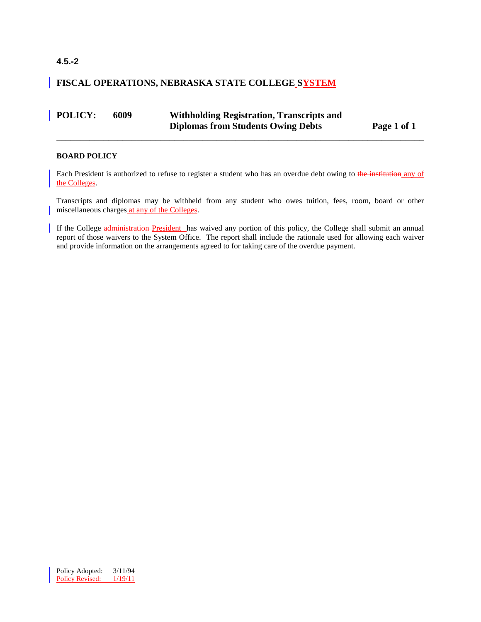# **4.5.-2**

# **FISCAL OPERATIONS, NEBRASKA STATE COLLEGE SYSTEM**

| <b>POLICY:</b> | 6009 | <b>Withholding Registration, Transcripts and</b> |             |  |  |
|----------------|------|--------------------------------------------------|-------------|--|--|
|                |      | <b>Diplomas from Students Owing Debts</b>        | Page 1 of 1 |  |  |

\_\_\_\_\_\_\_\_\_\_\_\_\_\_\_\_\_\_\_\_\_\_\_\_\_\_\_\_\_\_\_\_\_\_\_\_\_\_\_\_\_\_\_\_\_\_\_\_\_\_\_\_\_\_\_\_\_\_\_\_\_\_\_\_\_\_\_\_\_\_\_\_\_\_\_\_\_\_

#### **BOARD POLICY**

Each President is authorized to refuse to register a student who has an overdue debt owing to the institution any of the Colleges.

Transcripts and diplomas may be withheld from any student who owes tuition, fees, room, board or other miscellaneous charges at any of the Colleges.

If the College administration President has waived any portion of this policy, the College shall submit an annual report of those waivers to the System Office. The report shall include the rationale used for allowing each waiver and provide information on the arrangements agreed to for taking care of the overdue payment.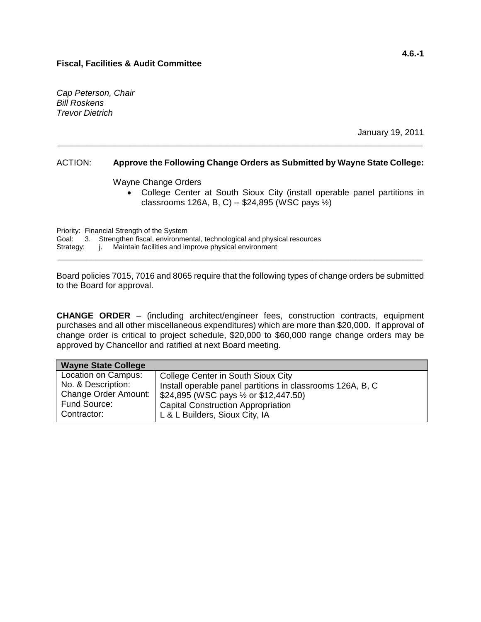*Cap Peterson, Chair Bill Roskens Trevor Dietrich*

January 19, 2011

## ACTION: **Approve the Following Change Orders as Submitted by Wayne State College:**

**\_\_\_\_\_\_\_\_\_\_\_\_\_\_\_\_\_\_\_\_\_\_\_\_\_\_\_\_\_\_\_\_\_\_\_\_\_\_\_\_\_\_\_\_\_\_\_\_\_\_\_\_\_\_\_\_\_\_\_\_\_\_\_\_\_\_\_\_\_\_\_\_\_\_\_\_**

Wayne Change Orders

• College Center at South Sioux City (install operable panel partitions in classrooms 126A, B, C) -- \$24,895 (WSC pays ½)

Priority: Financial Strength of the System Goal: 3. Strengthen fiscal, environmental, technological and physical resources Strategy: j. Maintain facilities and improve physical environment **\_\_\_\_\_\_\_\_\_\_\_\_\_\_\_\_\_\_\_\_\_\_\_\_\_\_\_\_\_\_\_\_\_\_\_\_\_\_\_\_\_\_\_\_\_\_\_\_\_\_\_\_\_\_\_\_\_\_\_\_\_\_\_\_\_\_\_\_\_\_\_\_\_\_\_\_**

Board policies 7015, 7016 and 8065 require that the following types of change orders be submitted to the Board for approval.

**CHANGE ORDER** – (including architect/engineer fees, construction contracts, equipment purchases and all other miscellaneous expenditures) which are more than \$20,000. If approval of change order is critical to project schedule, \$20,000 to \$60,000 range change orders may be approved by Chancellor and ratified at next Board meeting.

| <b>Wayne State College</b> |                                                            |
|----------------------------|------------------------------------------------------------|
| Location on Campus:        | College Center in South Sioux City                         |
| No. & Description:         | Install operable panel partitions in classrooms 126A, B, C |
| Change Order Amount:       | \$24,895 (WSC pays $\frac{1}{2}$ or \$12,447.50)           |
| Fund Source:               | <b>Capital Construction Appropriation</b>                  |
| Contractor:                | L & L Builders, Sioux City, IA                             |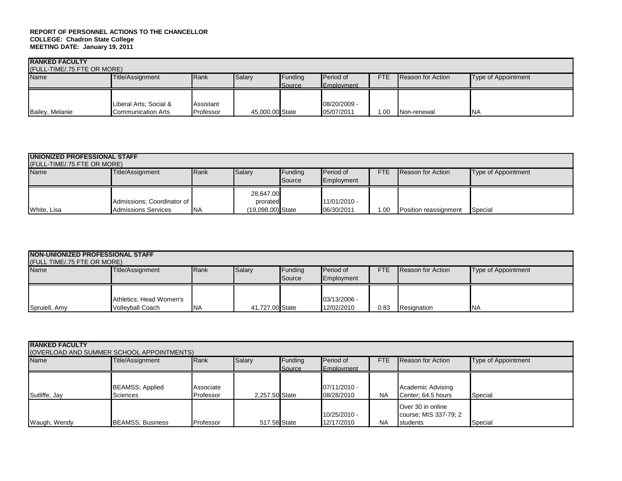| <b>RANKED FACULTY</b><br>(FULL-TIME/.75 FTE OR MORE) |                                                       |                        |                 |                   |                                       |            |                   |                     |
|------------------------------------------------------|-------------------------------------------------------|------------------------|-----------------|-------------------|---------------------------------------|------------|-------------------|---------------------|
| Name<br>Title/Assignment                             |                                                       | Rank                   | Salary          | Funding<br>Source | <b>Period of</b><br><b>Employment</b> | <b>FTE</b> | Reason for Action | Type of Appointment |
| Bailey, Melanie                                      | Liberal Arts; Social &<br><b>I</b> Communication Arts | Assistant<br>Professor | 45,000.00 State |                   | 08/20/2009 -<br>05/07/2011            | .00        | Non-renewal       | <b>INA</b>          |

| <b>UNIONIZED PROFESSIONAL STAFF</b><br>(FULL-TIME/.75 FTE OR MORE)                                                                                                 |                                                          |            |                                              |  |                            |     |                       |         |  |
|--------------------------------------------------------------------------------------------------------------------------------------------------------------------|----------------------------------------------------------|------------|----------------------------------------------|--|----------------------------|-----|-----------------------|---------|--|
| Salary<br><b>Period of</b><br><b>Name</b><br>Title/Assignment<br>Rank<br>Funding<br>FTE<br>Type of Appointment<br><b>Reason for Action</b><br>Source<br>Employment |                                                          |            |                                              |  |                            |     |                       |         |  |
| White, Lisa                                                                                                                                                        | Admissions: Coordinator of<br><b>Admissions Services</b> | <b>INA</b> | 28.647.00<br>prorated<br>$(19.098.00)$ State |  | 11/01/2010 -<br>06/30/2011 | .00 | Position reassignment | Special |  |

| NON-UNIONIZED PROFESSIONAL STAFF<br>(FULL TIME/.75 FTE OR MORE)                                                                                                           |                                             |            |                 |  |                              |      |             |            |  |  |
|---------------------------------------------------------------------------------------------------------------------------------------------------------------------------|---------------------------------------------|------------|-----------------|--|------------------------------|------|-------------|------------|--|--|
| Salary<br><b>Name</b><br>Rank<br>Period of<br><b>FTE</b><br>Funding<br>Title/Assignment<br><b>Reason for Action</b><br>Type of Appointment<br>Employment<br><b>Source</b> |                                             |            |                 |  |                              |      |             |            |  |  |
| Spruiell, Amy                                                                                                                                                             | Athletics; Head Women's<br>Vollevball Coach | <b>INA</b> | 41,727.00 State |  | $03/13/2006 -$<br>12/02/2010 | 0.83 | Resignation | <b>INA</b> |  |  |

| <b>RANKED FACULTY</b><br>(OVERLOAD AND SUMMER SCHOOL APPOINTMENTS)                                                                                                                  |                                     |                        |                |  |                              |           |                                                                        |         |  |
|-------------------------------------------------------------------------------------------------------------------------------------------------------------------------------------|-------------------------------------|------------------------|----------------|--|------------------------------|-----------|------------------------------------------------------------------------|---------|--|
| Salary<br><b>Period of</b><br>Reason for Action<br>Funding<br><b>Name</b><br><b>FTE</b><br>Title/Assignment<br>Rank<br>Type of Appointment<br><b>I</b> Source<br><b>IEmployment</b> |                                     |                        |                |  |                              |           |                                                                        |         |  |
| Sutliffe, Jay                                                                                                                                                                       | <b>BEAMSS</b> ; Applied<br>Sciences | Associate<br>Professor | 2.257.50 State |  | $07/11/2010 -$<br>08/28/2010 | <b>NA</b> | Academic Advising<br>Center: 64.5 hours                                | Special |  |
| Waugh, Wendy                                                                                                                                                                        | <b>BEAMSS: Business</b>             | Professor              | 517.58 State   |  | $10/25/2010 -$<br>12/17/2010 | <b>NA</b> | <b>Over 30 in online</b><br>course; MIS 337-79; 2<br><b>I</b> students | Special |  |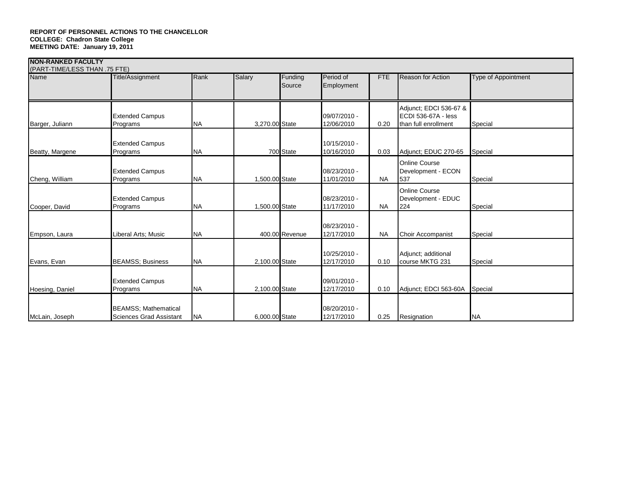|                 | (PART-TIME/LESS THAN .75 FTE)                                  |           |                |                   |                              |            |                                                                       |                            |  |  |  |
|-----------------|----------------------------------------------------------------|-----------|----------------|-------------------|------------------------------|------------|-----------------------------------------------------------------------|----------------------------|--|--|--|
| <b>Name</b>     | Title/Assignment                                               | Rank      | Salary         | Funding<br>Source | Period of<br>Employment      | <b>FTE</b> | <b>Reason for Action</b>                                              | <b>Type of Appointment</b> |  |  |  |
| Barger, Juliann | <b>Extended Campus</b><br>Programs                             | <b>NA</b> | 3,270.00 State |                   | 09/07/2010 -<br>12/06/2010   | 0.20       | Adjunct; EDCI 536-67 &<br>ECDI 536-67A - less<br>than full enrollment | Special                    |  |  |  |
| Beatty, Margene | <b>Extended Campus</b><br>Programs                             | <b>NA</b> |                | 700 State         | 10/15/2010 -<br>10/16/2010   | 0.03       | Adjunct; EDUC 270-65                                                  | Special                    |  |  |  |
| Cheng, William  | <b>Extended Campus</b><br>Programs                             | <b>NA</b> | 1.500.00 State |                   | 08/23/2010 -<br>11/01/2010   | <b>NA</b>  | <b>Online Course</b><br>Development - ECON<br>537                     | Special                    |  |  |  |
| Cooper, David   | <b>Extended Campus</b><br>Programs                             | <b>NA</b> | 1,500.00 State |                   | 08/23/2010 -<br>11/17/2010   | <b>NA</b>  | <b>Online Course</b><br>Development - EDUC<br>224                     | Special                    |  |  |  |
| Empson, Laura   | Liberal Arts; Music                                            | <b>NA</b> |                | 400.00 Revenue    | 08/23/2010 -<br>12/17/2010   | <b>NA</b>  | Choir Accompanist                                                     | Special                    |  |  |  |
| Evans, Evan     | <b>BEAMSS</b> ; Business                                       | <b>NA</b> | 2,100.00 State |                   | $10/25/2010 -$<br>12/17/2010 | 0.10       | Adjunct; additional<br>course MKTG 231                                | Special                    |  |  |  |
| Hoesing, Daniel | <b>Extended Campus</b><br>Programs                             | <b>NA</b> | 2,100.00 State |                   | 09/01/2010 -<br>12/17/2010   | 0.10       | Adjunct: EDCI 563-60A                                                 | Special                    |  |  |  |
| McLain, Joseph  | <b>BEAMSS</b> ; Mathematical<br><b>Sciences Grad Assistant</b> | <b>NA</b> | 6,000.00 State |                   | 08/20/2010 -<br>12/17/2010   | 0.25       | Resignation                                                           | <b>NA</b>                  |  |  |  |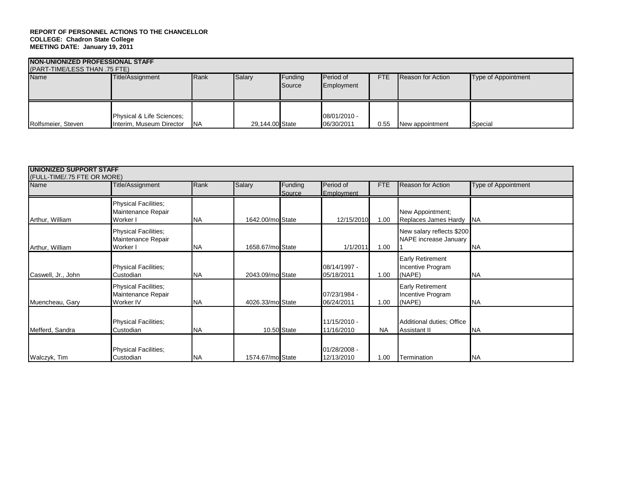| <b>NON-UNIONIZED PROFESSIONAL STAFF</b><br>(PART-TIME/LESS THAN .75 FTE)                                                                                                         |                                                       |            |                 |  |                              |      |                 |         |  |  |
|----------------------------------------------------------------------------------------------------------------------------------------------------------------------------------|-------------------------------------------------------|------------|-----------------|--|------------------------------|------|-----------------|---------|--|--|
| Rank<br>Salary<br>Name<br>Funding<br><b>Period of</b><br><b>FTE</b><br><b>Reason for Action</b><br>Title/Assignment<br><b>Type of Appointment</b><br><b>Source</b><br>Employment |                                                       |            |                 |  |                              |      |                 |         |  |  |
| Rolfsmeier, Steven                                                                                                                                                               | Physical & Life Sciences;<br>Interim, Museum Director | <b>INA</b> | 29,144.00 State |  | $08/01/2010 -$<br>06/30/2011 | 0.55 | New appointment | Special |  |  |

| <b>UNIONIZED SUPPORT STAFF</b>      |                                                                |           |                  |                   |                              |           |                                                        |                     |
|-------------------------------------|----------------------------------------------------------------|-----------|------------------|-------------------|------------------------------|-----------|--------------------------------------------------------|---------------------|
| (FULL-TIME/.75 FTE OR MORE)<br>Name | Title/Assignment                                               | Rank      | Salary           | Funding<br>Source | Period of<br>Employment      | FTE       | <b>Reason for Action</b>                               | Type of Appointment |
| Arthur, William                     | <b>Physical Facilities;</b><br>Maintenance Repair<br>Worker I  | <b>NA</b> | 1642.00/mo State |                   | 12/15/2010                   | 1.00      | New Appointment;<br>Replaces James Hardy               | <b>INA</b>          |
| Arthur, William                     | Physical Facilities;<br>Maintenance Repair<br>Worker I         | <b>NA</b> | 1658.67/molState |                   | 1/1/2011                     | 1.00      | New salary reflects \$200<br>NAPE increase January     | <b>NA</b>           |
| Caswell, Jr., John                  | <b>Physical Facilities;</b><br>Custodian                       | <b>NA</b> | 2043.09/mo State |                   | 08/14/1997 -<br>05/18/2011   | 1.00      | <b>Early Retirement</b><br>Incentive Program<br>(NAPE) | <b>INA</b>          |
| Muencheau, Gary                     | <b>Physical Facilities;</b><br>Maintenance Repair<br>Worker IV | <b>NA</b> | 4026.33/mo State |                   | 07/23/1984 -<br>06/24/2011   | 1.00      | <b>Early Retirement</b><br>Incentive Program<br>(NAPE) | <b>INA</b>          |
| Mefferd, Sandra                     | <b>Physical Facilities;</b><br>Custodian                       | <b>NA</b> |                  | 10.50 State       | 11/15/2010 -<br>11/16/2010   | <b>NA</b> | Additional duties; Office<br>Assistant II              | <b>INA</b>          |
| Walczyk, Tim                        | <b>Physical Facilities;</b><br>Custodian                       | <b>NA</b> | 1574.67/mo State |                   | $01/28/2008 -$<br>12/13/2010 | 1.00      | Termination                                            | <b>NA</b>           |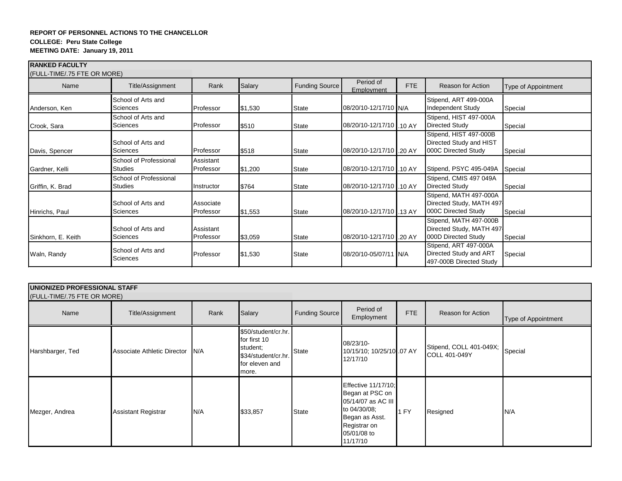| <b>RANKED FACULTY</b>               |                                          |                        |         |                |                          |     |                                                                            |                            |
|-------------------------------------|------------------------------------------|------------------------|---------|----------------|--------------------------|-----|----------------------------------------------------------------------------|----------------------------|
| (FULL-TIME/.75 FTE OR MORE)<br>Name | Title/Assignment                         | Rank                   | Salary  | Funding Source | Period of<br>Employment  | FTE | Reason for Action                                                          | <b>Type of Appointment</b> |
| Anderson, Ken                       | School of Arts and<br>Sciences           | Professor              | \$1,530 | <b>State</b>   | 08/20/10-12/17/10 N/A    |     | Stipend, ART 499-000A<br>Independent Study                                 | Special                    |
| Crook, Sara                         | School of Arts and<br>Sciences           | Professor              | \$510   | <b>State</b>   | 08/20/10-12/17/10 .10 AY |     | Stipend, HIST 497-000A<br>Directed Study                                   | Special                    |
| Davis, Spencer                      | School of Arts and<br>Sciences           | Professor              | \$518   | State          | 08/20/10-12/17/10 .20 AY |     | Stipend, HIST 497-000B<br>Directed Study and HIST<br>000C Directed Study   | Special                    |
| Gardner, Kelli                      | School of Professional<br>Studies        | Assistant<br>Professor | \$1,200 | <b>State</b>   | 08/20/10-12/17/10 .10 AY |     | Stipend, PSYC 495-049A                                                     | Special                    |
| Griffin, K. Brad                    | School of Professional<br><b>Studies</b> | Instructor             | \$764   | <b>State</b>   | 08/20/10-12/17/10 .10 AY |     | Stipend, CMIS 497 049A<br>Directed Study                                   | Special                    |
| Hinrichs, Paul                      | School of Arts and<br><b>Sciences</b>    | Associate<br>Professor | \$1,553 | <b>State</b>   | 08/20/10-12/17/10 .13 AY |     | Stipend, MATH 497-000A<br>Directed Study, MATH 497-<br>000C Directed Study | Special                    |
| Sinkhorn, E. Keith                  | School of Arts and<br>Sciences           | Assistant<br>Professor | \$3,059 | <b>State</b>   | 08/20/10-12/17/10 .20 AY |     | Stipend, MATH 497-000B<br>Directed Study, MATH 497<br>000D Directed Study  | Special                    |
| Waln, Randy                         | School of Arts and<br><b>Sciences</b>    | Professor              | \$1,530 | <b>State</b>   | 08/20/10-05/07/11 N/A    |     | Stipend, ART 497-000A<br>Directed Study and ART<br>497-000B Directed Study | Special                    |

| UNIONIZED PROFESSIONAL STAFF<br>(FULL-TIME/.75 FTE OR MORE) |                             |      |                                                                                                   |                |                                                                                                                                           |      |                                          |                     |
|-------------------------------------------------------------|-----------------------------|------|---------------------------------------------------------------------------------------------------|----------------|-------------------------------------------------------------------------------------------------------------------------------------------|------|------------------------------------------|---------------------|
| Name                                                        | Title/Assignment            | Rank | Salary                                                                                            | Funding Source | Period of<br>Employment                                                                                                                   | FTE  | Reason for Action                        | Type of Appointment |
| Harshbarger, Ted                                            | Associate Athletic Director | IN/A | \$50/student/cr.hr.<br>for first 10<br>student;<br>\$34/student/cr.hr.<br>for eleven and<br>more. | State          | 08/23/10-<br>10/15/10; 10/25/10 .07 AY<br>12/17/10                                                                                        |      | Stipend, COLL 401-049X;<br>COLL 401-049Y | Special             |
| Mezger, Andrea                                              | <b>Assistant Registrar</b>  | N/A  | \$33,857                                                                                          | State          | Effective 11/17/10;<br>Began at PSC on<br>05/14/07 as AC III<br>to 04/30/08;<br>Began as Asst.<br>Registrar on<br>05/01/08 to<br>11/17/10 | 1 FY | Resigned                                 | N/A                 |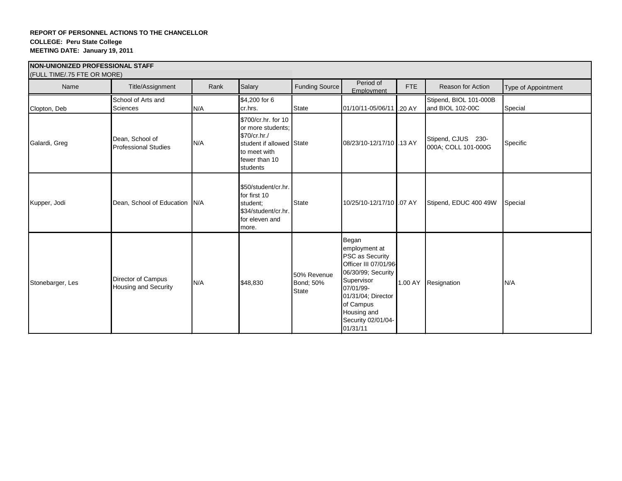| <b>INON-UNIONIZED PROFESSIONAL STAFF</b><br>(FULL TIME/.75 FTE OR MORE) |                                                   |      |                                                                                                                                   |                                          |                                                                                                                                                                                                        |            |                                            |                     |
|-------------------------------------------------------------------------|---------------------------------------------------|------|-----------------------------------------------------------------------------------------------------------------------------------|------------------------------------------|--------------------------------------------------------------------------------------------------------------------------------------------------------------------------------------------------------|------------|--------------------------------------------|---------------------|
| Name                                                                    | Title/Assignment                                  | Rank | Salary                                                                                                                            | Funding Source                           | Period of<br>Employment                                                                                                                                                                                | <b>FTE</b> | Reason for Action                          | Type of Appointment |
| Clopton, Deb                                                            | School of Arts and<br><b>Sciences</b>             | N/A  | \$4,200 for 6<br>cr.hrs.                                                                                                          | <b>State</b>                             | 01/10/11-05/06/11 .20 AY                                                                                                                                                                               |            | Stipend, BIOL 101-000B<br>and BIOL 102-00C | Special             |
| Galardi, Greg                                                           | Dean, School of<br><b>Professional Studies</b>    | N/A  | \$700/cr.hr. for 10<br>or more students:<br>\$70/cr.hr./<br>student if allowed State<br>to meet with<br>fewer than 10<br>students |                                          | 08/23/10-12/17/10 .13 AY                                                                                                                                                                               |            | Stipend, CJUS 230-<br>000A; COLL 101-000G  | Specific            |
| Kupper, Jodi                                                            | Dean, School of Education N/A                     |      | \$50/student/cr.hr.<br>for first 10<br>student:<br>\$34/student/cr.hr.<br>for eleven and<br>more.                                 | <b>State</b>                             | 10/25/10-12/17/10 .07 AY                                                                                                                                                                               |            | Stipend, EDUC 400 49W                      | Special             |
| Stonebarger, Les                                                        | Director of Campus<br><b>Housing and Security</b> | N/A  | \$48,830                                                                                                                          | 50% Revenue<br>Bond; 50%<br><b>State</b> | Began<br>employment at<br>PSC as Security<br>Officer III 07/01/96<br>06/30/99; Security<br>Supervisor<br>07/01/99-<br>01/31/04; Director<br>of Campus<br>Housing and<br>Security 02/01/04-<br>01/31/11 | 1.00 AY    | Resignation                                | N/A                 |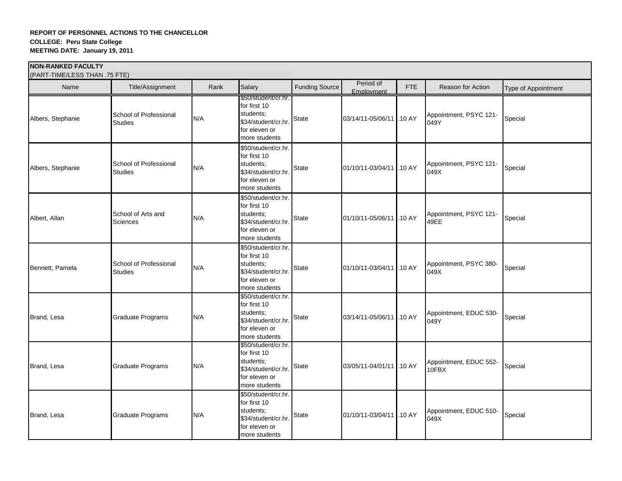| (PART-TIME/LESS THAN .75 FTE) |                                          |      |                                                                                                           |                       |                          |            |                                 |                     |  |  |
|-------------------------------|------------------------------------------|------|-----------------------------------------------------------------------------------------------------------|-----------------------|--------------------------|------------|---------------------------------|---------------------|--|--|
| Name                          | Title/Assignment                         | Rank | Salary                                                                                                    | <b>Funding Source</b> | Period of<br>Employment  | <b>FTE</b> | Reason for Action               | Type of Appointment |  |  |
| Albers, Stephanie             | School of Professional<br><b>Studies</b> | N/A  | \$50/student/cr.hr.<br>for first 10<br>students;<br>\$34/student/cr.hr.<br>for eleven or<br>more students | <b>State</b>          | 03/14/11-05/06/11 .10 AY |            | Appointment, PSYC 121-<br>049Y  | Special             |  |  |
| Albers, Stephanie             | School of Professional<br><b>Studies</b> | N/A  | \$50/student/cr.hr.<br>for first 10<br>students;<br>\$34/student/cr.hr.<br>for eleven or<br>more students | <b>State</b>          | 01/10/11-03/04/11 .10 AY |            | Appointment, PSYC 121-<br>049X  | Special             |  |  |
| Albert, Allan                 | School of Arts and<br><b>Sciences</b>    | N/A  | \$50/student/cr.hr.<br>for first 10<br>students;<br>\$34/student/cr.hr.<br>for eleven or<br>more students | <b>State</b>          | 01/10/11-05/06/11 .10 AY |            | Appointment, PSYC 121-<br>49EE  | Special             |  |  |
| Bennett, Pamela               | School of Professional<br><b>Studies</b> | N/A  | \$50/student/cr.hr.<br>for first 10<br>students;<br>\$34/student/cr.hr.<br>for eleven or<br>more students | <b>State</b>          | 01/10/11-03/04/11 .10 AY |            | Appointment, PSYC 380-<br>049X  | Special             |  |  |
| Brand, Lesa                   | <b>Graduate Programs</b>                 | N/A  | \$50/student/cr.hr.<br>for first 10<br>students:<br>\$34/student/cr.hr.<br>for eleven or<br>more students | <b>State</b>          | 03/14/11-05/06/11 .10 AY |            | Appointment, EDUC 530-<br>049Y  | Special             |  |  |
| Brand, Lesa                   | Graduate Programs                        | N/A  | \$50/student/cr.hr.<br>for first 10<br>students;<br>\$34/student/cr.hr.<br>for eleven or<br>more students | <b>State</b>          | 03/05/11-04/01/11 .10 AY |            | Appointment, EDUC 552-<br>10FBX | Special             |  |  |
| Brand, Lesa                   | <b>Graduate Programs</b>                 | N/A  | \$50/student/cr.hr.<br>for first 10<br>students;<br>\$34/student/cr.hr.<br>for eleven or<br>more students | <b>State</b>          | 01/10/11-03/04/11 .10 AY |            | Appointment, EDUC 510-<br>049X  | Special             |  |  |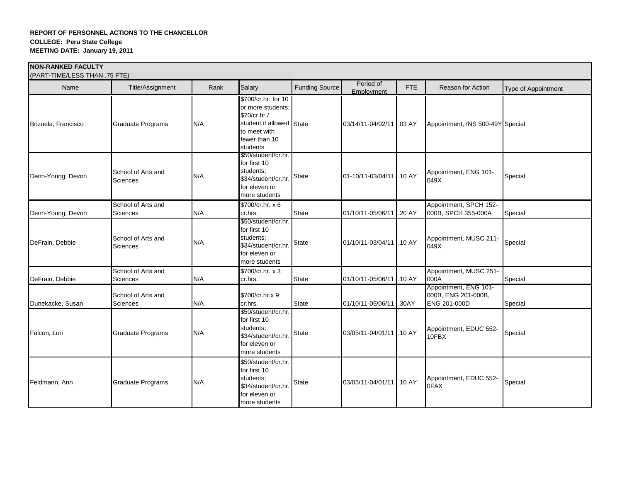| <b>INON-RANKED FACULTY</b> | (PART-TIME/LESS THAN .75 FTE)         |      |                                                                                                                                   |                |                          |        |                                                                     |                     |  |  |  |
|----------------------------|---------------------------------------|------|-----------------------------------------------------------------------------------------------------------------------------------|----------------|--------------------------|--------|---------------------------------------------------------------------|---------------------|--|--|--|
| Name                       | Title/Assignment                      | Rank | Salary                                                                                                                            | Funding Source | Period of<br>Employment  | FTE    | Reason for Action                                                   | Type of Appointment |  |  |  |
| Brizuela, Francisco        | Graduate Programs                     | N/A  | \$700/cr.hr. for 10<br>or more students:<br>\$70/cr.hr./<br>student if allowed State<br>to meet with<br>fewer than 10<br>students |                | 03/14/11-04/02/11 .03 AY |        | Appointment, INS 500-49Y Special                                    |                     |  |  |  |
| Denn-Young, Devon          | School of Arts and<br>Sciences        | N/A  | \$50/student/cr.hr.<br>for first 10<br>students;<br>\$34/student/cr.hr.<br>for eleven or<br>more students                         | <b>State</b>   | 01-10/11-03/04/11 .10 AY |        | Appointment, ENG 101-<br>049X                                       | Special             |  |  |  |
| Denn-Young, Devon          | School of Arts and<br>Sciences        | N/A  | \$700/cr.hr. x 6<br>cr.hrs.                                                                                                       | <b>State</b>   | 01/10/11-05/06/11        | .20 AY | Appointment, SPCH 152-<br>000B, SPCH 355-000A                       | Special             |  |  |  |
| DeFrain, Debbie            | School of Arts and<br>Sciences        | N/A  | \$50/student/cr.hr.<br>for first 10<br>students;<br>\$34/student/cr.hr.<br>for eleven or<br>more students                         | <b>State</b>   | 01/10/11-03/04/11 .10 AY |        | Appointment, MUSC 211-<br>049X                                      | Special             |  |  |  |
| DeFrain, Debbie            | School of Arts and<br><b>Sciences</b> | N/A  | \$700/cr.hr. x 3<br>cr.hrs.                                                                                                       | <b>State</b>   | 01/10/11-05/06/11 .10 AY |        | Appointment, MUSC 251-<br>000A                                      | Special             |  |  |  |
| Dunekacke, Susan           | School of Arts and<br>Sciences        | N/A  | \$700/cr.hr.x 9<br>cr.hrs.                                                                                                        | <b>State</b>   | 01/10/11-05/06/11        | .30AY  | Appointment, ENG 101-<br>000B, ENG 201-000B,<br><b>ENG 201-000D</b> | Special             |  |  |  |
| Falcon, Lori               | <b>Graduate Programs</b>              | N/A  | \$50/student/cr.hr.<br>for first 10<br>students;<br>\$34/student/cr.hr.<br>for eleven or<br>more students                         | <b>State</b>   | 03/05/11-04/01/11 .10 AY |        | Appointment, EDUC 552-<br>10FBX                                     | Special             |  |  |  |
| Feldmann, Ann              | <b>Graduate Programs</b>              | N/A  | \$50/student/cr.hr.<br>for first 10<br>students;<br>\$34/student/cr.hr.<br>for eleven or<br>more students                         | <b>State</b>   | 03/05/11-04/01/11 .10 AY |        | Appointment, EDUC 552-<br>0FAX                                      | Special             |  |  |  |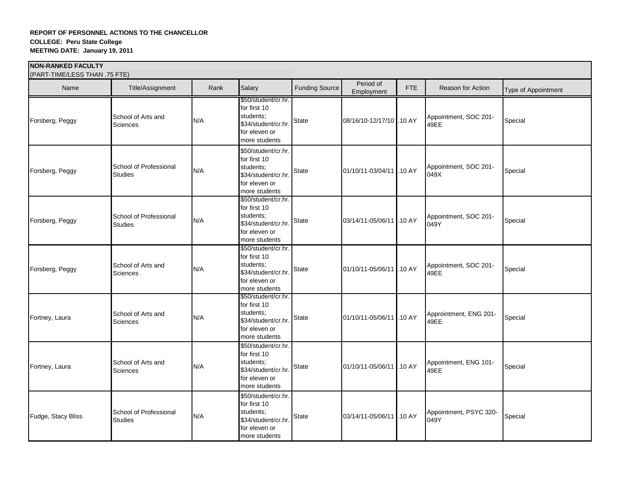| (PART-TIME/LESS THAN .75 FTE) |                                          |      |                                                                                                           |                       |                          |            |                                |                     |
|-------------------------------|------------------------------------------|------|-----------------------------------------------------------------------------------------------------------|-----------------------|--------------------------|------------|--------------------------------|---------------------|
| Name                          | Title/Assignment                         | Rank | Salary                                                                                                    | <b>Funding Source</b> | Period of<br>Employment  | <b>FTE</b> | Reason for Action              | Type of Appointment |
| Forsberg, Peggy               | School of Arts and<br><b>Sciences</b>    | N/A  | \$50/student/cr.hr.<br>for first 10<br>students;<br>\$34/student/cr.hr.<br>for eleven or<br>more students | State                 | 08/16/10-12/17/10 .10 AY |            | Appointment, SOC 201-<br>49EE  | Special             |
| Forsberg, Peggy               | School of Professional<br><b>Studies</b> | N/A  | \$50/student/cr.hr.<br>for first 10<br>students;<br>\$34/student/cr.hr.<br>for eleven or<br>more students | State                 | 01/10/11-03/04/11 .10 AY |            | Appointment, SOC 201-<br>049X  | Special             |
| Forsberg, Peggy               | School of Professional<br><b>Studies</b> | N/A  | \$50/student/cr.hr.<br>for first 10<br>students;<br>\$34/student/cr.hr.<br>for eleven or<br>more students | State                 | 03/14/11-05/06/11 10 AY  |            | Appointment, SOC 201-<br>049Y  | Special             |
| Forsberg, Peggy               | School of Arts and<br>Sciences           | N/A  | \$50/student/cr.hr.<br>for first 10<br>students;<br>\$34/student/cr.hr.<br>for eleven or<br>more students | State                 | 01/10/11-05/06/11 .10 AY |            | Appointment, SOC 201-<br>49EE  | Special             |
| Fortney, Laura                | School of Arts and<br>Sciences           | N/A  | \$50/student/cr.hr.<br>for first 10<br>students;<br>\$34/student/cr.hr.<br>for eleven or<br>more students | <b>State</b>          | 01/10/11-05/06/11 .10 AY |            | Approintment, ENG 201-<br>49EE | Special             |
| Fortney, Laura                | School of Arts and<br>Sciences           | N/A  | \$50/student/cr.hr.<br>for first 10<br>students;<br>\$34/student/cr.hr.<br>for eleven or<br>more students | <b>State</b>          | 01/10/11-05/06/11 .10 AY |            | Appointment, ENG 101-<br>49EE  | Special             |
| Fudge, Stacy Bliss            | School of Professional<br><b>Studies</b> | N/A  | \$50/student/cr.hr.<br>for first 10<br>students;<br>\$34/student/cr.hr.<br>for eleven or<br>more students | <b>State</b>          | 03/14/11-05/06/11 .10 AY |            | Appointment, PSYC 320-<br>049Y | Special             |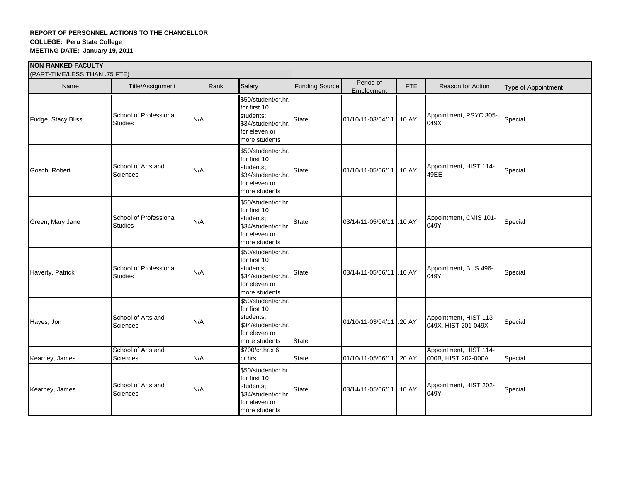| (PART-TIME/LESS THAN .75 FTE) |                                          |      |                                                                                                           |                       |                           |            |                                               |                     |
|-------------------------------|------------------------------------------|------|-----------------------------------------------------------------------------------------------------------|-----------------------|---------------------------|------------|-----------------------------------------------|---------------------|
| Name                          | Title/Assignment                         | Rank | Salary                                                                                                    | <b>Funding Source</b> | Period of<br>Employment   | <b>FTE</b> | Reason for Action                             | Type of Appointment |
| Fudge, Stacy Bliss            | School of Professional<br><b>Studies</b> | N/A  | \$50/student/cr.hr.<br>for first 10<br>students;<br>\$34/student/cr.hr.<br>for eleven or<br>more students | State                 | 01/10/11-03/04/11 .10 AY  |            | Appointment, PSYC 305-<br>049X                | Special             |
| Gosch, Robert                 | School of Arts and<br><b>Sciences</b>    | N/A  | \$50/student/cr.hr.<br>for first 10<br>students;<br>\$34/student/cr.hr.<br>for eleven or<br>more students | <b>State</b>          | 01/10/11-05/06/11 1.10 AY |            | Appointment, HIST 114-<br>49EE                | Special             |
| Green, Mary Jane              | School of Professional<br><b>Studies</b> | N/A  | \$50/student/cr.hr.<br>for first 10<br>students;<br>\$34/student/cr.hr.<br>for eleven or<br>more students | <b>State</b>          | 03/14/11-05/06/11 .10 AY  |            | Appointment, CMIS 101-<br>049Y                | Special             |
| Haverty, Patrick              | School of Professional<br><b>Studies</b> | N/A  | \$50/student/cr.hr.<br>for first 10<br>students;<br>\$34/student/cr.hr.<br>for eleven or<br>more students | <b>State</b>          | 03/14/11-05/06/11 .10 AY  |            | Appointment, BUS 496-<br>049Y                 | Special             |
| Hayes, Jon                    | School of Arts and<br>Sciences           | N/A  | \$50/student/cr.hr.<br>for first 10<br>students;<br>\$34/student/cr.hr.<br>for eleven or<br>more students | <b>State</b>          | 01/10/11-03/04/11 .20 AY  |            | Appointment, HIST 113-<br>049X, HIST 201-049X | Special             |
| Kearney, James                | School of Arts and<br>Sciences           | N/A  | \$700/cr.hr.x 6<br>cr.hrs.                                                                                | <b>State</b>          | 01/10/11-05/06/11 .20 AY  |            | Appointment, HIST 114-<br>000B, HIST 202-000A | Special             |
| Kearney, James                | School of Arts and<br>Sciences           | N/A  | \$50/student/cr.hr.<br>for first 10<br>students;<br>\$34/student/cr.hr.<br>for eleven or<br>more students | <b>State</b>          | 03/14/11-05/06/11 .10 AY  |            | Appointment, HIST 202-<br>049Y                | Special             |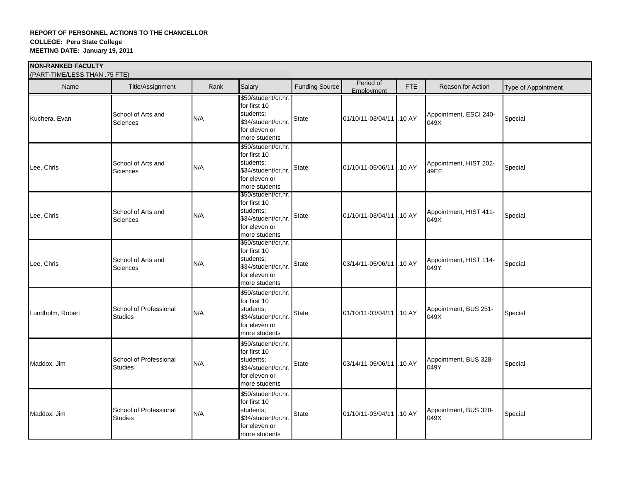| (PART-TIME/LESS THAN .75 FTE) |                                          |      |                                                                                                           |                       |                           |            |                                |                     |
|-------------------------------|------------------------------------------|------|-----------------------------------------------------------------------------------------------------------|-----------------------|---------------------------|------------|--------------------------------|---------------------|
| Name                          | Title/Assignment                         | Rank | Salary                                                                                                    | <b>Funding Source</b> | Period of<br>Employment   | <b>FTE</b> | Reason for Action              | Type of Appointment |
| Kuchera, Evan                 | School of Arts and<br><b>Sciences</b>    | N/A  | \$50/student/cr.hr.<br>for first 10<br>students;<br>\$34/student/cr.hr.<br>for eleven or<br>more students | <b>State</b>          | 01/10/11-03/04/11 .10 AY  |            | Appointment, ESCI 240-<br>049X | Special             |
| Lee, Chris                    | School of Arts and<br>Sciences           | N/A  | \$50/student/cr.hr.<br>for first 10<br>students;<br>\$34/student/cr.hr.<br>for eleven or<br>more students | <b>State</b>          | 01/10/11-05/06/11 .10 AY  |            | Appointment, HIST 202-<br>49EE | Special             |
| Lee, Chris                    | School of Arts and<br>Sciences           | N/A  | \$50/student/cr.hr.<br>for first 10<br>students;<br>\$34/student/cr.hr.<br>for eleven or<br>more students | <b>State</b>          | 01/10/11-03/04/11 1.10 AY |            | Appointment, HIST 411-<br>049X | Special             |
| Lee, Chris                    | School of Arts and<br>Sciences           | N/A  | \$50/student/cr.hr.<br>for first 10<br>students;<br>\$34/student/cr.hr.<br>for eleven or<br>more students | State                 | 03/14/11-05/06/11 .10 AY  |            | Appointment, HIST 114-<br>049Y | Special             |
| Lundholm, Robert              | School of Professional<br><b>Studies</b> | N/A  | \$50/student/cr.hr.<br>for first 10<br>students;<br>\$34/student/cr.hr.<br>for eleven or<br>more students | State                 | 01/10/11-03/04/11 .10 AY  |            | Appointment, BUS 251-<br>049X  | Special             |
| Maddox, Jim                   | School of Professional<br><b>Studies</b> | N/A  | \$50/student/cr.hr.<br>for first 10<br>students;<br>\$34/student/cr.hr.<br>for eleven or<br>more students | State                 | 03/14/11-05/06/11 .10 AY  |            | Appointment, BUS 328-<br>049Y  | Special             |
| Maddox, Jim                   | School of Professional<br><b>Studies</b> | N/A  | \$50/student/cr.hr.<br>for first 10<br>students;<br>\$34/student/cr.hr.<br>for eleven or<br>more students | <b>State</b>          | 01/10/11-03/04/11 .10 AY  |            | Appointment, BUS 328-<br>049X  | Special             |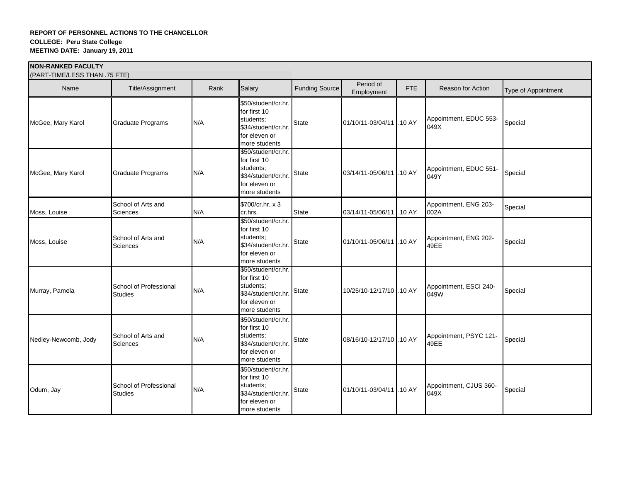|                      | (PART-TIME/LESS THAN .75 FTE)            |      |                                                                                                           |                |                          |            |                                |                            |  |
|----------------------|------------------------------------------|------|-----------------------------------------------------------------------------------------------------------|----------------|--------------------------|------------|--------------------------------|----------------------------|--|
| Name                 | Title/Assignment                         | Rank | Salary                                                                                                    | Funding Source | Period of<br>Employment  | <b>FTE</b> | <b>Reason for Action</b>       | <b>Type of Appointment</b> |  |
| McGee, Mary Karol    | Graduate Programs                        | N/A  | \$50/student/cr.hr.<br>for first 10<br>students;<br>\$34/student/cr.hr.<br>for eleven or<br>more students | <b>State</b>   | 01/10/11-03/04/11 .10 AY |            | Appointment, EDUC 553-<br>049X | Special                    |  |
| McGee, Mary Karol    | Graduate Programs                        | N/A  | \$50/student/cr.hr.<br>for first 10<br>students;<br>\$34/student/cr.hr.<br>for eleven or<br>more students | State          | 03/14/11-05/06/11 .10 AY |            | Appointment, EDUC 551-<br>049Y | Special                    |  |
| Moss, Louise         | School of Arts and<br>Sciences           | N/A  | \$700/cr.hr. x 3<br>cr.hrs.                                                                               | <b>State</b>   | 03/14/11-05/06/11 .10 AY |            | Appointment, ENG 203-<br>002A  | Special                    |  |
| Moss, Louise         | School of Arts and<br>Sciences           | N/A  | \$50/student/cr.hr.<br>for first 10<br>students;<br>\$34/student/cr.hr.<br>for eleven or<br>more students | <b>State</b>   | 01/10/11-05/06/11 .10 AY |            | Appointment, ENG 202-<br>49EE  | Special                    |  |
| Murray, Pamela       | School of Professional<br><b>Studies</b> | N/A  | \$50/student/cr.hr.<br>for first 10<br>students;<br>\$34/student/cr.hr.<br>for eleven or<br>more students | <b>State</b>   | 10/25/10-12/17/10 .10 AY |            | Appointment, ESCI 240-<br>049W | Special                    |  |
| Nedley-Newcomb, Jody | School of Arts and<br><b>Sciences</b>    | N/A  | \$50/student/cr.hr.<br>for first 10<br>students;<br>\$34/student/cr.hr.<br>for eleven or<br>more students | <b>State</b>   | 08/16/10-12/17/10 .10 AY |            | Appointment, PSYC 121-<br>49EE | Special                    |  |
| Odum, Jay            | School of Professional<br><b>Studies</b> | N/A  | \$50/student/cr.hr.<br>for first 10<br>students;<br>\$34/student/cr.hr.<br>for eleven or<br>more students | <b>State</b>   | 01/10/11-03/04/11 .10 AY |            | Appointment, CJUS 360-<br>049X | Special                    |  |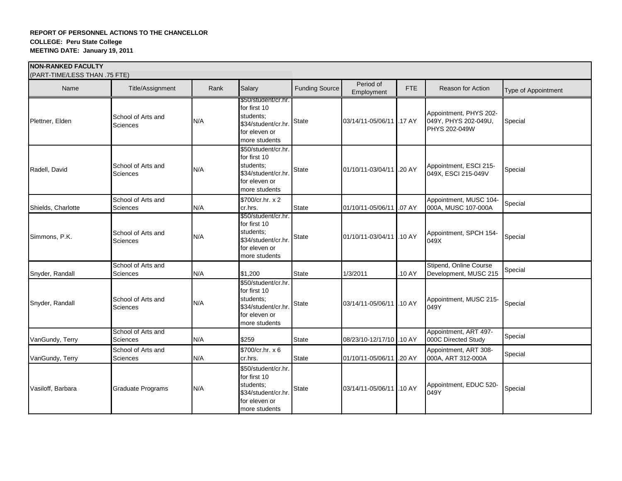| (PART-TIME/LESS THAN .75 FTE) |                                |      |                                                                                                           |                |                          |            |                                                                        |                            |
|-------------------------------|--------------------------------|------|-----------------------------------------------------------------------------------------------------------|----------------|--------------------------|------------|------------------------------------------------------------------------|----------------------------|
| Name                          | Title/Assignment               | Rank | Salary                                                                                                    | Funding Source | Period of<br>Employment  | <b>FTE</b> | Reason for Action                                                      | <b>Type of Appointment</b> |
| Plettner, Elden               | School of Arts and<br>Sciences | N/A  | \$50/student/cr.hr.<br>for first 10<br>students;<br>\$34/student/cr.hr.<br>for eleven or<br>more students | <b>State</b>   | 03/14/11-05/06/11 .17 AY |            | Appointment, PHYS 202-<br>049Y, PHYS 202-049U,<br><b>PHYS 202-049W</b> | Special                    |
| Radell, David                 | School of Arts and<br>Sciences | N/A  | \$50/student/cr.hr.<br>for first 10<br>students:<br>\$34/student/cr.hr.<br>for eleven or<br>more students | <b>State</b>   | 01/10/11-03/04/11 .20 AY |            | Appointment, ESCI 215-<br>049X, ESCI 215-049V                          | Special                    |
| Shields, Charlotte            | School of Arts and<br>Sciences | N/A  | \$700/cr.hr. x 2<br>cr.hrs.                                                                               | <b>State</b>   | 01/10/11-05/06/11 .07 AY |            | Appointment, MUSC 104-<br>000A, MUSC 107-000A                          | Special                    |
| Simmons, P.K.                 | School of Arts and<br>Sciences | N/A  | \$50/student/cr.hr.<br>for first 10<br>students;<br>\$34/student/cr.hr.<br>for eleven or<br>more students | State          | 01/10/11-03/04/11 .10 AY |            | Appointment, SPCH 154-<br>049X                                         | Special                    |
| Snyder, Randall               | School of Arts and<br>Sciences | N/A  | \$1,200                                                                                                   | <b>State</b>   | 1/3/2011                 | .10 AY     | Stipend, Online Course<br>Development, MUSC 215                        | Special                    |
| Snyder, Randall               | School of Arts and<br>Sciences | N/A  | \$50/student/cr.hr.<br>for first 10<br>students;<br>\$34/student/cr.hr.<br>for eleven or<br>more students | <b>State</b>   | 03/14/11-05/06/11 .10 AY |            | Appointment, MUSC 215-<br>049Y                                         | Special                    |
| VanGundy, Terry               | School of Arts and<br>Sciences | N/A  | \$259                                                                                                     | <b>State</b>   | 08/23/10-12/17/10 .10 AY |            | Appointment, ART 497-<br>000C Directed Study                           | Special                    |
| VanGundy, Terry               | School of Arts and<br>Sciences | N/A  | \$700/cr.hr. x 6<br>cr.hrs.                                                                               | <b>State</b>   | 01/10/11-05/06/11 .20 AY |            | Appointment, ART 308-<br>000A, ART 312-000A                            | Special                    |
| Vasiloff, Barbara             | Graduate Programs              | N/A  | \$50/student/cr.hr.<br>for first 10<br>students;<br>\$34/student/cr.hr.<br>for eleven or<br>more students | <b>State</b>   | 03/14/11-05/06/11 .10 AY |            | Appointment, EDUC 520-<br>049Y                                         | Special                    |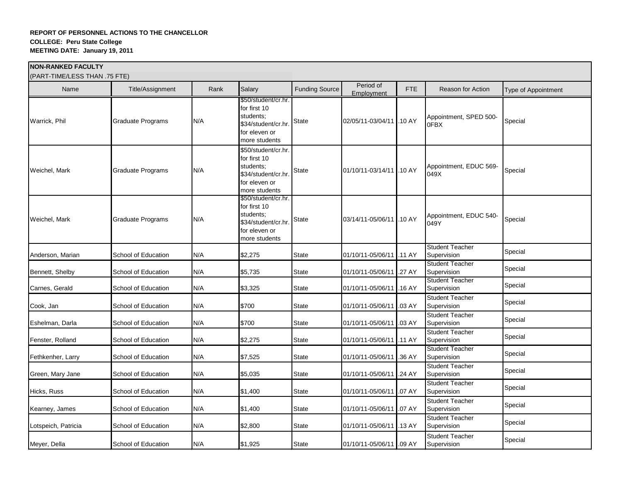| (PART-TIME/LESS THAN .75 FTE) |                          |      |                                                                                                           |                       |                          |            |                                       |                     |
|-------------------------------|--------------------------|------|-----------------------------------------------------------------------------------------------------------|-----------------------|--------------------------|------------|---------------------------------------|---------------------|
| Name                          | Title/Assignment         | Rank | Salary                                                                                                    | <b>Funding Source</b> | Period of<br>Employment  | <b>FTE</b> | <b>Reason for Action</b>              | Type of Appointment |
| Warrick, Phil                 | <b>Graduate Programs</b> | N/A  | \$50/student/cr.hr.<br>for first 10<br>students;<br>\$34/student/cr.hr.<br>for eleven or<br>more students | State                 | 02/05/11-03/04/11 .10 AY |            | Appointment, SPED 500-<br>0FBX        | Special             |
| Weichel, Mark                 | Graduate Programs        | N/A  | \$50/student/cr.hr.<br>for first 10<br>students;<br>\$34/student/cr.hr.<br>for eleven or<br>more students | State                 | 01/10/11-03/14/11 .10 AY |            | Appointment, EDUC 569-<br>049X        | Special             |
| Weichel, Mark                 | <b>Graduate Programs</b> | N/A  | \$50/student/cr.hr.<br>for first 10<br>students;<br>\$34/student/cr.hr.<br>for eleven or<br>more students | State                 | 03/14/11-05/06/11 .10 AY |            | Appointment, EDUC 540-<br>049Y        | Special             |
| Anderson, Marian              | School of Education      | N/A  | \$2,275                                                                                                   | <b>State</b>          | 01/10/11-05/06/11 .11 AY |            | <b>Student Teacher</b><br>Supervision | Special             |
| Bennett, Shelby               | School of Education      | N/A  | \$5,735                                                                                                   | <b>State</b>          | 01/10/11-05/06/11 .27 AY |            | <b>Student Teacher</b><br>Supervision | Special             |
| Carnes, Gerald                | School of Education      | N/A  | \$3,325                                                                                                   | <b>State</b>          | 01/10/11-05/06/11        | .16AY      | <b>Student Teacher</b><br>Supervision | Special             |
| Cook, Jan                     | School of Education      | N/A  | \$700                                                                                                     | <b>State</b>          | 01/10/11-05/06/11        | .03 AY     | <b>Student Teacher</b><br>Supervision | Special             |
| Eshelman, Darla               | School of Education      | N/A  | \$700                                                                                                     | State                 | 01/10/11-05/06/11 .03 AY |            | <b>Student Teacher</b><br>Supervision | Special             |
| Fenster, Rolland              | School of Education      | N/A  | \$2,275                                                                                                   | <b>State</b>          | 01/10/11-05/06/11 .11 AY |            | <b>Student Teacher</b><br>Supervision | Special             |
| Fethkenher, Larry             | School of Education      | N/A  | \$7,525                                                                                                   | <b>State</b>          | 01/10/11-05/06/11        | .36 AY     | <b>Student Teacher</b><br>Supervision | Special             |
| Green, Mary Jane              | School of Education      | N/A  | \$5,035                                                                                                   | <b>State</b>          | 01/10/11-05/06/11        | .24 AY     | <b>Student Teacher</b><br>Supervision | Special             |
| Hicks, Russ                   | School of Education      | N/A  | \$1,400                                                                                                   | <b>State</b>          | 01/10/11-05/06/11        | .07 AY     | <b>Student Teacher</b><br>Supervision | Special             |
| Kearney, James                | School of Education      | N/A  | \$1,400                                                                                                   | <b>State</b>          | 01/10/11-05/06/11 07 AY  |            | <b>Student Teacher</b><br>Supervision | Special             |
| Lotspeich, Patricia           | School of Education      | N/A  | \$2,800                                                                                                   | State                 | 01/10/11-05/06/11 .13 AY |            | <b>Student Teacher</b><br>Supervision | Special             |
| Meyer, Della                  | School of Education      | N/A  | \$1,925                                                                                                   | State                 | 01/10/11-05/06/11 09 AY  |            | <b>Student Teacher</b><br>Supervision | Special             |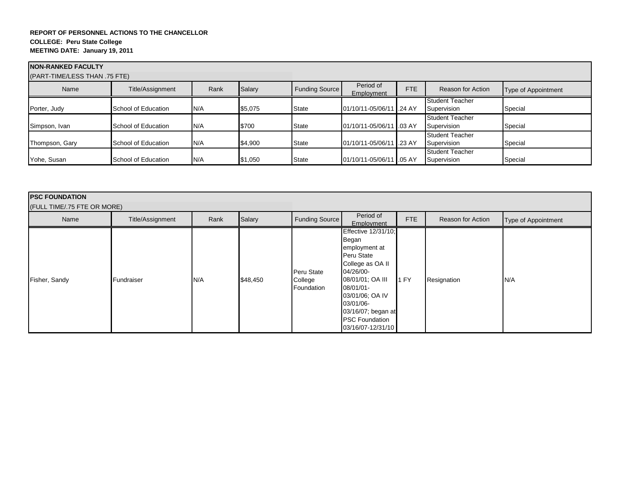| <b>INON-RANKED FACULTY</b><br>(PART-TIME/LESS THAN .75 FTE) |                     |      |         |                       |                           |     |                                       |                     |
|-------------------------------------------------------------|---------------------|------|---------|-----------------------|---------------------------|-----|---------------------------------------|---------------------|
| Name                                                        | Title/Assignment    | Rank | Salary  | <b>Funding Source</b> | Period of<br>Employment   | FTE | Reason for Action                     | Type of Appointment |
| Porter, Judy                                                | School of Education | N/A  | \$5,075 | State                 | 01/10/11-05/06/11 .24 AY  |     | Student Teacher<br>Supervision        | Special             |
| Simpson, Ivan                                               | School of Education | N/A  | \$700   | State                 | 01/10/11-05/06/11 1.03 AY |     | Student Teacher<br>Supervision        | Special             |
| Thompson, Gary                                              | School of Education | N/A  | \$4,900 | State                 | 01/10/11-05/06/11 .23 AY  |     | Student Teacher<br>Supervision        | Special             |
| Yohe, Susan                                                 | School of Education | N/A  | \$1,050 | State                 | 01/10/11-05/06/11 .05 AY  |     | <b>Student Teacher</b><br>Supervision | Special             |

| <b>IPSC FOUNDATION</b><br>(FULL TIME/.75 FTE OR MORE) |                  |      |          |                                     |                                                                                                                                                                                                                                   |      |                   |                     |
|-------------------------------------------------------|------------------|------|----------|-------------------------------------|-----------------------------------------------------------------------------------------------------------------------------------------------------------------------------------------------------------------------------------|------|-------------------|---------------------|
| Name                                                  | Title/Assignment | Rank | Salary   | <b>Funding Source</b>               | Period of<br>Employment                                                                                                                                                                                                           | FTE  | Reason for Action | Type of Appointment |
| Fisher, Sandy                                         | Fundraiser       | N/A  | \$48,450 | Peru State<br>College<br>Foundation | Effective 12/31/10;<br>Began<br>employment at<br>Peru State<br>College as OA II<br>04/26/00-<br>08/01/01; OA III<br>08/01/01-<br>03/01/06; OA IV<br>03/01/06-<br>03/16/07; began at<br><b>PSC Foundation</b><br>03/16/07-12/31/10 | 1 FY | Resignation       | N/A                 |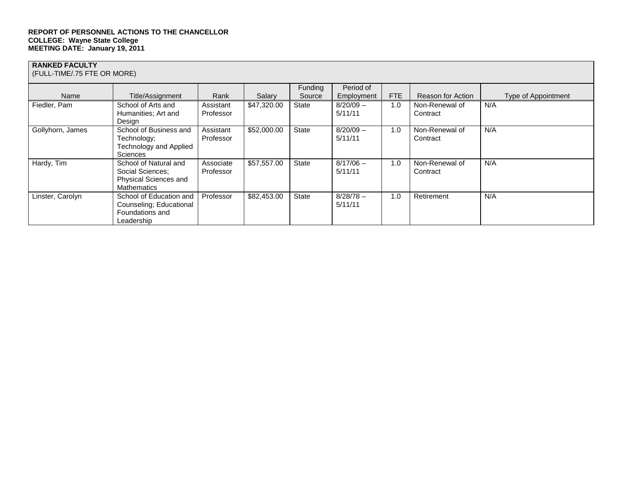# **RANKED FACULTY**

(FULL-TIME/.75 FTE OR MORE)

|                  |                               |           |             | Funding      | Period of   |     |                   |                     |
|------------------|-------------------------------|-----------|-------------|--------------|-------------|-----|-------------------|---------------------|
| Name             | Title/Assignment              | Rank      | Salary      | Source       | Employment  | FTE | Reason for Action | Type of Appointment |
| Fiedler, Pam     | School of Arts and            | Assistant | \$47,320.00 | State        | $8/20/09 -$ | 1.0 | Non-Renewal of    | N/A                 |
|                  | Humanities; Art and           | Professor |             |              | 5/11/11     |     | Contract          |                     |
|                  | Design                        |           |             |              |             |     |                   |                     |
| Gollyhorn, James | School of Business and        | Assistant | \$52,000.00 | State        | $8/20/09 -$ | 1.0 | Non-Renewal of    | N/A                 |
|                  | Technology;                   | Professor |             |              | 5/11/11     |     | Contract          |                     |
|                  | <b>Technology and Applied</b> |           |             |              |             |     |                   |                     |
|                  | <b>Sciences</b>               |           |             |              |             |     |                   |                     |
| Hardy, Tim       | School of Natural and         | Associate | \$57,557.00 | State        | $8/17/06 -$ | 1.0 | Non-Renewal of    | N/A                 |
|                  | Social Sciences;              | Professor |             |              | 5/11/11     |     | Contract          |                     |
|                  | <b>Physical Sciences and</b>  |           |             |              |             |     |                   |                     |
|                  | <b>Mathematics</b>            |           |             |              |             |     |                   |                     |
| Linster, Carolyn | School of Education and       | Professor | \$82,453.00 | <b>State</b> | $8/28/78 -$ | 1.0 | Retirement        | N/A                 |
|                  | Counseling; Educational       |           |             |              | 5/11/11     |     |                   |                     |
|                  | Foundations and               |           |             |              |             |     |                   |                     |
|                  | Leadership                    |           |             |              |             |     |                   |                     |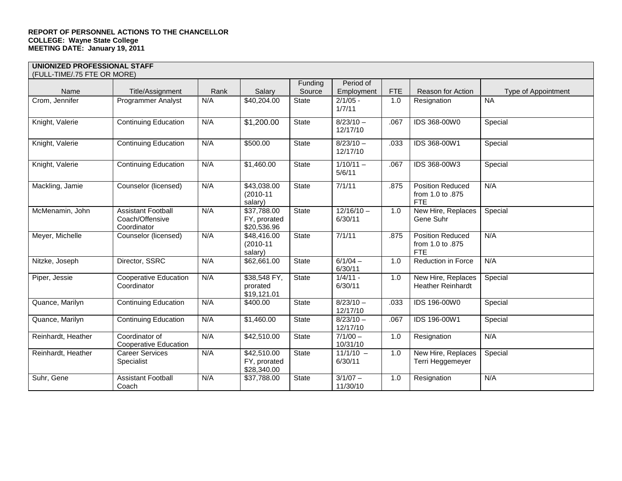| <b>UNIONIZED PROFESSIONAL STAFF</b> |                                                             |      |                                            |         |                         |            |                                                           |                     |
|-------------------------------------|-------------------------------------------------------------|------|--------------------------------------------|---------|-------------------------|------------|-----------------------------------------------------------|---------------------|
| (FULL-TIME/.75 FTE OR MORE)         |                                                             |      |                                            |         |                         |            |                                                           |                     |
|                                     |                                                             |      |                                            | Funding | Period of               |            |                                                           |                     |
| Name                                | Title/Assignment                                            | Rank | Salary                                     | Source  | Employment              | <b>FTE</b> | Reason for Action                                         | Type of Appointment |
| Crom, Jennifer                      | <b>Programmer Analyst</b>                                   | N/A  | \$40,204.00                                | State   | $2/1/05 -$<br>1/7/11    | 1.0        | Resignation                                               | <b>NA</b>           |
| Knight, Valerie                     | <b>Continuing Education</b>                                 | N/A  | \$1,200.00                                 | State   | $8/23/10 -$<br>12/17/10 | .067       | IDS 368-00W0                                              | Special             |
| Knight, Valerie                     | <b>Continuing Education</b>                                 | N/A  | \$500.00                                   | State   | $8/23/10 -$<br>12/17/10 | .033       | IDS 368-00W1                                              | Special             |
| Knight, Valerie                     | <b>Continuing Education</b>                                 | N/A  | \$1,460.00                                 | State   | $1/10/11 -$<br>5/6/11   | .067       | IDS 368-00W3                                              | Special             |
| Mackling, Jamie                     | Counselor (licensed)                                        | N/A  | \$43,038.00<br>$(2010 - 11)$<br>salary)    | State   | 7/1/11                  | .875       | <b>Position Reduced</b><br>from 1.0 to .875<br><b>FTE</b> | N/A                 |
| McMenamin, John                     | <b>Assistant Football</b><br>Coach/Offensive<br>Coordinator | N/A  | \$37,788.00<br>FY, prorated<br>\$20,536.96 | State   | $12/16/10 -$<br>6/30/11 | 1.0        | New Hire, Replaces<br>Gene Suhr                           | Special             |
| Meyer, Michelle                     | Counselor (licensed)                                        | N/A  | \$48,416.00<br>$(2010 - 11)$<br>salary)    | State   | 7/1/11                  | .875       | <b>Position Reduced</b><br>from 1.0 to .875<br><b>FTE</b> | N/A                 |
| Nitzke, Joseph                      | Director, SSRC                                              | N/A  | \$62,661.00                                | State   | $6/1/04 -$<br>6/30/11   | 1.0        | <b>Reduction in Force</b>                                 | N/A                 |
| Piper, Jessie                       | Cooperative Education<br>Coordinator                        | N/A  | \$38,548 FY,<br>prorated<br>\$19,121.01    | State   | $1/4/11 -$<br>6/30/11   | 1.0        | New Hire, Replaces<br><b>Heather Reinhardt</b>            | Special             |
| Quance, Marilyn                     | <b>Continuing Education</b>                                 | N/A  | \$400.00                                   | State   | $8/23/10 -$<br>12/17/10 | .033       | IDS 196-00W0                                              | Special             |
| Quance, Marilyn                     | <b>Continuing Education</b>                                 | N/A  | \$1,460.00                                 | State   | $8/23/10 -$<br>12/17/10 | .067       | IDS 196-00W1                                              | Special             |
| Reinhardt, Heather                  | Coordinator of<br><b>Cooperative Education</b>              | N/A  | \$42,510.00                                | State   | $7/1/00 -$<br>10/31/10  | 1.0        | Resignation                                               | N/A                 |
| Reinhardt, Heather                  | <b>Career Services</b><br>Specialist                        | N/A  | \$42,510.00<br>FY, prorated<br>\$28,340.00 | State   | $11/1/10 -$<br>6/30/11  | 1.0        | New Hire, Replaces<br>Terri Heggemeyer                    | Special             |
| Suhr, Gene                          | <b>Assistant Football</b><br>Coach                          | N/A  | \$37,788.00                                | State   | $3/1/07 -$<br>11/30/10  | 1.0        | Resignation                                               | N/A                 |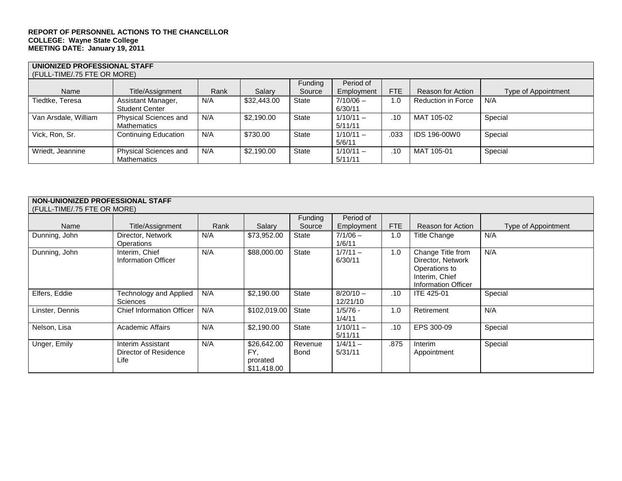| UNIONIZED PROFESSIONAL STAFF<br>(FULL-TIME/.75 FTE OR MORE) |                             |      |             |              |             |      |                           |                     |  |  |
|-------------------------------------------------------------|-----------------------------|------|-------------|--------------|-------------|------|---------------------------|---------------------|--|--|
|                                                             |                             |      |             | Funding      | Period of   |      |                           |                     |  |  |
| Name                                                        | Title/Assignment            | Rank | Salary      | Source       | Employment  | FTE  | Reason for Action         | Type of Appointment |  |  |
| Tiedtke, Teresa                                             | Assistant Manager,          | N/A  | \$32,443.00 | State        | $7/10/06 -$ | 1.0  | <b>Reduction in Force</b> | N/A                 |  |  |
|                                                             | <b>Student Center</b>       |      |             |              | 6/30/11     |      |                           |                     |  |  |
| Van Arsdale, William                                        | Physical Sciences and       | N/A  | \$2,190.00  | State        | $1/10/11 -$ | .10  | MAT 105-02                | Special             |  |  |
|                                                             | Mathematics                 |      |             |              | 5/11/11     |      |                           |                     |  |  |
| Vick, Ron, Sr.                                              | <b>Continuing Education</b> | N/A  | \$730.00    | <b>State</b> | $1/10/11 -$ | .033 | IDS 196-00W0              | Special             |  |  |
|                                                             |                             |      |             |              | 5/6/11      |      |                           |                     |  |  |
| Wriedt, Jeannine                                            | Physical Sciences and       | N/A  | \$2,190,00  | <b>State</b> | $1/10/11 -$ | .10  | MAT 105-01                | Special             |  |  |
|                                                             | <b>Mathematics</b>          |      |             |              | 5/11/11     |      |                           |                     |  |  |

## **NON-UNIONIZED PROFESSIONAL STAFF**

| (FULL-TIME/.75 FTE OR MORE) |                                                    |      |                                               |                 |                         |      |                                                                                                  |                     |  |
|-----------------------------|----------------------------------------------------|------|-----------------------------------------------|-----------------|-------------------------|------|--------------------------------------------------------------------------------------------------|---------------------|--|
|                             |                                                    |      |                                               | Funding         | Period of               |      |                                                                                                  |                     |  |
| Name                        | Title/Assignment                                   | Rank | Salary                                        | Source          | Employment              | FTE  | <b>Reason for Action</b>                                                                         | Type of Appointment |  |
| Dunning, John               | Director, Network<br>Operations                    | N/A  | \$73,952.00                                   | State           | $7/1/06 -$<br>1/6/11    | 1.0  | Title Change                                                                                     | N/A                 |  |
| Dunning, John               | Interim. Chief<br>Information Officer              | N/A  | \$88,000.00                                   | State           | $1/7/11 -$<br>6/30/11   | 1.0  | Change Title from<br>Director, Network<br>Operations to<br>Interim, Chief<br>Information Officer | N/A                 |  |
| Elfers, Eddie               | <b>Technology and Applied</b><br><b>Sciences</b>   | N/A  | \$2,190.00                                    | State           | $8/20/10 -$<br>12/21/10 | .10  | <b>ITE 425-01</b>                                                                                | Special             |  |
| Linster, Dennis             | <b>Chief Information Officer</b>                   | N/A  | \$102,019.00                                  | State           | $1/5/76 -$<br>1/4/11    | 1.0  | Retirement                                                                                       | N/A                 |  |
| Nelson, Lisa                | <b>Academic Affairs</b>                            | N/A  | \$2,190.00                                    | State           | $1/10/11 -$<br>5/11/11  | .10  | EPS 300-09                                                                                       | Special             |  |
| Unger, Emily                | Interim Assistant<br>Director of Residence<br>Life | N/A  | \$26,642.00<br>FY.<br>prorated<br>\$11,418.00 | Revenue<br>Bond | $1/4/11 -$<br>5/31/11   | .875 | Interim<br>Appointment                                                                           | Special             |  |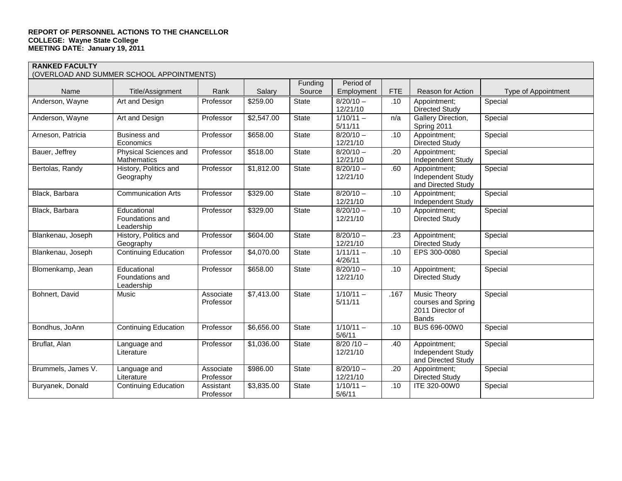#### **RANKED FACULTY**

#### (OVERLOAD AND SUMMER SCHOOL APPOINTMENTS)

|                    | (OVERLOAD AND SUMMER SCHOOL APPOINTMENTS)    |                        |            | Funding      | Period of               |            |                                                                               |                            |
|--------------------|----------------------------------------------|------------------------|------------|--------------|-------------------------|------------|-------------------------------------------------------------------------------|----------------------------|
| Name               | Title/Assignment                             | Rank                   | Salary     | Source       | Employment              | <b>FTE</b> | <b>Reason for Action</b>                                                      | <b>Type of Appointment</b> |
| Anderson, Wayne    | Art and Design                               | Professor              | \$259.00   | State        | $8/20/10 -$<br>12/21/10 | .10        | Appointment;<br><b>Directed Study</b>                                         | Special                    |
| Anderson, Wayne    | Art and Design                               | Professor              | \$2,547.00 | State        | $1/10/11 -$<br>5/11/11  | n/a        | Gallery Direction,<br>Spring 2011                                             | Special                    |
| Arneson, Patricia  | <b>Business and</b><br>Economics             | Professor              | \$658.00   | State        | $8/20/10 -$<br>12/21/10 | .10        | Appointment;<br><b>Directed Study</b>                                         | Special                    |
| Bauer, Jeffrey     | Physical Sciences and<br>Mathematics         | Professor              | \$518.00   | <b>State</b> | $8/20/10 -$<br>12/21/10 | .20        | Appointment;<br>Independent Study                                             | Special                    |
| Bertolas, Randy    | History, Politics and<br>Geography           | Professor              | \$1,812.00 | State        | $8/20/10 -$<br>12/21/10 | .60        | Appointment;<br><b>Independent Study</b><br>and Directed Study                | Special                    |
| Black, Barbara     | <b>Communication Arts</b>                    | Professor              | \$329.00   | <b>State</b> | $8/20/10 -$<br>12/21/10 | .10        | Appointment;<br><b>Independent Study</b>                                      | Special                    |
| Black, Barbara     | Educational<br>Foundations and<br>Leadership | Professor              | \$329.00   | <b>State</b> | $8/20/10 -$<br>12/21/10 | .10        | Appointment;<br>Directed Study                                                | Special                    |
| Blankenau, Joseph  | History, Politics and<br>Geography           | Professor              | \$604.00   | <b>State</b> | $8/20/10 -$<br>12/21/10 | .23        | Appointment;<br><b>Directed Study</b>                                         | Special                    |
| Blankenau, Joseph  | <b>Continuing Education</b>                  | Professor              | \$4,070.00 | State        | $1/11/11 -$<br>4/26/11  | .10        | EPS 300-0080                                                                  | Special                    |
| Blomenkamp, Jean   | Educational<br>Foundations and<br>Leadership | Professor              | \$658.00   | State        | $8/20/10 -$<br>12/21/10 | .10        | Appointment;<br><b>Directed Study</b>                                         | Special                    |
| Bohnert, David     | Music                                        | Associate<br>Professor | \$7,413.00 | <b>State</b> | $1/10/11 -$<br>5/11/11  | .167       | <b>Music Theory</b><br>courses and Spring<br>2011 Director of<br><b>Bands</b> | Special                    |
| Bondhus, JoAnn     | <b>Continuing Education</b>                  | Professor              | \$6,656.00 | State        | $1/10/11 -$<br>5/6/11   | .10        | BUS 696-00W0                                                                  | Special                    |
| Bruflat, Alan      | Language and<br>Literature                   | Professor              | \$1,036.00 | State        | $8/20/10 -$<br>12/21/10 | .40        | Appointment;<br><b>Independent Study</b><br>and Directed Study                | Special                    |
| Brummels, James V. | Language and<br>Literature                   | Associate<br>Professor | \$986.00   | <b>State</b> | $8/20/10 -$<br>12/21/10 | .20        | Appointment;<br><b>Directed Study</b>                                         | Special                    |
| Buryanek, Donald   | <b>Continuing Education</b>                  | Assistant<br>Professor | \$3,835.00 | <b>State</b> | $1/10/11 -$<br>5/6/11   | .10        | ITE 320-00W0                                                                  | Special                    |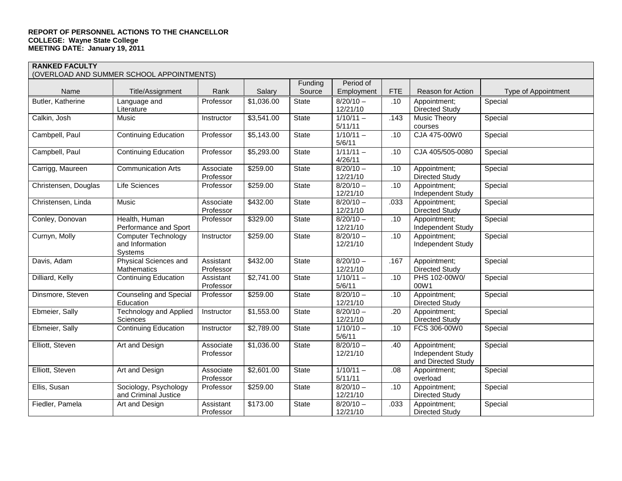| (OVERLOAD AND SUMMER SCHOOL APPOINTMENTS) |  |  |
|-------------------------------------------|--|--|
|                                           |  |  |

|                      |                                                          |                        |                        | Funding      | Period of                      |            |                                                                |                     |
|----------------------|----------------------------------------------------------|------------------------|------------------------|--------------|--------------------------------|------------|----------------------------------------------------------------|---------------------|
| Name                 | Title/Assignment                                         | Rank                   | Salary                 | Source       | Employment                     | <b>FTE</b> | Reason for Action                                              | Type of Appointment |
| Butler, Katherine    | Language and<br>Literature                               | Professor              | \$1,036.00             | <b>State</b> | $8/20/10 -$<br>12/21/10        | .10        | Appointment;<br><b>Directed Study</b>                          | Special             |
| Calkin, Josh         | Music                                                    | Instructor             | \$3,541.00             | State        | $1/10/11 -$<br>5/11/11         | .143       | <b>Music Theory</b><br>courses                                 | Special             |
| Cambpell, Paul       | <b>Continuing Education</b>                              | Professor              | \$5,143.00             | <b>State</b> | $1/10/11 -$<br>5/6/11          | .10        | CJA 475-00W0                                                   | Special             |
| Campbell, Paul       | <b>Continuing Education</b>                              | Professor              | \$5,293.00             | <b>State</b> | $1/11/11 -$<br>4/26/11         | .10        | CJA 405/505-0080                                               | Special             |
| Carrigg, Maureen     | <b>Communication Arts</b>                                | Associate<br>Professor | \$259.00               | <b>State</b> | $8/20/10 -$<br>12/21/10        | .10        | Appointment;<br><b>Directed Study</b>                          | Special             |
| Christensen, Douglas | <b>Life Sciences</b>                                     | Professor              | \$259.00               | State        | $8/20/10 -$<br>12/21/10        | .10        | Appointment;<br>Independent Study                              | Special             |
| Christensen, Linda   | Music                                                    | Associate<br>Professor | \$432.00               | State        | $8/20/10 -$<br>12/21/10        | .033       | Appointment;<br><b>Directed Study</b>                          | Special             |
| Conley, Donovan      | Health, Human<br>Performance and Sport                   | Professor              | \$329.00               | State        | $\sqrt{8/20/10}$ –<br>12/21/10 | .10        | Appointment;<br><b>Independent Study</b>                       | Special             |
| Curnyn, Molly        | <b>Computer Technology</b><br>and Information<br>Systems | Instructor             | \$259.00               | State        | $8/20/10 -$<br>12/21/10        | .10        | Appointment;<br><b>Independent Study</b>                       | Special             |
| Davis, Adam          | Physical Sciences and<br>Mathematics                     | Assistant<br>Professor | \$432.00               | State        | $8/20/10 -$<br>12/21/10        | .167       | Appointment;<br><b>Directed Study</b>                          | Special             |
| Dilliard, Kelly      | <b>Continuing Education</b>                              | Assistant<br>Professor | \$2,741.00             | State        | $1/10/11 -$<br>5/6/11          | .10        | PHS 102-00W0/<br>00W1                                          | Special             |
| Dinsmore, Steven     | <b>Counseling and Special</b><br>Education               | Professor              | \$259.00               | <b>State</b> | $8/20/10 -$<br>12/21/10        | .10        | Appointment;<br><b>Directed Study</b>                          | Special             |
| Ebmeier, Sally       | <b>Technology and Applied</b><br>Sciences                | Instructor             | \$1,553.00             | State        | $8/20/10 -$<br>12/21/10        | .20        | Appointment;<br><b>Directed Study</b>                          | Special             |
| Ebmeier, Sally       | <b>Continuing Education</b>                              | Instructor             | $\overline{$}2,789.00$ | State        | $1/10/10 -$<br>5/6/11          | .10        | FCS 306-00W0                                                   | Special             |
| Elliott, Steven      | Art and Design                                           | Associate<br>Professor | \$1,036.00             | <b>State</b> | $8/20/10 -$<br>12/21/10        | .40        | Appointment;<br><b>Independent Study</b><br>and Directed Study | Special             |
| Elliott, Steven      | Art and Design                                           | Associate<br>Professor | \$2,601.00             | State        | $1/10/11 -$<br>5/11/11         | .08        | Appointment;<br>overload                                       | Special             |
| Ellis, Susan         | Sociology, Psychology<br>and Criminal Justice            | Professor              | \$259.00               | State        | $8/20/10 -$<br>12/21/10        | .10        | Appointment;<br><b>Directed Study</b>                          | Special             |
| Fiedler, Pamela      | Art and Design                                           | Assistant<br>Professor | \$173.00               | State        | $8/20/10 -$<br>12/21/10        | .033       | Appointment;<br><b>Directed Study</b>                          | Special             |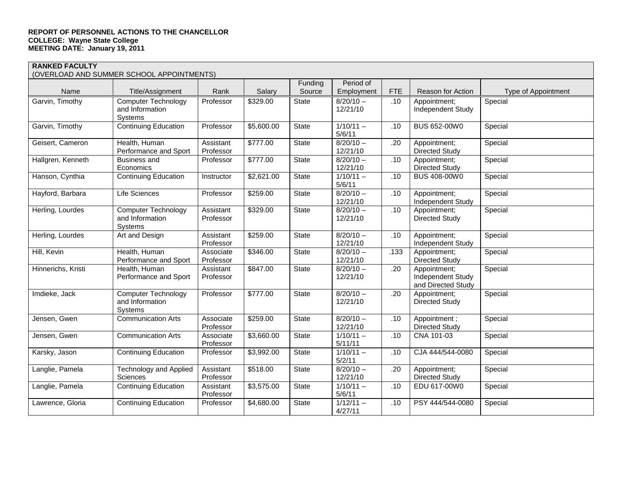|                    | (OVERLOAD AND SUMMER SCHOOL APPOINTMENTS)                       |                        |            |         |                         |            |                                                         |                     |
|--------------------|-----------------------------------------------------------------|------------------------|------------|---------|-------------------------|------------|---------------------------------------------------------|---------------------|
|                    |                                                                 |                        |            | Funding | Period of               |            |                                                         |                     |
| Name               | Title/Assignment                                                | Rank                   | Salary     | Source  | Employment              | <b>FTE</b> | Reason for Action                                       | Type of Appointment |
| Garvin, Timothy    | <b>Computer Technology</b><br>and Information<br><b>Systems</b> | Professor              | \$329.00   | State   | $8/20/10 -$<br>12/21/10 | .10        | Appointment;<br>Independent Study                       | Special             |
| Garvin, Timothy    | <b>Continuing Education</b>                                     | Professor              | \$5,600.00 | State   | $1/10/11 -$<br>5/6/11   | .10        | <b>BUS 652-00W0</b>                                     | Special             |
| Geisert, Cameron   | Health, Human<br>Performance and Sport                          | Assistant<br>Professor | \$777.00   | State   | $8/20/10 -$<br>12/21/10 | .20        | Appointment;<br><b>Directed Study</b>                   | Special             |
| Hallgren, Kenneth  | <b>Business and</b><br>Economics                                | Professor              | \$777.00   | State   | $8/20/10 -$<br>12/21/10 | .10        | Appointment;<br><b>Directed Study</b>                   | Special             |
| Hanson, Cynthia    | <b>Continuing Education</b>                                     | Instructor             | \$2,621.00 | State   | $1/10/11 -$<br>5/6/11   | .10        | <b>BUS 408-00W0</b>                                     | Special             |
| Hayford, Barbara   | Life Sciences                                                   | Professor              | \$259.00   | State   | $8/20/10 -$<br>12/21/10 | .10        | Appointment;<br><b>Independent Study</b>                | Special             |
| Herling, Lourdes   | <b>Computer Technology</b><br>and Information<br>Systems        | Assistant<br>Professor | \$329.00   | State   | $8/20/10 -$<br>12/21/10 | .10        | Appointment;<br><b>Directed Study</b>                   | Special             |
| Herling, Lourdes   | Art and Design                                                  | Assistant<br>Professor | \$259.00   | State   | $8/20/10 -$<br>12/21/10 | .10        | Appointment;<br>Independent Study                       | Special             |
| Hill, Kevin        | Health, Human<br>Performance and Sport                          | Associate<br>Professor | \$346.00   | State   | $8/20/10 -$<br>12/21/10 | .133       | Appointment;<br><b>Directed Study</b>                   | Special             |
| Hinnerichs, Kristi | Health, Human<br>Performance and Sport                          | Assistant<br>Professor | \$847.00   | State   | $8/20/10 -$<br>12/21/10 | .20        | Appointment;<br>Independent Study<br>and Directed Study | Special             |
| Imdieke, Jack      | <b>Computer Technology</b><br>and Information<br>Systems        | Professor              | \$777.00   | State   | $8/20/10 -$<br>12/21/10 | .20        | Appointment;<br><b>Directed Study</b>                   | Special             |
| Jensen, Gwen       | <b>Communication Arts</b>                                       | Associate<br>Professor | \$259.00   | State   | $8/20/10 -$<br>12/21/10 | .10        | Appointment;<br><b>Directed Study</b>                   | Special             |
| Jensen, Gwen       | <b>Communication Arts</b>                                       | Associate<br>Professor | \$3,660.00 | State   | $1/10/11 -$<br>5/11/11  | .10        | CNA 101-03                                              | Special             |
| Karsky, Jason      | <b>Continuing Education</b>                                     | Professor              | \$3,992.00 | State   | $1/10/11 -$<br>5/2/11   | .10        | CJA 444/544-0080                                        | Special             |
| Langlie, Pamela    | <b>Technology and Applied</b><br>Sciences                       | Assistant<br>Professor | \$518.00   | State   | $8/20/10 -$<br>12/21/10 | .20        | Appointment;<br><b>Directed Study</b>                   | Special             |
| Langlie, Pamela    | <b>Continuing Education</b>                                     | Assistant<br>Professor | \$3,575.00 | State   | $1/10/11 -$<br>5/6/11   | .10        | EDU 617-00W0                                            | Special             |
| Lawrence, Gloria   | <b>Continuing Education</b>                                     | Professor              | \$4,680.00 | State   | $1/12/11 -$<br>4/27/11  | .10        | PSY 444/544-0080                                        | Special             |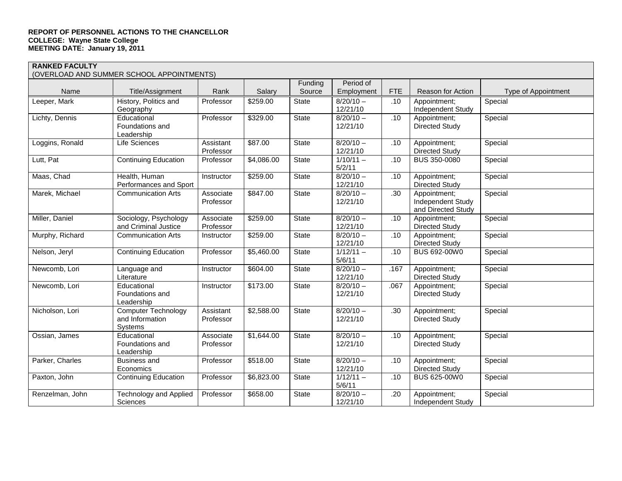|                 | (OVERLOAD AND SUMMER SCHOOL APPOINTMENTS)                |                        |                      |              |                         |                  |                                                                |                     |
|-----------------|----------------------------------------------------------|------------------------|----------------------|--------------|-------------------------|------------------|----------------------------------------------------------------|---------------------|
|                 |                                                          |                        |                      | Funding      | Period of               |                  |                                                                |                     |
| Name            | Title/Assignment                                         | Rank                   | Salary               | Source       | Employment              | FTE              | <b>Reason for Action</b>                                       | Type of Appointment |
| Leeper, Mark    | History, Politics and<br>Geography                       | Professor              | $\overline{$}259.00$ | <b>State</b> | $8/20/10 -$<br>12/21/10 | .10              | Appointment;<br>Independent Study                              | Special             |
| Lichty, Dennis  | Educational<br>Foundations and<br>Leadership             | Professor              | \$329.00             | State        | $8/20/10 -$<br>12/21/10 | .10              | Appointment;<br>Directed Study                                 | Special             |
| Loggins, Ronald | Life Sciences                                            | Assistant<br>Professor | \$87.00              | State        | $8/20/10 -$<br>12/21/10 | .10              | Appointment;<br><b>Directed Study</b>                          | Special             |
| Lutt, Pat       | <b>Continuing Education</b>                              | Professor              | \$4,086.00           | <b>State</b> | $1/10/11 -$<br>5/2/11   | $\overline{.}10$ | <b>BUS 350-0080</b>                                            | Special             |
| Maas, Chad      | Health, Human<br>Performances and Sport                  | <b>Instructor</b>      | \$259.00             | State        | $8/20/10 -$<br>12/21/10 | .10              | Appointment;<br><b>Directed Study</b>                          | Special             |
| Marek, Michael  | <b>Communication Arts</b>                                | Associate<br>Professor | \$847.00             | State        | $8/20/10 -$<br>12/21/10 | .30              | Appointment;<br><b>Independent Study</b><br>and Directed Study | Special             |
| Miller, Daniel  | Sociology, Psychology<br>and Criminal Justice            | Associate<br>Professor | \$259.00             | State        | $8/20/10 -$<br>12/21/10 | .10              | Appointment;<br><b>Directed Study</b>                          | Special             |
| Murphy, Richard | <b>Communication Arts</b>                                | Instructor             | \$259.00             | State        | $8/20/10 -$<br>12/21/10 | .10              | Appointment;<br><b>Directed Study</b>                          | Special             |
| Nelson, Jeryl   | <b>Continuing Education</b>                              | Professor              | \$5,460.00           | State        | $1/12/11 -$<br>5/6/11   | .10              | BUS 692-00W0                                                   | Special             |
| Newcomb, Lori   | Language and<br>Literature                               | Instructor             | \$604.00             | State        | $8/20/10 -$<br>12/21/10 | .167             | Appointment;<br><b>Directed Study</b>                          | Special             |
| Newcomb, Lori   | Educational<br>Foundations and<br>Leadership             | Instructor             | \$173.00             | State        | $8/20/10 -$<br>12/21/10 | .067             | Appointment;<br><b>Directed Study</b>                          | Special             |
| Nicholson, Lori | <b>Computer Technology</b><br>and Information<br>Systems | Assistant<br>Professor | \$2,588.00           | State        | $8/20/10 -$<br>12/21/10 | .30              | Appointment;<br><b>Directed Study</b>                          | Special             |
| Ossian, James   | Educational<br>Foundations and<br>Leadership             | Associate<br>Professor | \$1,644.00           | State        | $8/20/10 -$<br>12/21/10 | .10              | Appointment;<br><b>Directed Study</b>                          | Special             |
| Parker, Charles | <b>Business and</b><br>Economics                         | Professor              | \$518.00             | State        | $8/20/10 -$<br>12/21/10 | .10              | Appointment;<br><b>Directed Study</b>                          | Special             |
| Paxton, John    | <b>Continuing Education</b>                              | Professor              | \$6,823.00           | State        | $1/12/11 -$<br>5/6/11   | .10              | BUS 625-00W0                                                   | Special             |
| Renzelman, John | <b>Technology and Applied</b><br>Sciences                | Professor              | \$658.00             | State        | $8/20/10 -$<br>12/21/10 | .20              | Appointment;<br>Independent Study                              | Special             |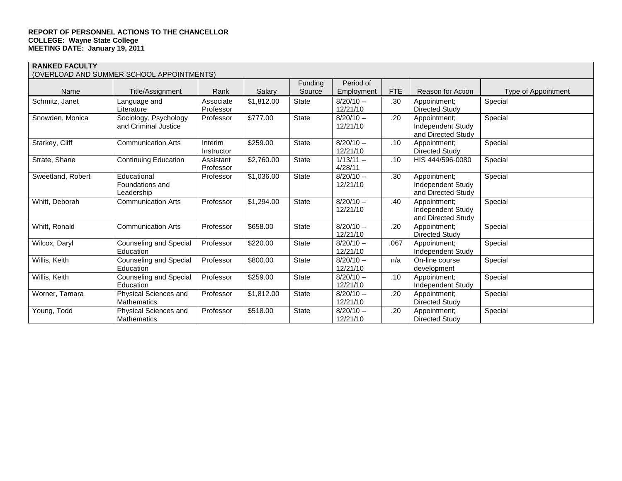| (OVERLOAD AND SUMMER SCHOOL APPOINTMENTS) |                             |            |            |              |             |            |                                         |                     |  |  |
|-------------------------------------------|-----------------------------|------------|------------|--------------|-------------|------------|-----------------------------------------|---------------------|--|--|
|                                           |                             |            |            | Funding      | Period of   |            |                                         |                     |  |  |
| Name                                      | Title/Assignment            | Rank       | Salary     | Source       | Employment  | <b>FTE</b> | Reason for Action                       | Type of Appointment |  |  |
| Schmitz, Janet                            | Language and                | Associate  | \$1,812.00 | State        | $8/20/10 -$ | .30        | Appointment:                            | Special             |  |  |
|                                           | Literature                  | Professor  |            |              | 12/21/10    |            | Directed Study                          |                     |  |  |
| Snowden, Monica                           | Sociology, Psychology       | Professor  | \$777.00   | <b>State</b> | $8/20/10 -$ | .20        | Appointment;                            | Special             |  |  |
|                                           | and Criminal Justice        |            |            |              | 12/21/10    |            | Independent Study                       |                     |  |  |
|                                           |                             |            |            |              |             |            | and Directed Study                      |                     |  |  |
| Starkey, Cliff                            | <b>Communication Arts</b>   | Interim    | \$259.00   | <b>State</b> | $8/20/10 -$ | .10        | Appointment;                            | Special             |  |  |
|                                           |                             | Instructor |            |              | 12/21/10    |            | Directed Study                          |                     |  |  |
| Strate, Shane                             | <b>Continuing Education</b> | Assistant  | \$2,760.00 | <b>State</b> | $1/13/11 -$ | .10        | HIS 444/596-0080                        | Special             |  |  |
|                                           |                             | Professor  |            |              | 4/28/11     |            |                                         |                     |  |  |
| Sweetland, Robert                         | Educational                 | Professor  | \$1,036.00 | <b>State</b> | $8/20/10 -$ | .30        | Appointment;                            | Special             |  |  |
|                                           | Foundations and             |            |            |              | 12/21/10    |            | Independent Study                       |                     |  |  |
|                                           | Leadership                  |            |            |              |             |            | and Directed Study                      |                     |  |  |
| Whitt, Deborah                            | <b>Communication Arts</b>   | Professor  | \$1,294.00 | State        | $8/20/10 -$ | .40        | Appointment:                            | Special             |  |  |
|                                           |                             |            |            |              | 12/21/10    |            | Independent Study<br>and Directed Study |                     |  |  |
| Whitt, Ronald                             | <b>Communication Arts</b>   | Professor  | \$658.00   | <b>State</b> | $8/20/10 -$ |            |                                         | Special             |  |  |
|                                           |                             |            |            |              | 12/21/10    | .20        | Appointment:<br>Directed Study          |                     |  |  |
| Wilcox, Daryl                             | Counseling and Special      | Professor  | \$220.00   | <b>State</b> | $8/20/10 -$ | .067       | Appointment;                            | Special             |  |  |
|                                           | Education                   |            |            |              | 12/21/10    |            | Independent Study                       |                     |  |  |
| Willis, Keith                             | Counseling and Special      | Professor  | \$800.00   | <b>State</b> | $8/20/10 -$ | n/a        | On-line course                          | Special             |  |  |
|                                           | Education                   |            |            |              | 12/21/10    |            | development                             |                     |  |  |
| Willis, Keith                             | Counseling and Special      | Professor  | \$259.00   | State        | $8/20/10 -$ | .10        | Appointment:                            | Special             |  |  |
|                                           | Education                   |            |            |              | 12/21/10    |            | Independent Study                       |                     |  |  |
| Worner, Tamara                            | Physical Sciences and       | Professor  | \$1,812.00 | State        | $8/20/10 -$ | .20        | Appointment:                            | Special             |  |  |
|                                           | <b>Mathematics</b>          |            |            |              | 12/21/10    |            | Directed Study                          |                     |  |  |
| Young, Todd                               | Physical Sciences and       | Professor  | \$518.00   | <b>State</b> | $8/20/10 -$ | .20        | Appointment:                            | Special             |  |  |
|                                           | <b>Mathematics</b>          |            |            |              | 12/21/10    |            | Directed Study                          |                     |  |  |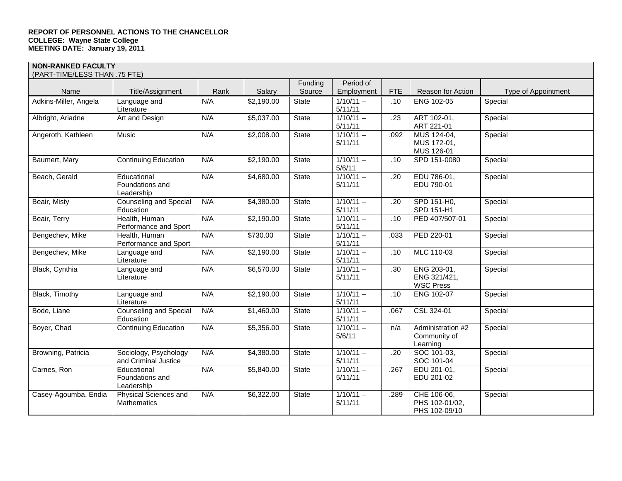| (PART-TIME/LESS THAN .75 FTE) |                                               |      |            |              |                        |            |                                                 |                     |  |
|-------------------------------|-----------------------------------------------|------|------------|--------------|------------------------|------------|-------------------------------------------------|---------------------|--|
|                               |                                               |      |            | Funding      | Period of              |            |                                                 |                     |  |
| Name                          | Title/Assignment                              | Rank | Salary     | Source       | Employment             | <b>FTE</b> | Reason for Action                               | Type of Appointment |  |
| Adkins-Miller, Angela         | Language and<br>Literature                    | N/A  | \$2,190.00 | State        | $1/10/11 -$<br>5/11/11 | .10        | ENG 102-05                                      | Special             |  |
| Albright, Ariadne             | Art and Design                                | N/A  | \$5,037.00 | State        | $1/10/11 -$<br>5/11/11 | .23        | ART 102-01,<br>ART 221-01                       | Special             |  |
| Angeroth, Kathleen            | Music                                         | N/A  | \$2,008.00 | <b>State</b> | $1/10/11 -$<br>5/11/11 | .092       | MUS 124-04,<br>MUS 172-01,<br>MUS 126-01        | Special             |  |
| Baumert, Mary                 | <b>Continuing Education</b>                   | N/A  | \$2,190.00 | State        | $1/10/11 -$<br>5/6/11  | .10        | SPD 151-0080                                    | Special             |  |
| Beach, Gerald                 | Educational<br>Foundations and<br>Leadership  | N/A  | \$4,680.00 | State        | $1/10/11 -$<br>5/11/11 | .20        | EDU 786-01,<br>EDU 790-01                       | Special             |  |
| Beair, Misty                  | <b>Counseling and Special</b><br>Education    | N/A  | \$4,380.00 | State        | $1/10/11 -$<br>5/11/11 | .20        | SPD 151-H0,<br>SPD 151-H1                       | Special             |  |
| Beair, Terry                  | Health, Human<br>Performance and Sport        | N/A  | \$2,190.00 | State        | $1/10/11 -$<br>5/11/11 | .10        | PED 407/507-01                                  | Special             |  |
| Bengechev, Mike               | Health, Human<br>Performance and Sport        | N/A  | \$730.00   | State        | $1/10/11 -$<br>5/11/11 | .033       | PED 220-01                                      | Special             |  |
| Bengechev, Mike               | Language and<br>Literature                    | N/A  | \$2,190.00 | State        | $1/10/11 -$<br>5/11/11 | .10        | MLC 110-03                                      | Special             |  |
| Black, Cynthia                | Language and<br>Literature                    | N/A  | \$6,570.00 | <b>State</b> | $1/10/11 -$<br>5/11/11 | .30        | ENG 203-01,<br>ENG 321/421,<br><b>WSC Press</b> | Special             |  |
| Black, Timothy                | Language and<br>Literature                    | N/A  | \$2,190.00 | <b>State</b> | $1/10/11 -$<br>5/11/11 | .10        | <b>ENG 102-07</b>                               | Special             |  |
| Bode, Liane                   | <b>Counseling and Special</b><br>Education    | N/A  | \$1,460.00 | State        | $1/10/11 -$<br>5/11/11 | .067       | CSL 324-01                                      | Special             |  |
| Boyer, Chad                   | <b>Continuing Education</b>                   | N/A  | \$5,356.00 | State        | $1/10/11 -$<br>5/6/11  | n/a        | Administration #2<br>Community of<br>Learning   | Special             |  |
| Browning, Patricia            | Sociology, Psychology<br>and Criminal Justice | N/A  | \$4,380.00 | State        | $1/10/11 -$<br>5/11/11 | .20        | SOC 101-03.<br>SOC 101-04                       | Special             |  |
| Carnes, Ron                   | Educational<br>Foundations and<br>Leadership  | N/A  | \$5,840.00 | State        | $1/10/11 -$<br>5/11/11 | .267       | EDU 201-01,<br>EDU 201-02                       | Special             |  |
| Casey-Agoumba, Endia          | Physical Sciences and<br>Mathematics          | N/A  | \$6,322.00 | State        | $1/10/11 -$<br>5/11/11 | .289       | CHE 106-06,<br>PHS 102-01/02,<br>PHS 102-09/10  | Special             |  |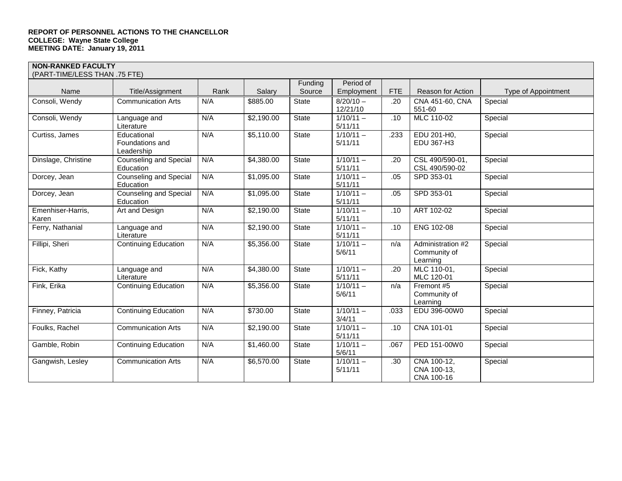| (PART-TIME/LESS THAN .75 FTE) |                                             |      |            |              |                        |            |                           |                     |
|-------------------------------|---------------------------------------------|------|------------|--------------|------------------------|------------|---------------------------|---------------------|
|                               |                                             |      |            | Funding      | Period of              |            |                           |                     |
| Name                          | Title/Assignment                            | Rank | Salary     | Source       | Employment             | <b>FTE</b> | Reason for Action         | Type of Appointment |
| Consoli, Wendy                | <b>Communication Arts</b>                   | N/A  | \$885.00   | <b>State</b> | $8/20/10 -$            | .20        | CNA 451-60, CNA           | Special             |
|                               |                                             |      |            |              | 12/21/10               |            | 551-60                    |                     |
| Consoli, Wendy                | Language and                                | N/A  | \$2,190.00 | <b>State</b> | $1/10/11 -$            | .10        | MLC 110-02                | Special             |
|                               | Literature                                  |      |            |              | 5/11/11                |            |                           |                     |
| Curtiss, James                | Educational                                 | N/A  | \$5,110.00 | State        | $1/10/11 -$            | .233       | EDU 201-H0,               | Special             |
|                               | Foundations and                             |      |            |              | 5/11/11                |            | EDU 367-H3                |                     |
| Dinslage, Christine           | Leadership<br><b>Counseling and Special</b> | N/A  | \$4,380.00 | State        | $1/10/11 -$            |            | CSL 490/590-01,           | Special             |
|                               | Education                                   |      |            |              | 5/11/11                | .20        | CSL 490/590-02            |                     |
| Dorcey, Jean                  | Counseling and Special                      | N/A  | \$1,095.00 | <b>State</b> | $1/10/11 -$            | .05        | SPD 353-01                | Special             |
|                               | Education                                   |      |            |              | 5/11/11                |            |                           |                     |
| Dorcey, Jean                  | <b>Counseling and Special</b>               | N/A  | \$1,095.00 | State        | $1/10/11 -$            | .05        | SPD 353-01                | Special             |
|                               | Education                                   |      |            |              | 5/11/11                |            |                           |                     |
| Emenhiser-Harris,             | Art and Design                              | N/A  | \$2,190.00 | State        | $1/10/11 -$            | .10        | ART 102-02                | Special             |
| Karen                         |                                             |      |            |              | 5/11/11                |            |                           |                     |
| Ferry, Nathanial              | Language and                                | N/A  | \$2,190.00 | State        | $1/10/11 -$            | .10        | ENG 102-08                | Special             |
|                               | Literature                                  |      |            |              | 5/11/11                |            |                           |                     |
| Fillipi, Sheri                | <b>Continuing Education</b>                 | N/A  | \$5,356.00 | State        | $1/10/11 -$            | n/a        | Administration #2         | Special             |
|                               |                                             |      |            |              | 5/6/11                 |            | Community of              |                     |
|                               |                                             |      |            |              |                        |            | Learning                  |                     |
| Fick, Kathy                   | Language and                                | N/A  | \$4,380.00 | State        | $1/10/11 -$<br>5/11/11 | .20        | MLC 110-01,<br>MLC 120-01 | Special             |
| Fink, Erika                   | Literature<br><b>Continuing Education</b>   | N/A  | \$5,356.00 | State        | $1/10/11 -$            | n/a        | Fremont #5                | Special             |
|                               |                                             |      |            |              | 5/6/11                 |            | Community of              |                     |
|                               |                                             |      |            |              |                        |            | Learning                  |                     |
| Finney, Patricia              | <b>Continuing Education</b>                 | N/A  | \$730.00   | State        | $1/10/11 -$            | .033       | EDU 396-00W0              | Special             |
|                               |                                             |      |            |              | 3/4/11                 |            |                           |                     |
| Foulks, Rachel                | <b>Communication Arts</b>                   | N/A  | \$2,190.00 | <b>State</b> | $1/10/11 -$            | .10        | CNA 101-01                | Special             |
|                               |                                             |      |            |              | 5/11/11                |            |                           |                     |
| Gamble, Robin                 | <b>Continuing Education</b>                 | N/A  | \$1,460.00 | State        | $1/10/11 -$            | .067       | PED 151-00W0              | Special             |
|                               |                                             |      |            |              | 5/6/11                 |            |                           |                     |
| Gangwish, Lesley              | <b>Communication Arts</b>                   | N/A  | \$6,570.00 | State        | $1/10/11 -$            | .30        | CNA 100-12,               | Special             |
|                               |                                             |      |            |              | 5/11/11                |            | CNA 100-13,               |                     |
|                               |                                             |      |            |              |                        |            | CNA 100-16                |                     |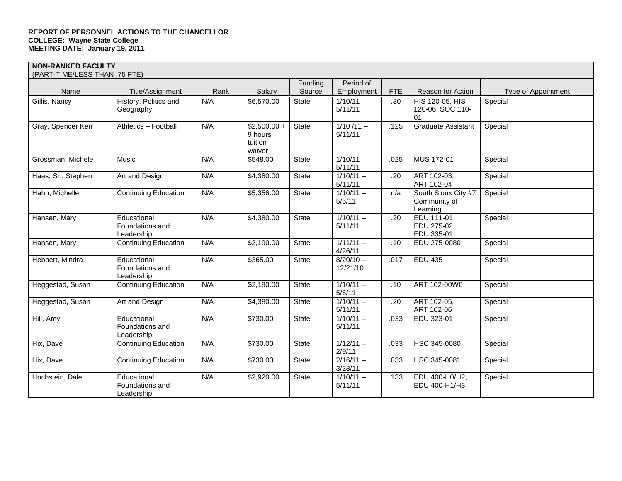| (PART-TIME/LESS THAN .75 FTE) |                                              |      |                                               |              |                         |            |                                                 |                     |
|-------------------------------|----------------------------------------------|------|-----------------------------------------------|--------------|-------------------------|------------|-------------------------------------------------|---------------------|
|                               |                                              |      |                                               | Funding      | Period of               |            |                                                 |                     |
| Name                          | Title/Assignment                             | Rank | Salary                                        | Source       | Employment              | <b>FTE</b> | <b>Reason for Action</b>                        | Type of Appointment |
| Gillis, Nancy                 | History, Politics and<br>Geography           | N/A  | \$6,570.00                                    | State        | $1/10/11 -$<br>5/11/11  | .30        | HIS 120-05, HIS<br>120-06, SOC 110-<br>01       | Special             |
| Gray, Spencer Kerr            | Athletics - Football                         | N/A  | $$2,500.00 +$<br>9 hours<br>tuition<br>waiver | State        | $1/10/11 -$<br>5/11/11  | .125       | <b>Graduate Assistant</b>                       | Special             |
| Grossman, Michele             | Music                                        | N/A  | \$548.00                                      | State        | $1/10/11 -$<br>5/11/11  | .025       | MUS 172-01                                      | Special             |
| Haas, Sr., Stephen            | Art and Design                               | N/A  | \$4,380.00                                    | State        | $1/10/11 -$<br>5/11/11  | .20        | ART 102-03,<br>ART 102-04                       | Special             |
| Hahn, Michelle                | <b>Continuing Education</b>                  | N/A  | \$5,356.00                                    | <b>State</b> | $1/10/11 -$<br>5/6/11   | n/a        | South Sioux City #7<br>Community of<br>Learning | Special             |
| Hansen, Mary                  | Educational<br>Foundations and<br>Leadership | N/A  | \$4,380.00                                    | State        | $1/10/11 -$<br>5/11/11  | .20        | EDU 111-01,<br>EDU 275-02,<br>EDU 335-01        | Special             |
| Hansen, Mary                  | <b>Continuing Education</b>                  | N/A  | \$2,190.00                                    | State        | $1/11/11 -$<br>4/26/11  | .10        | EDU 275-0080                                    | Special             |
| Hebbert, Mindra               | Educational<br>Foundations and<br>Leadership | N/A  | \$365.00                                      | State        | $8/20/10 -$<br>12/21/10 | .017       | <b>EDU 435</b>                                  | Special             |
| Heggestad, Susan              | <b>Continuing Education</b>                  | N/A  | \$2,190.00                                    | State        | $1/10/11 -$<br>5/6/11   | .10        | ART 102-00W0                                    | Special             |
| Heggestad, Susan              | Art and Design                               | N/A  | \$4,380.00                                    | <b>State</b> | $1/10/11 -$<br>5/11/11  | .20        | ART 102-05,<br>ART 102-06                       | Special             |
| Hill, Amy                     | Educational<br>Foundations and<br>Leadership | N/A  | \$730.00                                      | State        | $1/10/11 -$<br>5/11/11  | .033       | EDU 323-01                                      | Special             |
| Hix, Dave                     | <b>Continuing Education</b>                  | N/A  | \$730.00                                      | State        | $1/12/11 -$<br>2/9/11   | .033       | HSC 345-0080                                    | Special             |
| Hix, Dave                     | <b>Continuing Education</b>                  | N/A  | \$730.00                                      | State        | $2/16/11 -$<br>3/23/11  | .033       | HSC 345-0081                                    | Special             |
| Hochstein, Dale               | Educational<br>Foundations and<br>Leadership | N/A  | \$2,920.00                                    | State        | $1/10/11 -$<br>5/11/11  | .133       | EDU 400-H0/H2,<br>EDU 400-H1/H3                 | Special             |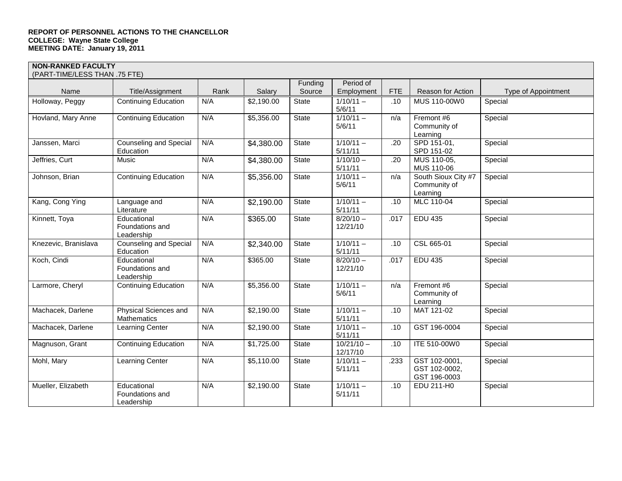| (PART-TIME/LESS THAN .75 FTE) |                                              |      |            |              |                          |            |                                                 |                     |
|-------------------------------|----------------------------------------------|------|------------|--------------|--------------------------|------------|-------------------------------------------------|---------------------|
|                               |                                              |      |            | Funding      | Period of                |            |                                                 |                     |
| Name                          | Title/Assignment                             | Rank | Salary     | Source       | Employment               | <b>FTE</b> | Reason for Action                               | Type of Appointment |
| Holloway, Peggy               | <b>Continuing Education</b>                  | N/A  | \$2,190.00 | State        | $1/10/11 -$<br>5/6/11    | .10        | MUS 110-00W0                                    | Special             |
| Hovland, Mary Anne            | <b>Continuing Education</b>                  | N/A  | \$5,356.00 | State        | $1/10/11 -$<br>5/6/11    | n/a        | Fremont #6<br>Community of<br>Learning          | Special             |
| Janssen, Marci                | <b>Counseling and Special</b><br>Education   | N/A  | \$4,380.00 | State        | $1/10/11 -$<br>5/11/11   | .20        | SPD 151-01,<br>SPD 151-02                       | Special             |
| Jeffries, Curt                | Music                                        | N/A  | \$4,380.00 | State        | $1/10/10 -$<br>5/11/11   | .20        | MUS 110-05,<br>MUS 110-06                       | Special             |
| Johnson, Brian                | <b>Continuing Education</b>                  | N/A  | \$5,356.00 | State        | $1/10/11 -$<br>5/6/11    | n/a        | South Sioux City #7<br>Community of<br>Learning | Special             |
| Kang, Cong Ying               | Language and<br>Literature                   | N/A  | \$2,190.00 | State        | $1/10/11 -$<br>5/11/11   | .10        | MLC 110-04                                      | Special             |
| Kinnett, Toya                 | Educational<br>Foundations and<br>Leadership | N/A  | \$365.00   | State        | $8/20/10 -$<br>12/21/10  | .017       | <b>EDU 435</b>                                  | Special             |
| Knezevic, Branislava          | <b>Counseling and Special</b><br>Education   | N/A  | \$2,340.00 | State        | $1/10/11 -$<br>5/11/11   | .10        | CSL 665-01                                      | Special             |
| Koch, Cindi                   | Educational<br>Foundations and<br>Leadership | N/A  | \$365.00   | State        | $8/20/10 -$<br>12/21/10  | .017       | <b>EDU 435</b>                                  | Special             |
| Larmore, Cheryl               | <b>Continuing Education</b>                  | N/A  | \$5,356.00 | <b>State</b> | $1/10/11 -$<br>5/6/11    | n/a        | Fremont #6<br>Community of<br>Learning          | Special             |
| Machacek, Darlene             | Physical Sciences and<br>Mathematics         | N/A  | \$2,190.00 | State        | $1/10/11 -$<br>5/11/11   | .10        | MAT 121-02                                      | Special             |
| Machacek, Darlene             | Learning Center                              | N/A  | \$2,190.00 | State        | $1/10/11 -$<br>5/11/11   | .10        | GST 196-0004                                    | Special             |
| Magnuson, Grant               | <b>Continuing Education</b>                  | N/A  | \$1,725.00 | State        | $10/21/10 -$<br>12/17/10 | .10        | ITE 510-00W0                                    | Special             |
| Mohl, Mary                    | Learning Center                              | N/A  | \$5,110.00 | State        | $1/10/11 -$<br>5/11/11   | .233       | GST 102-0001.<br>GST 102-0002,<br>GST 196-0003  | Special             |
| Mueller, Elizabeth            | Educational<br>Foundations and<br>Leadership | N/A  | \$2,190.00 | State        | $1/10/11 -$<br>5/11/11   | .10        | EDU 211-H0                                      | Special             |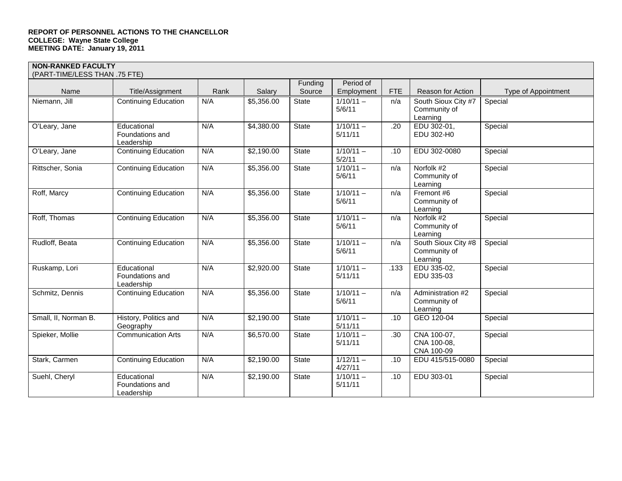| (PART-TIME/LESS THAN .75 FTE) |                                              |      |            |              |                        |            |                                                 |                     |
|-------------------------------|----------------------------------------------|------|------------|--------------|------------------------|------------|-------------------------------------------------|---------------------|
|                               |                                              |      |            | Funding      | Period of              |            |                                                 |                     |
| Name                          | Title/Assignment                             | Rank | Salary     | Source       | Employment             | <b>FTE</b> | <b>Reason for Action</b>                        | Type of Appointment |
| Niemann, Jill                 | <b>Continuing Education</b>                  | N/A  | \$5,356.00 | State        | $1/10/11 -$<br>5/6/11  | n/a        | South Sioux City #7<br>Community of<br>Learning | Special             |
| O'Leary, Jane                 | Educational<br>Foundations and<br>Leadership | N/A  | \$4,380.00 | <b>State</b> | $1/10/11 -$<br>5/11/11 | .20        | EDU 302-01,<br>EDU 302-H0                       | Special             |
| O'Leary, Jane                 | <b>Continuing Education</b>                  | N/A  | \$2,190.00 | <b>State</b> | $1/10/11 -$<br>5/2/11  | .10        | EDU 302-0080                                    | Special             |
| Rittscher, Sonia              | <b>Continuing Education</b>                  | N/A  | \$5,356.00 | <b>State</b> | $1/10/11 -$<br>5/6/11  | n/a        | Norfolk #2<br>Community of<br>Learning          | Special             |
| Roff, Marcy                   | <b>Continuing Education</b>                  | N/A  | \$5,356.00 | <b>State</b> | $1/10/11 -$<br>5/6/11  | n/a        | Fremont #6<br>Community of<br>Learning          | Special             |
| Roff, Thomas                  | <b>Continuing Education</b>                  | N/A  | \$5,356.00 | <b>State</b> | $1/10/11 -$<br>5/6/11  | n/a        | Norfolk #2<br>Community of<br>Learning          | Special             |
| Rudloff, Beata                | <b>Continuing Education</b>                  | N/A  | \$5,356.00 | <b>State</b> | $1/10/11 -$<br>5/6/11  | n/a        | South Sioux City #8<br>Community of<br>Learning | Special             |
| Ruskamp, Lori                 | Educational<br>Foundations and<br>Leadership | N/A  | \$2,920.00 | <b>State</b> | $1/10/11 -$<br>5/11/11 | .133       | EDU 335-02,<br>EDU 335-03                       | Special             |
| Schmitz, Dennis               | <b>Continuing Education</b>                  | N/A  | \$5,356.00 | State        | $1/10/11 -$<br>5/6/11  | n/a        | Administration #2<br>Community of<br>Learning   | Special             |
| Small, II, Norman B.          | History, Politics and<br>Geography           | N/A  | \$2,190.00 | <b>State</b> | $1/10/11 -$<br>5/11/11 | .10        | GEO 120-04                                      | Special             |
| Spieker, Mollie               | <b>Communication Arts</b>                    | N/A  | \$6,570.00 | <b>State</b> | $1/10/11 -$<br>5/11/11 | .30        | CNA 100-07,<br>CNA 100-08,<br>CNA 100-09        | Special             |
| Stark, Carmen                 | <b>Continuing Education</b>                  | N/A  | \$2,190.00 | State        | $1/12/11 -$<br>4/27/11 | .10        | EDU 415/515-0080                                | Special             |
| Suehl, Cheryl                 | Educational<br>Foundations and<br>Leadership | N/A  | \$2,190.00 | <b>State</b> | $1/10/11 -$<br>5/11/11 | .10        | EDU 303-01                                      | Special             |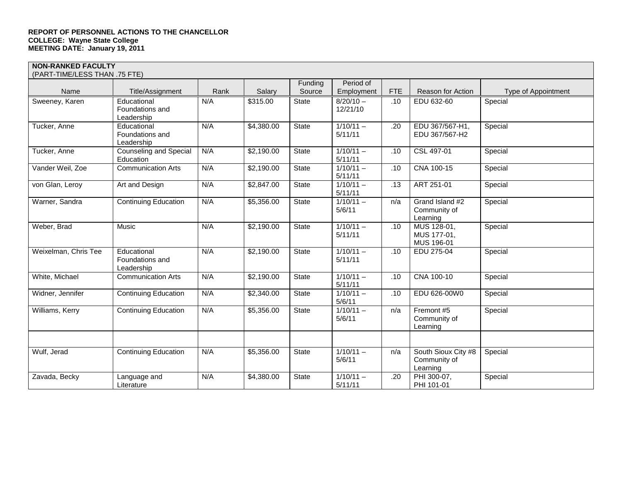| (PART-TIME/LESS THAN .75 FTE) |                                              |      |            |              |                         |            |                                                 |                     |
|-------------------------------|----------------------------------------------|------|------------|--------------|-------------------------|------------|-------------------------------------------------|---------------------|
|                               |                                              |      |            | Funding      | Period of               |            |                                                 |                     |
| Name                          | Title/Assignment                             | Rank | Salary     | Source       | Employment              | <b>FTE</b> | Reason for Action                               | Type of Appointment |
| Sweeney, Karen                | Educational<br>Foundations and<br>Leadership | N/A  | \$315.00   | <b>State</b> | $8/20/10 -$<br>12/21/10 | .10        | EDU 632-60                                      | Special             |
| Tucker, Anne                  | Educational<br>Foundations and<br>Leadership | N/A  | \$4,380.00 | State        | $1/10/11 -$<br>5/11/11  | .20        | EDU 367/567-H1,<br>EDU 367/567-H2               | Special             |
| Tucker, Anne                  | <b>Counseling and Special</b><br>Education   | N/A  | \$2,190.00 | <b>State</b> | $1/10/11 -$<br>5/11/11  | .10        | CSL 497-01                                      | Special             |
| Vander Weil, Zoe              | <b>Communication Arts</b>                    | N/A  | \$2,190.00 | <b>State</b> | $1/10/11 -$<br>5/11/11  | .10        | CNA 100-15                                      | Special             |
| von Glan, Leroy               | Art and Design                               | N/A  | \$2,847.00 | <b>State</b> | $1/10/11 -$<br>5/11/11  | .13        | ART 251-01                                      | Special             |
| Warner, Sandra                | <b>Continuing Education</b>                  | N/A  | \$5,356.00 | State        | $1/10/11 -$<br>5/6/11   | n/a        | Grand Island #2<br>Community of<br>Learning     | Special             |
| Weber, Brad                   | Music                                        | N/A  | \$2,190.00 | <b>State</b> | $1/10/11 -$<br>5/11/11  | .10        | MUS 128-01,<br>MUS 177-01,<br>MUS 196-01        | Special             |
| Weixelman, Chris Tee          | Educational<br>Foundations and<br>Leadership | N/A  | \$2,190.00 | State        | $1/10/11 -$<br>5/11/11  | .10        | EDU 275-04                                      | Special             |
| White, Michael                | <b>Communication Arts</b>                    | N/A  | \$2,190.00 | <b>State</b> | $1/10/11 -$<br>5/11/11  | .10        | CNA 100-10                                      | Special             |
| Widner, Jennifer              | <b>Continuing Education</b>                  | N/A  | \$2,340.00 | State        | $1/10/11 -$<br>5/6/11   | .10        | EDU 626-00W0                                    | Special             |
| Williams, Kerry               | <b>Continuing Education</b>                  | N/A  | \$5,356.00 | State        | $1/10/11 -$<br>5/6/11   | n/a        | Fremont #5<br>Community of<br>Learning          | Special             |
|                               |                                              |      |            |              |                         |            |                                                 |                     |
| Wulf, Jerad                   | <b>Continuing Education</b>                  | N/A  | \$5,356.00 | State        | $1/10/11 -$<br>5/6/11   | n/a        | South Sioux City #8<br>Community of<br>Learning | Special             |
| Zavada, Becky                 | Language and<br>Literature                   | N/A  | \$4,380.00 | <b>State</b> | $1/10/11 -$<br>5/11/11  | .20        | PHI 300-07,<br>PHI 101-01                       | Special             |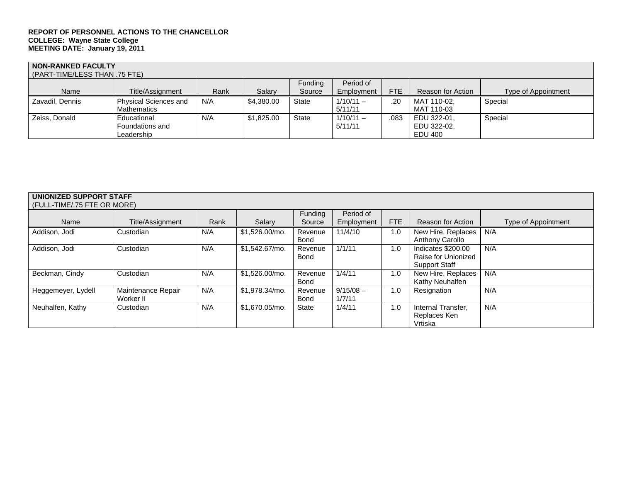| <b>NON-RANKED FACULTY</b><br>(PART-TIME/LESS THAN .75 FTE) |                              |      |            |              |             |      |                   |                     |
|------------------------------------------------------------|------------------------------|------|------------|--------------|-------------|------|-------------------|---------------------|
|                                                            |                              |      |            | Funding      | Period of   |      |                   |                     |
| Name                                                       | Title/Assignment             | Rank | Salary     | Source       | Employment  | FTE  | Reason for Action | Type of Appointment |
| Zavadil, Dennis                                            | <b>Physical Sciences and</b> | N/A  | \$4,380.00 | <b>State</b> | $1/10/11 -$ | .20  | MAT 110-02.       | Special             |
|                                                            | <b>Mathematics</b>           |      |            |              | 5/11/11     |      | MAT 110-03        |                     |
| Zeiss, Donald                                              | Educational                  | N/A  | \$1.825.00 | State        | $1/10/11 -$ | .083 | EDU 322-01.       | Special             |
|                                                            | Foundations and              |      |            |              | 5/11/11     |      | EDU 322-02.       |                     |
|                                                            | Leadership                   |      |            |              |             |      | EDU 400           |                     |

| UNIONIZED SUPPORT STAFF     |                    |      |                |         |             |     |                          |                     |
|-----------------------------|--------------------|------|----------------|---------|-------------|-----|--------------------------|---------------------|
| (FULL-TIME/.75 FTE OR MORE) |                    |      |                |         |             |     |                          |                     |
|                             |                    |      |                | Funding | Period of   |     |                          |                     |
| Name                        | Title/Assignment   | Rank | Salary         | Source  | Employment  | FTE | <b>Reason for Action</b> | Type of Appointment |
| Addison, Jodi               | Custodian          | N/A  | \$1.526.00/mo. | Revenue | 11/4/10     | 1.0 | New Hire, Replaces       | N/A                 |
|                             |                    |      |                | Bond    |             |     | <b>Anthony Carollo</b>   |                     |
| Addison, Jodi               | Custodian          | N/A  | \$1.542.67/mo. | Revenue | 1/1/11      | 1.0 | Indicates \$200.00       | N/A                 |
|                             |                    |      |                | Bond    |             |     | Raise for Unionized      |                     |
|                             |                    |      |                |         |             |     | <b>Support Staff</b>     |                     |
| Beckman, Cindy              | Custodian          | N/A  | \$1,526.00/mo. | Revenue | 1/4/11      | 1.0 | New Hire, Replaces       | N/A                 |
|                             |                    |      |                | Bond    |             |     | Kathy Neuhalfen          |                     |
| Heggemeyer, Lydell          | Maintenance Repair | N/A  | \$1,978.34/mo. | Revenue | $9/15/08 -$ | 1.0 | Resignation              | N/A                 |
|                             | Worker II          |      |                | Bond    | 1/7/11      |     |                          |                     |
| Neuhalfen, Kathy            | Custodian          | N/A  | \$1.670.05/mo. | State   | 1/4/11      | 1.0 | Internal Transfer.       | N/A                 |
|                             |                    |      |                |         |             |     | Replaces Ken             |                     |
|                             |                    |      |                |         |             |     | Vrtiska                  |                     |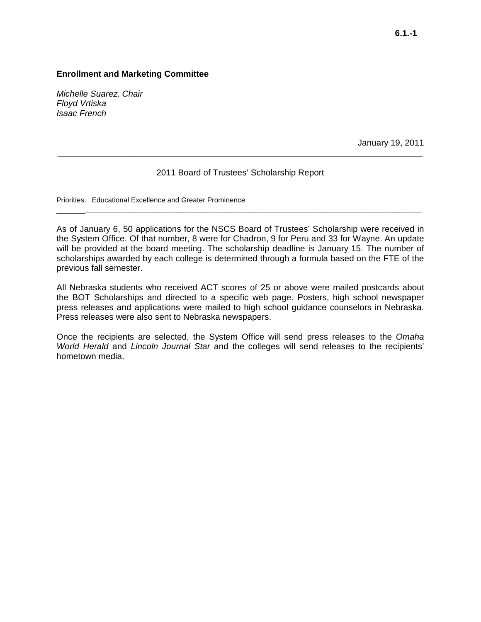*Michelle Suarez, Chair Floyd Vrtiska Isaac French*

January 19, 2011

### 2011 Board of Trustees' Scholarship Report

\_\_\_\_\_\_**\_\_\_\_\_\_\_\_\_\_\_\_\_\_\_\_\_\_\_\_\_\_\_\_\_\_\_\_\_\_\_\_\_\_\_\_\_\_\_\_\_\_\_\_\_\_\_\_\_\_\_\_\_\_\_\_\_\_\_\_\_\_\_\_\_\_\_\_\_\_**

**\_\_\_\_\_\_\_\_\_\_\_\_\_\_\_\_\_\_\_\_\_\_\_\_\_\_\_\_\_\_\_\_\_\_\_\_\_\_\_\_\_\_\_\_\_\_\_\_\_\_\_\_\_\_\_\_\_\_\_\_\_\_\_\_\_\_\_\_\_\_\_\_\_\_\_\_**

Priorities: Educational Excellence and Greater Prominence

As of January 6, 50 applications for the NSCS Board of Trustees' Scholarship were received in the System Office. Of that number, 8 were for Chadron, 9 for Peru and 33 for Wayne. An update will be provided at the board meeting. The scholarship deadline is January 15. The number of scholarships awarded by each college is determined through a formula based on the FTE of the previous fall semester.

All Nebraska students who received ACT scores of 25 or above were mailed postcards about the BOT Scholarships and directed to a specific web page. Posters, high school newspaper press releases and applications were mailed to high school guidance counselors in Nebraska. Press releases were also sent to Nebraska newspapers.

Once the recipients are selected, the System Office will send press releases to the *Omaha World Herald* and *Lincoln Journal Star* and the colleges will send releases to the recipients' hometown media.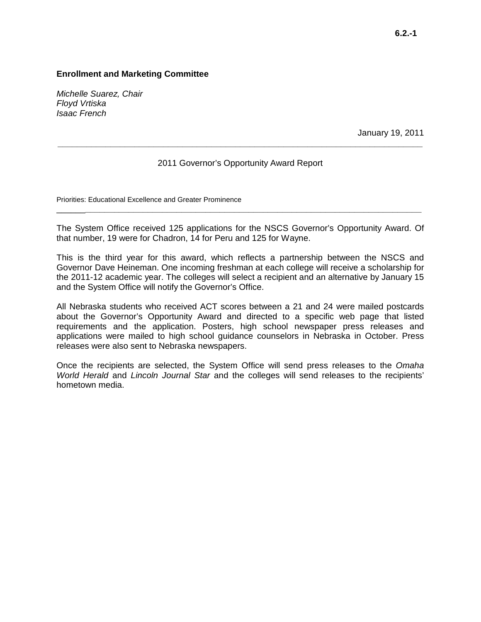*Michelle Suarez, Chair Floyd Vrtiska Isaac French*

January 19, 2011

### 2011 Governor's Opportunity Award Report

**\_\_\_\_\_\_\_\_\_\_\_\_\_\_\_\_\_\_\_\_\_\_\_\_\_\_\_\_\_\_\_\_\_\_\_\_\_\_\_\_\_\_\_\_\_\_\_\_\_\_\_\_\_\_\_\_\_\_\_\_\_\_\_\_\_\_\_\_\_\_\_\_\_\_\_\_**

Priorities: Educational Excellence and Greater Prominence

The System Office received 125 applications for the NSCS Governor's Opportunity Award. Of that number, 19 were for Chadron, 14 for Peru and 125 for Wayne.

\_\_\_\_\_\_**\_\_\_\_\_\_\_\_\_\_\_\_\_\_\_\_\_\_\_\_\_\_\_\_\_\_\_\_\_\_\_\_\_\_\_\_\_\_\_\_\_\_\_\_\_\_\_\_\_\_\_\_\_\_\_\_\_\_\_\_\_\_\_\_\_\_\_\_\_\_**

This is the third year for this award, which reflects a partnership between the NSCS and Governor Dave Heineman. One incoming freshman at each college will receive a scholarship for the 2011-12 academic year. The colleges will select a recipient and an alternative by January 15 and the System Office will notify the Governor's Office.

All Nebraska students who received ACT scores between a 21 and 24 were mailed postcards about the Governor's Opportunity Award and directed to a specific web page that listed requirements and the application. Posters, high school newspaper press releases and applications were mailed to high school guidance counselors in Nebraska in October. Press releases were also sent to Nebraska newspapers.

Once the recipients are selected, the System Office will send press releases to the *Omaha World Herald* and *Lincoln Journal Star* and the colleges will send releases to the recipients' hometown media.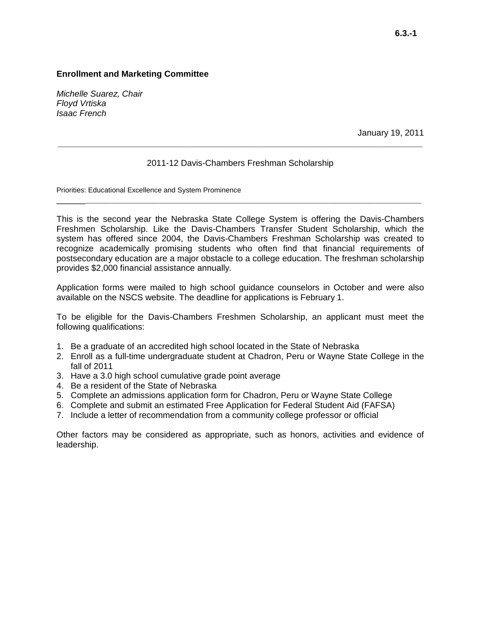*Michelle Suarez, Chair Floyd Vrtiska Isaac French*

January 19, 2011

### 2011-12 Davis-Chambers Freshman Scholarship

\_\_\_\_\_\_**\_\_\_\_\_\_\_\_\_\_\_\_\_\_\_\_\_\_\_\_\_\_\_\_\_\_\_\_\_\_\_\_\_\_\_\_\_\_\_\_\_\_\_\_\_\_\_\_\_\_\_\_\_\_\_\_\_\_\_\_\_\_\_\_\_\_\_\_\_\_**

**\_\_\_\_\_\_\_\_\_\_\_\_\_\_\_\_\_\_\_\_\_\_\_\_\_\_\_\_\_\_\_\_\_\_\_\_\_\_\_\_\_\_\_\_\_\_\_\_\_\_\_\_\_\_\_\_\_\_\_\_\_\_\_\_\_\_\_\_\_\_\_\_\_\_\_\_**

Priorities: Educational Excellence and System Prominence

This is the second year the Nebraska State College System is offering the Davis-Chambers Freshmen Scholarship. Like the Davis-Chambers Transfer Student Scholarship, which the system has offered since 2004, the Davis-Chambers Freshman Scholarship was created to recognize academically promising students who often find that financial requirements of postsecondary education are a major obstacle to a college education. The freshman scholarship provides \$2,000 financial assistance annually.

Application forms were mailed to high school guidance counselors in October and were also available on the NSCS website. The deadline for applications is February 1.

To be eligible for the Davis-Chambers Freshmen Scholarship, an applicant must meet the following qualifications:

- 1. Be a graduate of an accredited high school located in the State of Nebraska
- 2. Enroll as a full-time undergraduate student at Chadron, Peru or Wayne State College in the fall of 2011
- 3. Have a 3.0 high school cumulative grade point average
- 4. Be a resident of the State of Nebraska
- 5. Complete an admissions application form for Chadron, Peru or Wayne State College
- 6. Complete and submit an estimated Free Application for Federal Student Aid (FAFSA)
- 7. Include a letter of recommendation from a community college professor or official

Other factors may be considered as appropriate, such as honors, activities and evidence of leadership.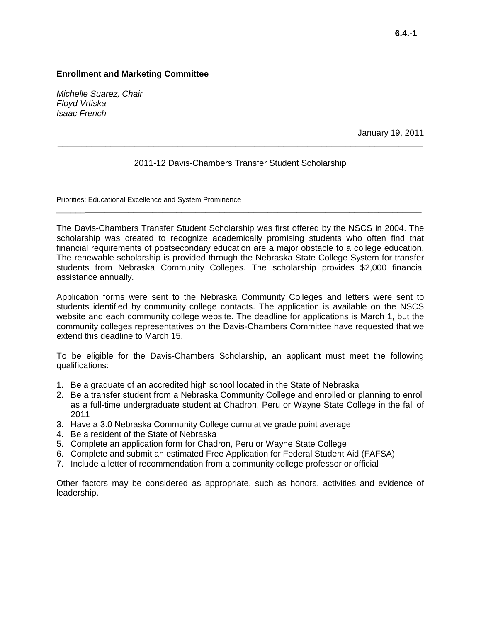*Michelle Suarez, Chair Floyd Vrtiska Isaac French*

January 19, 2011

### 2011-12 Davis-Chambers Transfer Student Scholarship

\_\_\_\_\_\_**\_\_\_\_\_\_\_\_\_\_\_\_\_\_\_\_\_\_\_\_\_\_\_\_\_\_\_\_\_\_\_\_\_\_\_\_\_\_\_\_\_\_\_\_\_\_\_\_\_\_\_\_\_\_\_\_\_\_\_\_\_\_\_\_\_\_\_\_\_\_**

**\_\_\_\_\_\_\_\_\_\_\_\_\_\_\_\_\_\_\_\_\_\_\_\_\_\_\_\_\_\_\_\_\_\_\_\_\_\_\_\_\_\_\_\_\_\_\_\_\_\_\_\_\_\_\_\_\_\_\_\_\_\_\_\_\_\_\_\_\_\_\_\_\_\_\_\_**

Priorities: Educational Excellence and System Prominence

The Davis-Chambers Transfer Student Scholarship was first offered by the NSCS in 2004. The scholarship was created to recognize academically promising students who often find that financial requirements of postsecondary education are a major obstacle to a college education. The renewable scholarship is provided through the Nebraska State College System for transfer students from Nebraska Community Colleges. The scholarship provides \$2,000 financial assistance annually.

Application forms were sent to the Nebraska Community Colleges and letters were sent to students identified by community college contacts. The application is available on the NSCS website and each community college website. The deadline for applications is March 1, but the community colleges representatives on the Davis-Chambers Committee have requested that we extend this deadline to March 15.

To be eligible for the Davis-Chambers Scholarship, an applicant must meet the following qualifications:

- 1. Be a graduate of an accredited high school located in the State of Nebraska
- 2. Be a transfer student from a Nebraska Community College and enrolled or planning to enroll as a full-time undergraduate student at Chadron, Peru or Wayne State College in the fall of 2011
- 3. Have a 3.0 Nebraska Community College cumulative grade point average
- 4. Be a resident of the State of Nebraska
- 5. Complete an application form for Chadron, Peru or Wayne State College
- 6. Complete and submit an estimated Free Application for Federal Student Aid (FAFSA)
- 7. Include a letter of recommendation from a community college professor or official

Other factors may be considered as appropriate, such as honors, activities and evidence of leadership.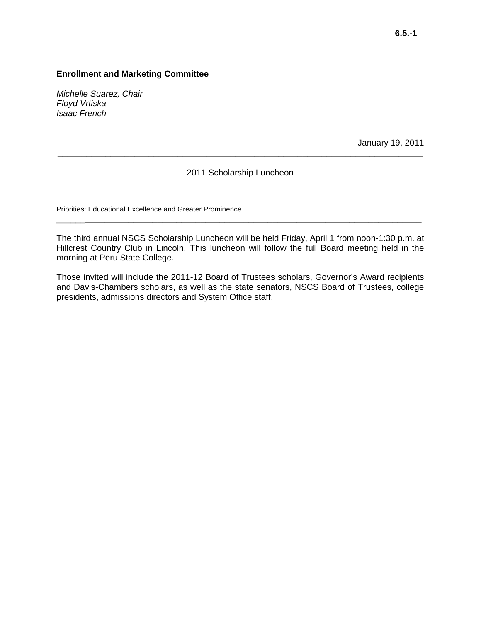*Michelle Suarez, Chair Floyd Vrtiska Isaac French*

January 19, 2011

### 2011 Scholarship Luncheon

**\_\_\_\_\_\_\_\_\_\_\_\_\_\_\_\_\_\_\_\_\_\_\_\_\_\_\_\_\_\_\_\_\_\_\_\_\_\_\_\_\_\_\_\_\_\_\_\_\_\_\_\_\_\_\_\_\_\_\_\_\_\_\_\_\_\_\_\_\_\_\_\_\_\_\_\_**

Priorities: Educational Excellence and Greater Prominence

The third annual NSCS Scholarship Luncheon will be held Friday, April 1 from noon-1:30 p.m. at Hillcrest Country Club in Lincoln. This luncheon will follow the full Board meeting held in the morning at Peru State College.

\_\_\_\_\_\_**\_\_\_\_\_\_\_\_\_\_\_\_\_\_\_\_\_\_\_\_\_\_\_\_\_\_\_\_\_\_\_\_\_\_\_\_\_\_\_\_\_\_\_\_\_\_\_\_\_\_\_\_\_\_\_\_\_\_\_\_\_\_\_\_\_\_\_\_\_\_**

Those invited will include the 2011-12 Board of Trustees scholars, Governor's Award recipients and Davis-Chambers scholars, as well as the state senators, NSCS Board of Trustees, college presidents, admissions directors and System Office staff.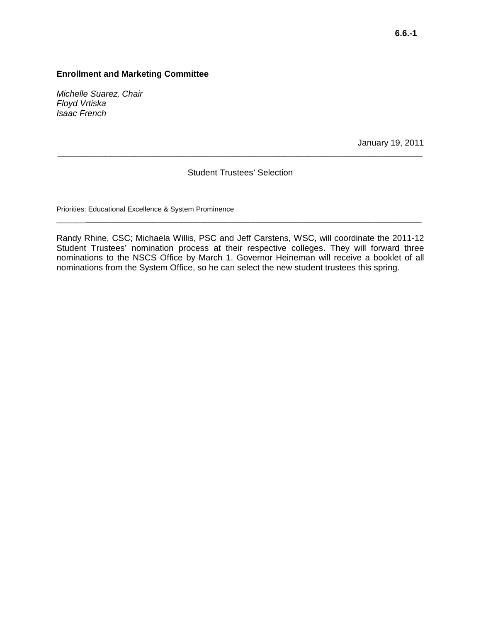*Michelle Suarez, Chair Floyd Vrtiska Isaac French*

January 19, 2011

#### Student Trustees' Selection

**\_\_\_\_\_\_\_\_\_\_\_\_\_\_\_\_\_\_\_\_\_\_\_\_\_\_\_\_\_\_\_\_\_\_\_\_\_\_\_\_\_\_\_\_\_\_\_\_\_\_\_\_\_\_\_\_\_\_\_\_\_\_\_\_\_\_\_\_\_\_\_\_\_\_\_\_**

Priorities: Educational Excellence & System Prominence

Randy Rhine, CSC; Michaela Willis, PSC and Jeff Carstens, WSC, will coordinate the 2011-12 Student Trustees' nomination process at their respective colleges. They will forward three nominations to the NSCS Office by March 1. Governor Heineman will receive a booklet of all nominations from the System Office, so he can select the new student trustees this spring.

\_\_\_\_\_\_**\_\_\_\_\_\_\_\_\_\_\_\_\_\_\_\_\_\_\_\_\_\_\_\_\_\_\_\_\_\_\_\_\_\_\_\_\_\_\_\_\_\_\_\_\_\_\_\_\_\_\_\_\_\_\_\_\_\_\_\_\_\_\_\_\_\_\_\_\_\_**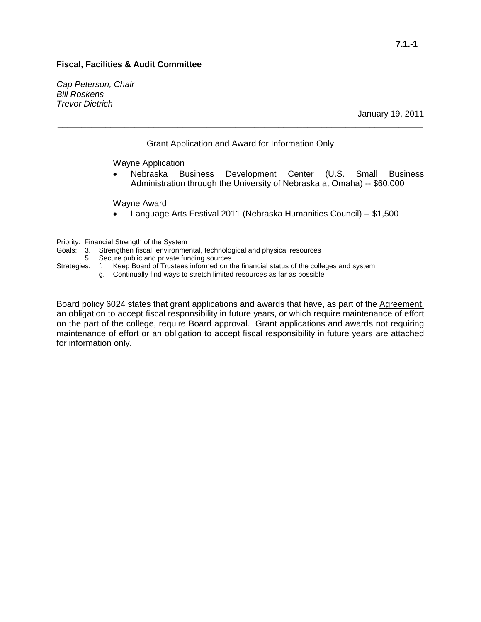### **Fiscal, Facilities & Audit Committee**

*Cap Peterson, Chair Bill Roskens Trevor Dietrich*

#### Grant Application and Award for Information Only

**\_\_\_\_\_\_\_\_\_\_\_\_\_\_\_\_\_\_\_\_\_\_\_\_\_\_\_\_\_\_\_\_\_\_\_\_\_\_\_\_\_\_\_\_\_\_\_\_\_\_\_\_\_\_\_\_\_\_\_\_\_\_\_\_\_\_\_\_\_\_\_\_\_\_\_\_**

Wayne Application

• Nebraska Business Development Center (U.S. Small Business Administration through the University of Nebraska at Omaha) -- \$60,000

Wayne Award

• Language Arts Festival 2011 (Nebraska Humanities Council) -- \$1,500

Priority: Financial Strength of the System

- Goals: 3. Strengthen fiscal, environmental, technological and physical resources 5. Secure public and private funding sources
- Secure public and private funding sources
- Strategies: f. Keep Board of Trustees informed on the financial status of the colleges and system
	- g. Continually find ways to stretch limited resources as far as possible

Board policy 6024 states that grant applications and awards that have, as part of the Agreement, an obligation to accept fiscal responsibility in future years, or which require maintenance of effort on the part of the college, require Board approval. Grant applications and awards not requiring maintenance of effort or an obligation to accept fiscal responsibility in future years are attached for information only.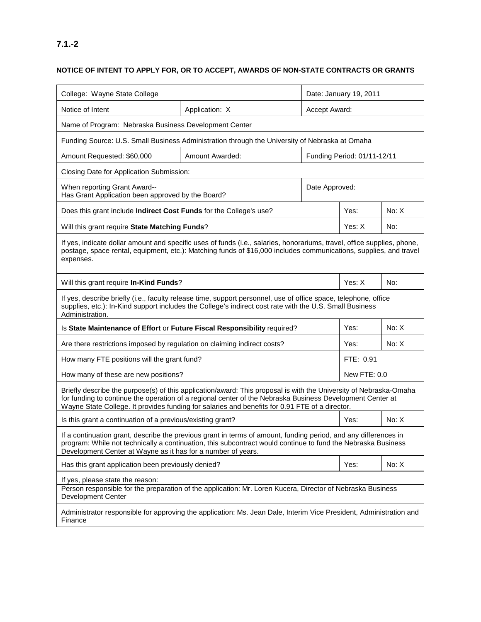## **NOTICE OF INTENT TO APPLY FOR, OR TO ACCEPT, AWARDS OF NON-STATE CONTRACTS OR GRANTS**

| College: Wayne State College                                                                                                                                                                                                                                                                                                     |                                                                                                                                                                                                                            | Date: January 19, 2011 |                             |       |  |
|----------------------------------------------------------------------------------------------------------------------------------------------------------------------------------------------------------------------------------------------------------------------------------------------------------------------------------|----------------------------------------------------------------------------------------------------------------------------------------------------------------------------------------------------------------------------|------------------------|-----------------------------|-------|--|
| Notice of Intent                                                                                                                                                                                                                                                                                                                 | Accept Award:                                                                                                                                                                                                              |                        |                             |       |  |
| Name of Program: Nebraska Business Development Center                                                                                                                                                                                                                                                                            |                                                                                                                                                                                                                            |                        |                             |       |  |
|                                                                                                                                                                                                                                                                                                                                  | Funding Source: U.S. Small Business Administration through the University of Nebraska at Omaha                                                                                                                             |                        |                             |       |  |
| Amount Requested: \$60,000                                                                                                                                                                                                                                                                                                       | Amount Awarded:                                                                                                                                                                                                            |                        | Funding Period: 01/11-12/11 |       |  |
| Closing Date for Application Submission:                                                                                                                                                                                                                                                                                         |                                                                                                                                                                                                                            |                        |                             |       |  |
| When reporting Grant Award--<br>Has Grant Application been approved by the Board?                                                                                                                                                                                                                                                |                                                                                                                                                                                                                            | Date Approved:         |                             |       |  |
| Does this grant include Indirect Cost Funds for the College's use?                                                                                                                                                                                                                                                               |                                                                                                                                                                                                                            |                        | Yes:                        | No: X |  |
| Will this grant require State Matching Funds?                                                                                                                                                                                                                                                                                    |                                                                                                                                                                                                                            |                        | Yes: X                      | No:   |  |
| If yes, indicate dollar amount and specific uses of funds (i.e., salaries, honorariums, travel, office supplies, phone,<br>postage, space rental, equipment, etc.): Matching funds of \$16,000 includes communications, supplies, and travel<br>expenses.                                                                        |                                                                                                                                                                                                                            |                        |                             |       |  |
| Will this grant require In-Kind Funds?                                                                                                                                                                                                                                                                                           |                                                                                                                                                                                                                            |                        | Yes: X                      | No:   |  |
| Administration.                                                                                                                                                                                                                                                                                                                  | If yes, describe briefly (i.e., faculty release time, support personnel, use of office space, telephone, office<br>supplies, etc.): In-Kind support includes the College's indirect cost rate with the U.S. Small Business |                        |                             |       |  |
| No: X<br>Is State Maintenance of Effort or Future Fiscal Responsibility required?<br>Yes:                                                                                                                                                                                                                                        |                                                                                                                                                                                                                            |                        |                             |       |  |
| Are there restrictions imposed by regulation on claiming indirect costs?                                                                                                                                                                                                                                                         |                                                                                                                                                                                                                            |                        | Yes:                        | No: X |  |
| How many FTE positions will the grant fund?                                                                                                                                                                                                                                                                                      |                                                                                                                                                                                                                            |                        | FTE: 0.91                   |       |  |
| How many of these are new positions?                                                                                                                                                                                                                                                                                             |                                                                                                                                                                                                                            |                        | New FTE: 0.0                |       |  |
| Briefly describe the purpose(s) of this application/award: This proposal is with the University of Nebraska-Omaha<br>for funding to continue the operation of a regional center of the Nebraska Business Development Center at<br>Wayne State College. It provides funding for salaries and benefits for 0.91 FTE of a director. |                                                                                                                                                                                                                            |                        |                             |       |  |
| Is this grant a continuation of a previous/existing grant?                                                                                                                                                                                                                                                                       |                                                                                                                                                                                                                            |                        | Yes:                        | No: X |  |
| If a continuation grant, describe the previous grant in terms of amount, funding period, and any differences in<br>program: While not technically a continuation, this subcontract would continue to fund the Nebraska Business<br>Development Center at Wayne as it has for a number of years.                                  |                                                                                                                                                                                                                            |                        |                             |       |  |
| Has this grant application been previously denied?                                                                                                                                                                                                                                                                               |                                                                                                                                                                                                                            |                        | Yes:                        | No: X |  |
| If yes, please state the reason:<br>Person responsible for the preparation of the application: Mr. Loren Kucera, Director of Nebraska Business<br><b>Development Center</b>                                                                                                                                                      |                                                                                                                                                                                                                            |                        |                             |       |  |
| Administrator responsible for approving the application: Ms. Jean Dale, Interim Vice President, Administration and<br>Finance                                                                                                                                                                                                    |                                                                                                                                                                                                                            |                        |                             |       |  |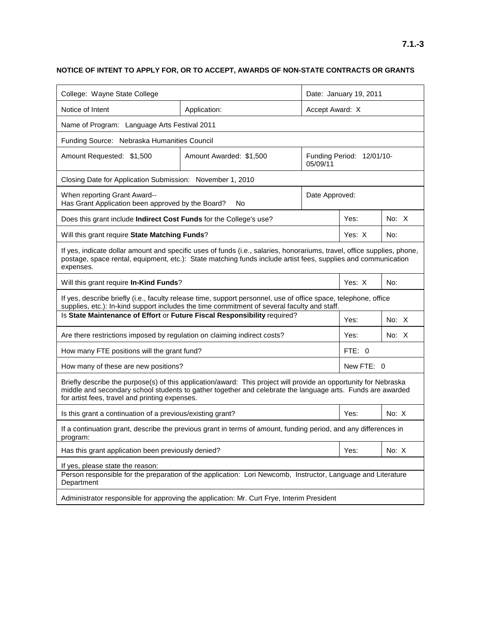## **NOTICE OF INTENT TO APPLY FOR, OR TO ACCEPT, AWARDS OF NON-STATE CONTRACTS OR GRANTS**

| College: Wayne State College                                                                                                                                                                                                                                                     |                                                                                                                                                                                                                                          |                | Date: January 19, 2011    |         |  |
|----------------------------------------------------------------------------------------------------------------------------------------------------------------------------------------------------------------------------------------------------------------------------------|------------------------------------------------------------------------------------------------------------------------------------------------------------------------------------------------------------------------------------------|----------------|---------------------------|---------|--|
| Notice of Intent<br>Application:                                                                                                                                                                                                                                                 |                                                                                                                                                                                                                                          |                | Accept Award: X           |         |  |
| Name of Program: Language Arts Festival 2011                                                                                                                                                                                                                                     |                                                                                                                                                                                                                                          |                |                           |         |  |
| Funding Source: Nebraska Humanities Council                                                                                                                                                                                                                                      |                                                                                                                                                                                                                                          |                |                           |         |  |
| Amount Requested: \$1,500                                                                                                                                                                                                                                                        | Amount Awarded: \$1,500                                                                                                                                                                                                                  | 05/09/11       | Funding Period: 12/01/10- |         |  |
| Closing Date for Application Submission: November 1, 2010                                                                                                                                                                                                                        |                                                                                                                                                                                                                                          |                |                           |         |  |
| When reporting Grant Award--<br>Has Grant Application been approved by the Board?                                                                                                                                                                                                | No                                                                                                                                                                                                                                       | Date Approved: |                           |         |  |
| Does this grant include Indirect Cost Funds for the College's use?                                                                                                                                                                                                               |                                                                                                                                                                                                                                          |                | Yes:                      | No: X   |  |
| Will this grant require State Matching Funds?                                                                                                                                                                                                                                    |                                                                                                                                                                                                                                          |                | Yes: X                    | No:     |  |
| expenses.                                                                                                                                                                                                                                                                        | If yes, indicate dollar amount and specific uses of funds (i.e., salaries, honorariums, travel, office supplies, phone,<br>postage, space rental, equipment, etc.): State matching funds include artist fees, supplies and communication |                |                           |         |  |
| Will this grant require In-Kind Funds?                                                                                                                                                                                                                                           |                                                                                                                                                                                                                                          |                | Yes: X                    | No:     |  |
|                                                                                                                                                                                                                                                                                  | If yes, describe briefly (i.e., faculty release time, support personnel, use of office space, telephone, office<br>supplies, etc.): In-kind support includes the time commitment of several faculty and staff.                           |                |                           |         |  |
|                                                                                                                                                                                                                                                                                  | Is State Maintenance of Effort or Future Fiscal Responsibility required?                                                                                                                                                                 |                | Yes:                      | No: $X$ |  |
| Are there restrictions imposed by regulation on claiming indirect costs?                                                                                                                                                                                                         |                                                                                                                                                                                                                                          |                | Yes:                      | No: X   |  |
| How many FTE positions will the grant fund?                                                                                                                                                                                                                                      |                                                                                                                                                                                                                                          |                | FTE: 0                    |         |  |
| How many of these are new positions?                                                                                                                                                                                                                                             |                                                                                                                                                                                                                                          |                | New FTE: 0                |         |  |
| Briefly describe the purpose(s) of this application/award: This project will provide an opportunity for Nebraska<br>middle and secondary school students to gather together and celebrate the language arts. Funds are awarded<br>for artist fees, travel and printing expenses. |                                                                                                                                                                                                                                          |                |                           |         |  |
| Is this grant a continuation of a previous/existing grant?                                                                                                                                                                                                                       |                                                                                                                                                                                                                                          |                | Yes:                      | No: X   |  |
| If a continuation grant, describe the previous grant in terms of amount, funding period, and any differences in<br>program:                                                                                                                                                      |                                                                                                                                                                                                                                          |                |                           |         |  |
| Has this grant application been previously denied?                                                                                                                                                                                                                               |                                                                                                                                                                                                                                          |                | Yes:                      | No: X   |  |
| If yes, please state the reason:<br>Person responsible for the preparation of the application: Lori Newcomb, Instructor, Language and Literature<br>Department                                                                                                                   |                                                                                                                                                                                                                                          |                |                           |         |  |
| Administrator responsible for approving the application: Mr. Curt Frye, Interim President                                                                                                                                                                                        |                                                                                                                                                                                                                                          |                |                           |         |  |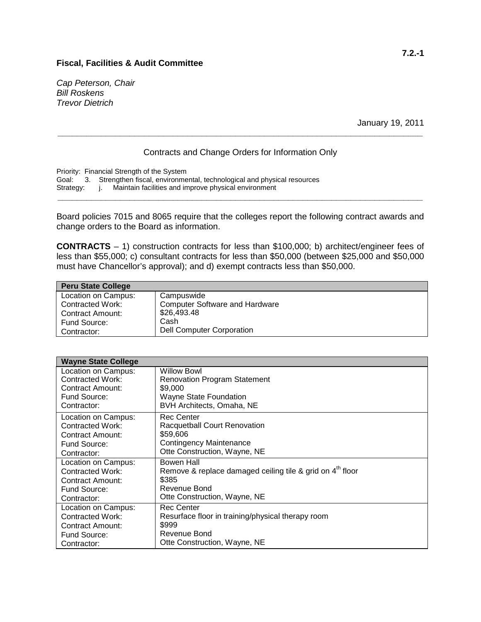#### **Fiscal, Facilities & Audit Committee**

*Cap Peterson, Chair Bill Roskens Trevor Dietrich*

January 19, 2011

## Contracts and Change Orders for Information Only

**\_\_\_\_\_\_\_\_\_\_\_\_\_\_\_\_\_\_\_\_\_\_\_\_\_\_\_\_\_\_\_\_\_\_\_\_\_\_\_\_\_\_\_\_\_\_\_\_\_\_\_\_\_\_\_\_\_\_\_\_\_\_\_\_\_\_\_\_\_\_\_\_\_\_\_\_**

Priority: Financial Strength of the System Goal: 3. Strengthen fiscal, environmental, technological and physical resources Strategy: j. Maintain facilities and improve physical environment j. Maintain facilities and improve physical environment

Board policies 7015 and 8065 require that the colleges report the following contract awards and change orders to the Board as information.

**\_\_\_\_\_\_\_\_\_\_\_\_\_\_\_\_\_\_\_\_\_\_\_\_\_\_\_\_\_\_\_\_\_\_\_\_\_\_\_\_\_\_\_\_\_\_\_\_\_\_\_\_\_\_\_\_\_\_\_\_\_\_\_\_\_\_\_\_\_\_\_\_\_\_\_\_**

**CONTRACTS** – 1) construction contracts for less than \$100,000; b) architect/engineer fees of less than \$55,000; c) consultant contracts for less than \$50,000 (between \$25,000 and \$50,000 must have Chancellor's approval); and d) exempt contracts less than \$50,000.

| <b>Peru State College</b> |                                       |
|---------------------------|---------------------------------------|
| Location on Campus:       | Campuswide                            |
| <b>Contracted Work:</b>   | <b>Computer Software and Hardware</b> |
| <b>Contract Amount:</b>   | \$26,493.48                           |
| Fund Source:              | Cash                                  |
| Contractor:               | <b>Dell Computer Corporation</b>      |

| <b>Wayne State College</b> |                                                             |
|----------------------------|-------------------------------------------------------------|
| Location on Campus:        | <b>Willow Bowl</b>                                          |
| Contracted Work:           | <b>Renovation Program Statement</b>                         |
| Contract Amount:           | \$9,000                                                     |
| Fund Source:               | Wayne State Foundation                                      |
| Contractor:                | BVH Architects, Omaha, NE                                   |
| Location on Campus:        | Rec Center                                                  |
| Contracted Work:           | Racquetball Court Renovation                                |
| Contract Amount:           | \$59,606                                                    |
| Fund Source:               | Contingency Maintenance                                     |
| Contractor:                | Otte Construction, Wayne, NE                                |
| Location on Campus:        | Bowen Hall                                                  |
| Contracted Work:           | Remove & replace damaged ceiling tile & grid on $4th$ floor |
| Contract Amount:           | \$385                                                       |
| Fund Source:               | Revenue Bond                                                |
| Contractor:                | Otte Construction, Wayne, NE                                |
| Location on Campus:        | <b>Rec Center</b>                                           |
| Contracted Work:           | Resurface floor in training/physical therapy room           |
| Contract Amount:           | \$999                                                       |
| Fund Source:               | Revenue Bond                                                |
| Contractor:                | Otte Construction, Wayne, NE                                |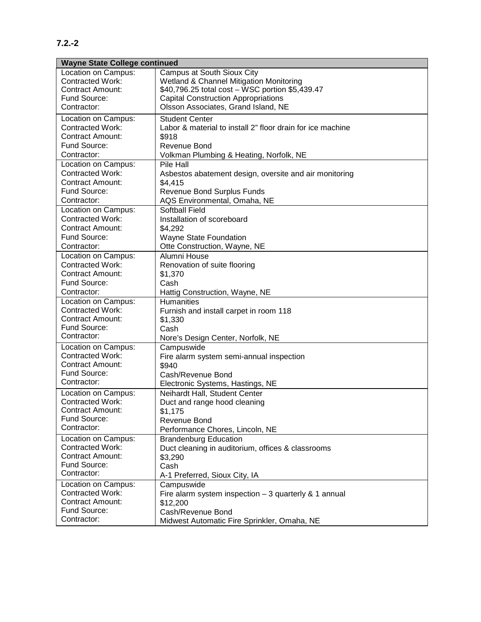## **7.2.-2**

| <b>Wayne State College continued</b>               |                                                            |  |  |  |
|----------------------------------------------------|------------------------------------------------------------|--|--|--|
| Location on Campus:                                | Campus at South Sioux City                                 |  |  |  |
| <b>Contracted Work:</b>                            | Wetland & Channel Mitigation Monitoring                    |  |  |  |
| <b>Contract Amount:</b>                            | \$40,796.25 total cost - WSC portion \$5,439.47            |  |  |  |
| Fund Source:                                       | <b>Capital Construction Appropriations</b>                 |  |  |  |
| Contractor:                                        | Olsson Associates, Grand Island, NE                        |  |  |  |
| Location on Campus:                                | <b>Student Center</b>                                      |  |  |  |
| <b>Contracted Work:</b>                            | Labor & material to install 2" floor drain for ice machine |  |  |  |
| <b>Contract Amount:</b>                            | \$918                                                      |  |  |  |
| Fund Source:                                       | <b>Revenue Bond</b>                                        |  |  |  |
| Contractor:                                        | Volkman Plumbing & Heating, Norfolk, NE                    |  |  |  |
| Location on Campus:                                | Pile Hall                                                  |  |  |  |
| <b>Contracted Work:</b>                            | Asbestos abatement design, oversite and air monitoring     |  |  |  |
| <b>Contract Amount:</b>                            | \$4,415                                                    |  |  |  |
| Fund Source:                                       | <b>Revenue Bond Surplus Funds</b>                          |  |  |  |
| Contractor:                                        | AQS Environmental, Omaha, NE                               |  |  |  |
| Location on Campus:                                | <b>Softball Field</b>                                      |  |  |  |
| <b>Contracted Work:</b>                            | Installation of scoreboard                                 |  |  |  |
| <b>Contract Amount:</b>                            | \$4,292                                                    |  |  |  |
| Fund Source:                                       | Wayne State Foundation                                     |  |  |  |
| Contractor:                                        | Otte Construction, Wayne, NE                               |  |  |  |
| Location on Campus:                                | Alumni House                                               |  |  |  |
| <b>Contracted Work:</b>                            | Renovation of suite flooring                               |  |  |  |
| <b>Contract Amount:</b>                            | \$1,370                                                    |  |  |  |
| Fund Source:                                       | Cash                                                       |  |  |  |
| Contractor:                                        | Hattig Construction, Wayne, NE                             |  |  |  |
| Location on Campus:                                | <b>Humanities</b>                                          |  |  |  |
| <b>Contracted Work:</b>                            | Furnish and install carpet in room 118                     |  |  |  |
| <b>Contract Amount:</b>                            | \$1,330                                                    |  |  |  |
| Fund Source:                                       | Cash                                                       |  |  |  |
| Contractor:                                        | Nore's Design Center, Norfolk, NE                          |  |  |  |
| Location on Campus:                                | Campuswide                                                 |  |  |  |
| <b>Contracted Work:</b>                            | Fire alarm system semi-annual inspection                   |  |  |  |
| <b>Contract Amount:</b><br>Fund Source:            | \$940                                                      |  |  |  |
| Contractor:                                        | Cash/Revenue Bond                                          |  |  |  |
|                                                    | Electronic Systems, Hastings, NE                           |  |  |  |
| Location on Campus:                                | Neihardt Hall, Student Center                              |  |  |  |
| Contracted Work:                                   | Duct and range hood cleaning                               |  |  |  |
| <b>Contract Amount:</b><br>Fund Source:            | \$1,175                                                    |  |  |  |
| Contractor:                                        | Revenue Bond                                               |  |  |  |
|                                                    | Performance Chores, Lincoln, NE                            |  |  |  |
| Location on Campus:                                | <b>Brandenburg Education</b>                               |  |  |  |
| <b>Contracted Work:</b><br><b>Contract Amount:</b> | Duct cleaning in auditorium, offices & classrooms          |  |  |  |
|                                                    | \$3,290                                                    |  |  |  |
| Fund Source:<br>Contractor:                        | Cash                                                       |  |  |  |
|                                                    | A-1 Preferred, Sioux City, IA                              |  |  |  |
| Location on Campus:                                | Campuswide                                                 |  |  |  |
| <b>Contracted Work:</b>                            | Fire alarm system inspection $-3$ quarterly & 1 annual     |  |  |  |
| <b>Contract Amount:</b><br>Fund Source:            | \$12,200                                                   |  |  |  |
| Contractor:                                        | Cash/Revenue Bond                                          |  |  |  |
|                                                    | Midwest Automatic Fire Sprinkler, Omaha, NE                |  |  |  |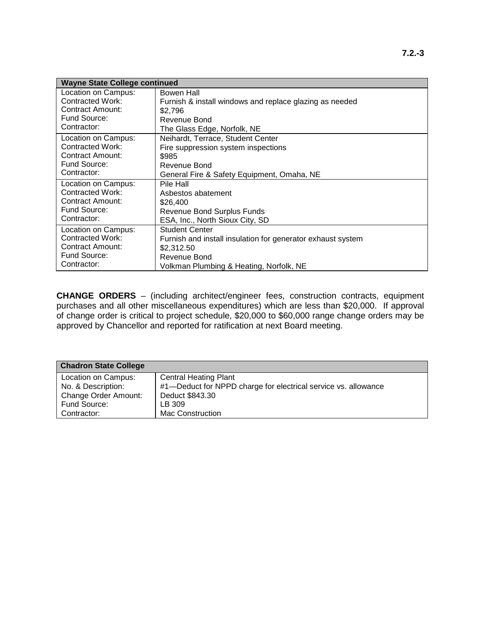| <b>Wayne State College continued</b> |                                                             |
|--------------------------------------|-------------------------------------------------------------|
| Location on Campus:                  | Bowen Hall                                                  |
| Contracted Work:                     | Furnish & install windows and replace glazing as needed     |
| Contract Amount:                     | \$2.796                                                     |
| Fund Source:                         | Revenue Bond                                                |
| Contractor:                          | The Glass Edge, Norfolk, NE                                 |
| Location on Campus:                  | Neihardt, Terrace, Student Center                           |
| Contracted Work:                     | Fire suppression system inspections                         |
| <b>Contract Amount:</b>              | \$985                                                       |
| Fund Source:                         | Revenue Bond                                                |
| Contractor:                          | General Fire & Safety Equipment, Omaha, NE                  |
| Location on Campus:                  | Pile Hall                                                   |
| Contracted Work:                     | Asbestos abatement                                          |
| <b>Contract Amount:</b>              | \$26,400                                                    |
| Fund Source:                         | Revenue Bond Surplus Funds                                  |
| Contractor:                          | ESA, Inc., North Sioux City, SD                             |
| Location on Campus:                  | <b>Student Center</b>                                       |
| Contracted Work:                     | Furnish and install insulation for generator exhaust system |
| <b>Contract Amount:</b>              | \$2.312.50                                                  |
| Fund Source:                         | Revenue Bond                                                |
| Contractor:                          | Volkman Plumbing & Heating, Norfolk, NE                     |

**CHANGE ORDERS** – (including architect/engineer fees, construction contracts, equipment purchases and all other miscellaneous expenditures) which are less than \$20,000. If approval of change order is critical to project schedule, \$20,000 to \$60,000 range change orders may be approved by Chancellor and reported for ratification at next Board meeting.

| <b>Chadron State College</b> |                                                                |
|------------------------------|----------------------------------------------------------------|
| Location on Campus:          | <b>Central Heating Plant</b>                                   |
| No. & Description:           | #1-Deduct for NPPD charge for electrical service vs. allowance |
| Change Order Amount:         | Deduct \$843.30                                                |
| Fund Source:                 | LB 309                                                         |
| Contractor:                  | <b>Mac Construction</b>                                        |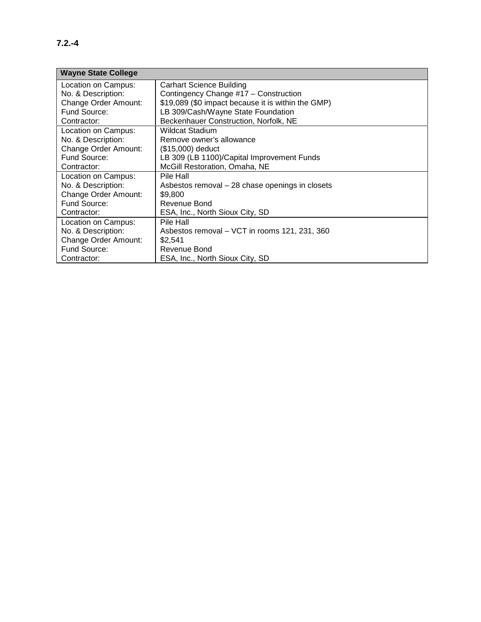| <b>Wayne State College</b> |                                                    |
|----------------------------|----------------------------------------------------|
| Location on Campus:        | <b>Carhart Science Building</b>                    |
| No. & Description:         | Contingency Change #17 - Construction              |
| Change Order Amount:       | \$19,089 (\$0 impact because it is within the GMP) |
| Fund Source:               | LB 309/Cash/Wayne State Foundation                 |
| Contractor:                | Beckenhauer Construction, Norfolk, NE              |
| Location on Campus:        | <b>Wildcat Stadium</b>                             |
| No. & Description:         | Remove owner's allowance                           |
| Change Order Amount:       | (\$15,000) deduct                                  |
| Fund Source:               | LB 309 (LB 1100)/Capital Improvement Funds         |
| Contractor:                | McGill Restoration, Omaha, NE                      |
| Location on Campus:        | Pile Hall                                          |
| No. & Description:         | Asbestos removal - 28 chase openings in closets    |
| Change Order Amount:       | \$9,800                                            |
| Fund Source:               | Revenue Bond                                       |
| Contractor:                | ESA, Inc., North Sioux City, SD                    |
| Location on Campus:        | Pile Hall                                          |
| No. & Description:         | Asbestos removal – VCT in rooms 121, 231, 360      |
| Change Order Amount:       | \$2,541                                            |
| Fund Source:               | Revenue Bond                                       |
| Contractor:                | ESA, Inc., North Sioux City, SD                    |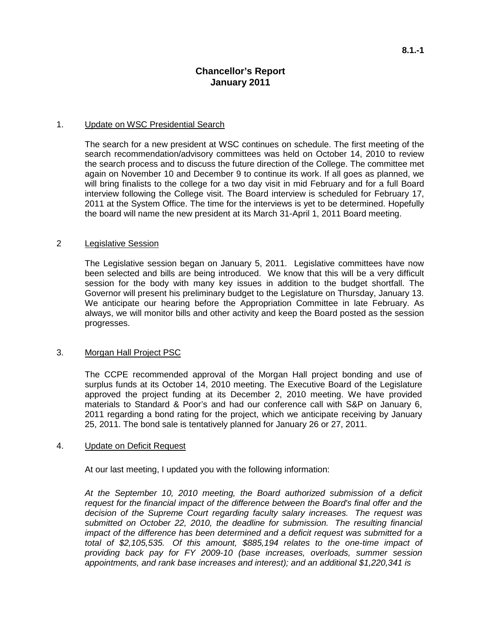## **Chancellor's Report January 2011**

#### 1. Update on WSC Presidential Search

The search for a new president at WSC continues on schedule. The first meeting of the search recommendation/advisory committees was held on October 14, 2010 to review the search process and to discuss the future direction of the College. The committee met again on November 10 and December 9 to continue its work. If all goes as planned, we will bring finalists to the college for a two day visit in mid February and for a full Board interview following the College visit. The Board interview is scheduled for February 17, 2011 at the System Office. The time for the interviews is yet to be determined. Hopefully the board will name the new president at its March 31-April 1, 2011 Board meeting.

#### 2 Legislative Session

The Legislative session began on January 5, 2011. Legislative committees have now been selected and bills are being introduced. We know that this will be a very difficult session for the body with many key issues in addition to the budget shortfall. The Governor will present his preliminary budget to the Legislature on Thursday, January 13. We anticipate our hearing before the Appropriation Committee in late February. As always, we will monitor bills and other activity and keep the Board posted as the session progresses.

#### 3. Morgan Hall Project PSC

The CCPE recommended approval of the Morgan Hall project bonding and use of surplus funds at its October 14, 2010 meeting. The Executive Board of the Legislature approved the project funding at its December 2, 2010 meeting. We have provided materials to Standard & Poor's and had our conference call with S&P on January 6, 2011 regarding a bond rating for the project, which we anticipate receiving by January 25, 2011. The bond sale is tentatively planned for January 26 or 27, 2011.

#### 4. Update on Deficit Request

At our last meeting, I updated you with the following information:

*At the September 10, 2010 meeting, the Board authorized submission of a deficit request for the financial impact of the difference between the Board's final offer and the decision of the Supreme Court regarding faculty salary increases. The request was submitted on October 22, 2010, the deadline for submission. The resulting financial impact of the difference has been determined and a deficit request was submitted for a total of \$2,105,535. Of this amount, \$885,194 relates to the one-time impact of providing back pay for FY 2009-10 (base increases, overloads, summer session appointments, and rank base increases and interest); and an additional \$1,220,341 is*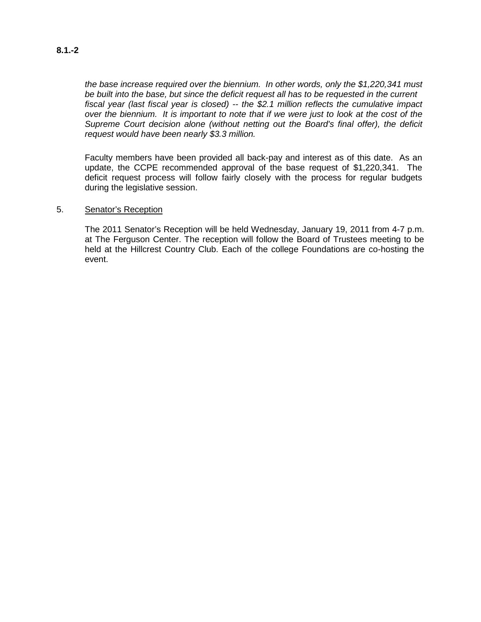#### *the base increase required over the biennium. In other words, only the \$1,220,341 must be built into the base, but since the deficit request all has to be requested in the current fiscal year (last fiscal year is closed) -- the \$2.1 million reflects the cumulative impact over the biennium. It is important to note that if we were just to look at the cost of the Supreme Court decision alone (without netting out the Board's final offer), the deficit request would have been nearly \$3.3 million.*

Faculty members have been provided all back-pay and interest as of this date. As an update, the CCPE recommended approval of the base request of \$1,220,341. The deficit request process will follow fairly closely with the process for regular budgets during the legislative session.

#### 5. Senator's Reception

The 2011 Senator's Reception will be held Wednesday, January 19, 2011 from 4-7 p.m. at The Ferguson Center. The reception will follow the Board of Trustees meeting to be held at the Hillcrest Country Club. Each of the college Foundations are co-hosting the event.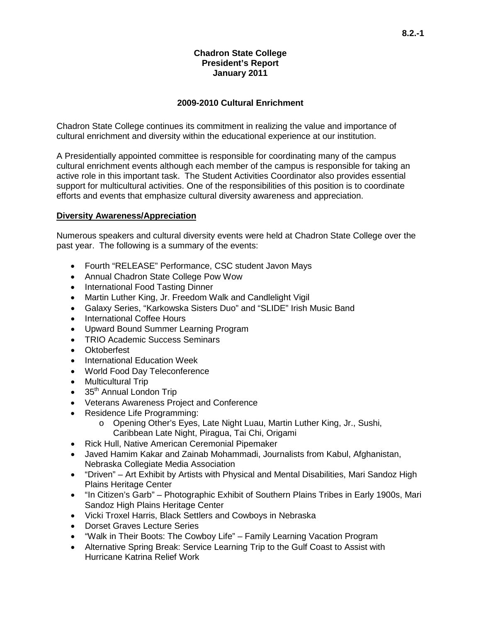## **Chadron State College President's Report January 2011**

## **2009-2010 Cultural Enrichment**

Chadron State College continues its commitment in realizing the value and importance of cultural enrichment and diversity within the educational experience at our institution.

A Presidentially appointed committee is responsible for coordinating many of the campus cultural enrichment events although each member of the campus is responsible for taking an active role in this important task. The Student Activities Coordinator also provides essential support for multicultural activities. One of the responsibilities of this position is to coordinate efforts and events that emphasize cultural diversity awareness and appreciation.

### **Diversity Awareness/Appreciation**

Numerous speakers and cultural diversity events were held at Chadron State College over the past year. The following is a summary of the events:

- Fourth "RELEASE" Performance, CSC student Javon Mays
- Annual Chadron State College Pow Wow
- International Food Tasting Dinner
- Martin Luther King, Jr. Freedom Walk and Candlelight Vigil
- Galaxy Series, "Karkowska Sisters Duo" and "SLIDE" Irish Music Band
- International Coffee Hours
- Upward Bound Summer Learning Program
- TRIO Academic Success Seminars
- Oktoberfest
- International Education Week
- World Food Day Teleconference
- Multicultural Trip
- 35<sup>th</sup> Annual London Trip
- Veterans Awareness Project and Conference
- Residence Life Programming:
	- o Opening Other's Eyes, Late Night Luau, Martin Luther King, Jr., Sushi, Caribbean Late Night, Piragua, Tai Chi, Origami
- Rick Hull, Native American Ceremonial Pipemaker
- Javed Hamim Kakar and Zainab Mohammadi, Journalists from Kabul, Afghanistan, Nebraska Collegiate Media Association
- "Driven" Art Exhibit by Artists with Physical and Mental Disabilities, Mari Sandoz High Plains Heritage Center
- "In Citizen's Garb" Photographic Exhibit of Southern Plains Tribes in Early 1900s, Mari Sandoz High Plains Heritage Center
- Vicki Troxel Harris, Black Settlers and Cowboys in Nebraska
- Dorset Graves Lecture Series
- "Walk in Their Boots: The Cowboy Life" Family Learning Vacation Program
- Alternative Spring Break: Service Learning Trip to the Gulf Coast to Assist with Hurricane Katrina Relief Work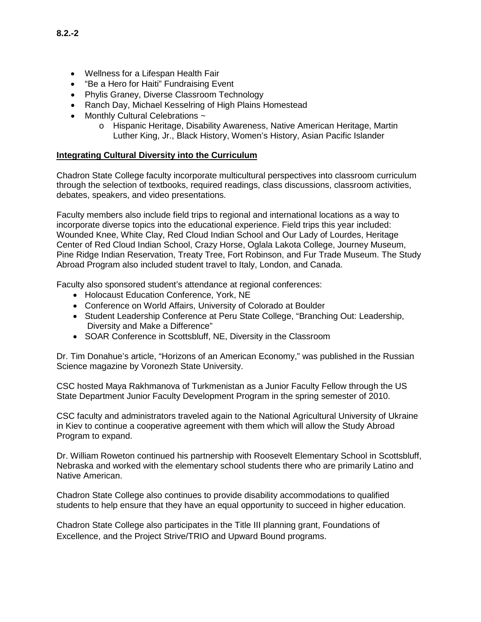- Wellness for a Lifespan Health Fair
- "Be a Hero for Haiti" Fundraising Event
- Phylis Graney, Diverse Classroom Technology
- Ranch Day, Michael Kesselring of High Plains Homestead
- Monthly Cultural Celebrations ~
	- o Hispanic Heritage, Disability Awareness, Native American Heritage, Martin Luther King, Jr., Black History, Women's History, Asian Pacific Islander

## **Integrating Cultural Diversity into the Curriculum**

Chadron State College faculty incorporate multicultural perspectives into classroom curriculum through the selection of textbooks, required readings, class discussions, classroom activities, debates, speakers, and video presentations.

Faculty members also include field trips to regional and international locations as a way to incorporate diverse topics into the educational experience. Field trips this year included: Wounded Knee, White Clay, Red Cloud Indian School and Our Lady of Lourdes, Heritage Center of Red Cloud Indian School, Crazy Horse, Oglala Lakota College, Journey Museum, Pine Ridge Indian Reservation, Treaty Tree, Fort Robinson, and Fur Trade Museum. The Study Abroad Program also included student travel to Italy, London, and Canada.

Faculty also sponsored student's attendance at regional conferences:

- Holocaust Education Conference, York, NE
- Conference on World Affairs, University of Colorado at Boulder
- Student Leadership Conference at Peru State College, "Branching Out: Leadership, Diversity and Make a Difference"
- SOAR Conference in Scottsbluff, NE, Diversity in the Classroom

Dr. Tim Donahue's article, "Horizons of an American Economy," was published in the Russian Science magazine by Voronezh State University.

CSC hosted Maya Rakhmanova of Turkmenistan as a Junior Faculty Fellow through the US State Department Junior Faculty Development Program in the spring semester of 2010.

CSC faculty and administrators traveled again to the National Agricultural University of Ukraine in Kiev to continue a cooperative agreement with them which will allow the Study Abroad Program to expand.

Dr. William Roweton continued his partnership with Roosevelt Elementary School in Scottsbluff, Nebraska and worked with the elementary school students there who are primarily Latino and Native American.

Chadron State College also continues to provide disability accommodations to qualified students to help ensure that they have an equal opportunity to succeed in higher education.

Chadron State College also participates in the Title III planning grant, Foundations of Excellence, and the Project Strive/TRIO and Upward Bound programs.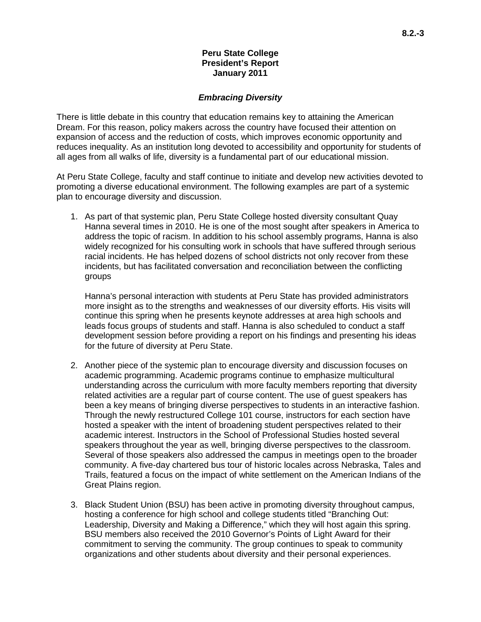#### **Peru State College President's Report January 2011**

#### *Embracing Diversity*

There is little debate in this country that education remains key to attaining the American Dream. For this reason, policy makers across the country have focused their attention on expansion of access and the reduction of costs, which improves economic opportunity and reduces inequality. As an institution long devoted to accessibility and opportunity for students of all ages from all walks of life, diversity is a fundamental part of our educational mission.

At Peru State College, faculty and staff continue to initiate and develop new activities devoted to promoting a diverse educational environment. The following examples are part of a systemic plan to encourage diversity and discussion.

1. As part of that systemic plan, Peru State College hosted diversity consultant Quay Hanna several times in 2010. He is one of the most sought after speakers in America to address the topic of racism. In addition to his school assembly programs, Hanna is also widely recognized for his consulting work in schools that have suffered through serious racial incidents. He has helped dozens of school districts not only recover from these incidents, but has facilitated conversation and reconciliation between the conflicting groups

Hanna's personal interaction with students at Peru State has provided administrators more insight as to the strengths and weaknesses of our diversity efforts. His visits will continue this spring when he presents keynote addresses at area high schools and leads focus groups of students and staff. Hanna is also scheduled to conduct a staff development session before providing a report on his findings and presenting his ideas for the future of diversity at Peru State.

- 2. Another piece of the systemic plan to encourage diversity and discussion focuses on academic programming. Academic programs continue to emphasize multicultural understanding across the curriculum with more faculty members reporting that diversity related activities are a regular part of course content. The use of guest speakers has been a key means of bringing diverse perspectives to students in an interactive fashion. Through the newly restructured College 101 course, instructors for each section have hosted a speaker with the intent of broadening student perspectives related to their academic interest. Instructors in the School of Professional Studies hosted several speakers throughout the year as well, bringing diverse perspectives to the classroom. Several of those speakers also addressed the campus in meetings open to the broader community. A five-day chartered bus tour of historic locales across Nebraska, Tales and Trails, featured a focus on the impact of white settlement on the American Indians of the Great Plains region.
- 3. Black Student Union (BSU) has been active in promoting diversity throughout campus, hosting a conference for high school and college students titled "Branching Out: Leadership, Diversity and Making a Difference," which they will host again this spring. BSU members also received the 2010 Governor's Points of Light Award for their commitment to serving the community. The group continues to speak to community organizations and other students about diversity and their personal experiences.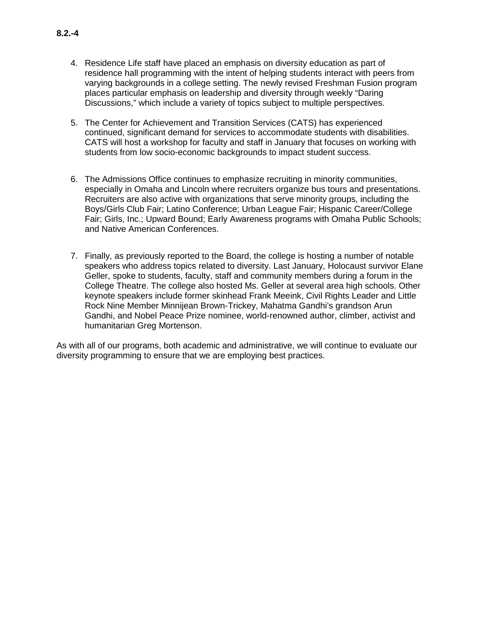- 4. Residence Life staff have placed an emphasis on diversity education as part of residence hall programming with the intent of helping students interact with peers from varying backgrounds in a college setting. The newly revised Freshman Fusion program places particular emphasis on leadership and diversity through weekly "Daring Discussions," which include a variety of topics subject to multiple perspectives.
- 5. The Center for Achievement and Transition Services (CATS) has experienced continued, significant demand for services to accommodate students with disabilities. CATS will host a workshop for faculty and staff in January that focuses on working with students from low socio-economic backgrounds to impact student success.
- 6. The Admissions Office continues to emphasize recruiting in minority communities, especially in Omaha and Lincoln where recruiters organize bus tours and presentations. Recruiters are also active with organizations that serve minority groups, including the Boys/Girls Club Fair; Latino Conference; Urban League Fair; Hispanic Career/College Fair; Girls, Inc.; Upward Bound; Early Awareness programs with Omaha Public Schools; and Native American Conferences.
- 7. Finally, as previously reported to the Board, the college is hosting a number of notable speakers who address topics related to diversity. Last January, Holocaust survivor Elane Geller, spoke to students, faculty, staff and community members during a forum in the College Theatre. The college also hosted Ms. Geller at several area high schools. Other keynote speakers include former skinhead Frank Meeink, Civil Rights Leader and Little Rock Nine Member Minnijean Brown-Trickey, Mahatma Gandhi's grandson Arun Gandhi, and Nobel Peace Prize nominee, world-renowned author, climber, activist and humanitarian Greg Mortenson.

As with all of our programs, both academic and administrative, we will continue to evaluate our diversity programming to ensure that we are employing best practices.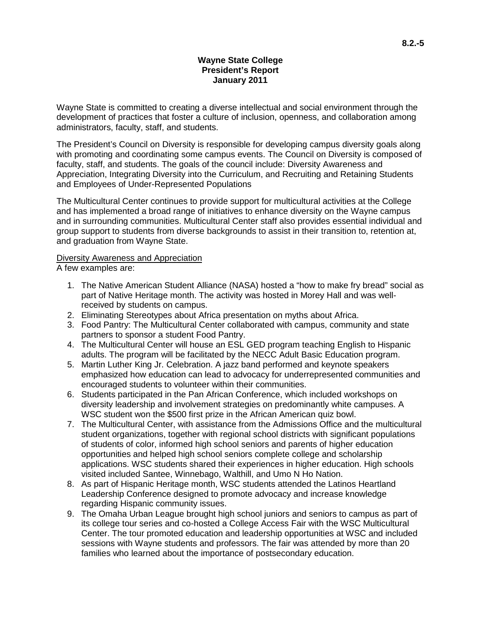### **Wayne State College President's Report January 2011**

Wayne State is committed to creating a diverse intellectual and social environment through the development of practices that foster a culture of inclusion, openness, and collaboration among administrators, faculty, staff, and students.

The President's Council on Diversity is responsible for developing campus diversity goals along with promoting and coordinating some campus events. The Council on Diversity is composed of faculty, staff, and students. The goals of the council include: Diversity Awareness and Appreciation, Integrating Diversity into the Curriculum, and Recruiting and Retaining Students and Employees of Under-Represented Populations

The Multicultural Center continues to provide support for multicultural activities at the College and has implemented a broad range of initiatives to enhance diversity on the Wayne campus and in surrounding communities. Multicultural Center staff also provides essential individual and group support to students from diverse backgrounds to assist in their transition to, retention at, and graduation from Wayne State.

### **Diversity Awareness and Appreciation**

A few examples are:

- 1. The Native American Student Alliance (NASA) hosted a "how to make fry bread" social as part of Native Heritage month. The activity was hosted in Morey Hall and was wellreceived by students on campus.
- 2. Eliminating Stereotypes about Africa presentation on myths about Africa.
- 3. Food Pantry: The Multicultural Center collaborated with campus, community and state partners to sponsor a student Food Pantry.
- 4. The Multicultural Center will house an ESL GED program teaching English to Hispanic adults. The program will be facilitated by the NECC Adult Basic Education program.
- 5. Martin Luther King Jr. Celebration. A jazz band performed and keynote speakers emphasized how education can lead to advocacy for underrepresented communities and encouraged students to volunteer within their communities.
- 6. Students participated in the Pan African Conference, which included workshops on diversity leadership and involvement strategies on predominantly white campuses. A WSC student won the \$500 first prize in the African American quiz bowl.
- 7. The Multicultural Center, with assistance from the Admissions Office and the multicultural student organizations, together with regional school districts with significant populations of students of color, informed high school seniors and parents of higher education opportunities and helped high school seniors complete college and scholarship applications. WSC students shared their experiences in higher education. High schools visited included Santee, Winnebago, Walthill, and Umo N Ho Nation .
- 8. As part of Hispanic Heritage month, WSC students attended the Latinos Heartland Leadership Conference designed to promote advocacy and increase knowledge regarding Hispanic community issues.
- 9. The Omaha Urban League brought high school juniors and seniors to campus as part of its college tour series and co-hosted a College Access Fair with the WSC Multicultural Center. The tour promoted education and leadership opportunities at WSC and included sessions with Wayne students and professors. The fair was attended by more than 20 families who learned about the importance of postsecondary education.